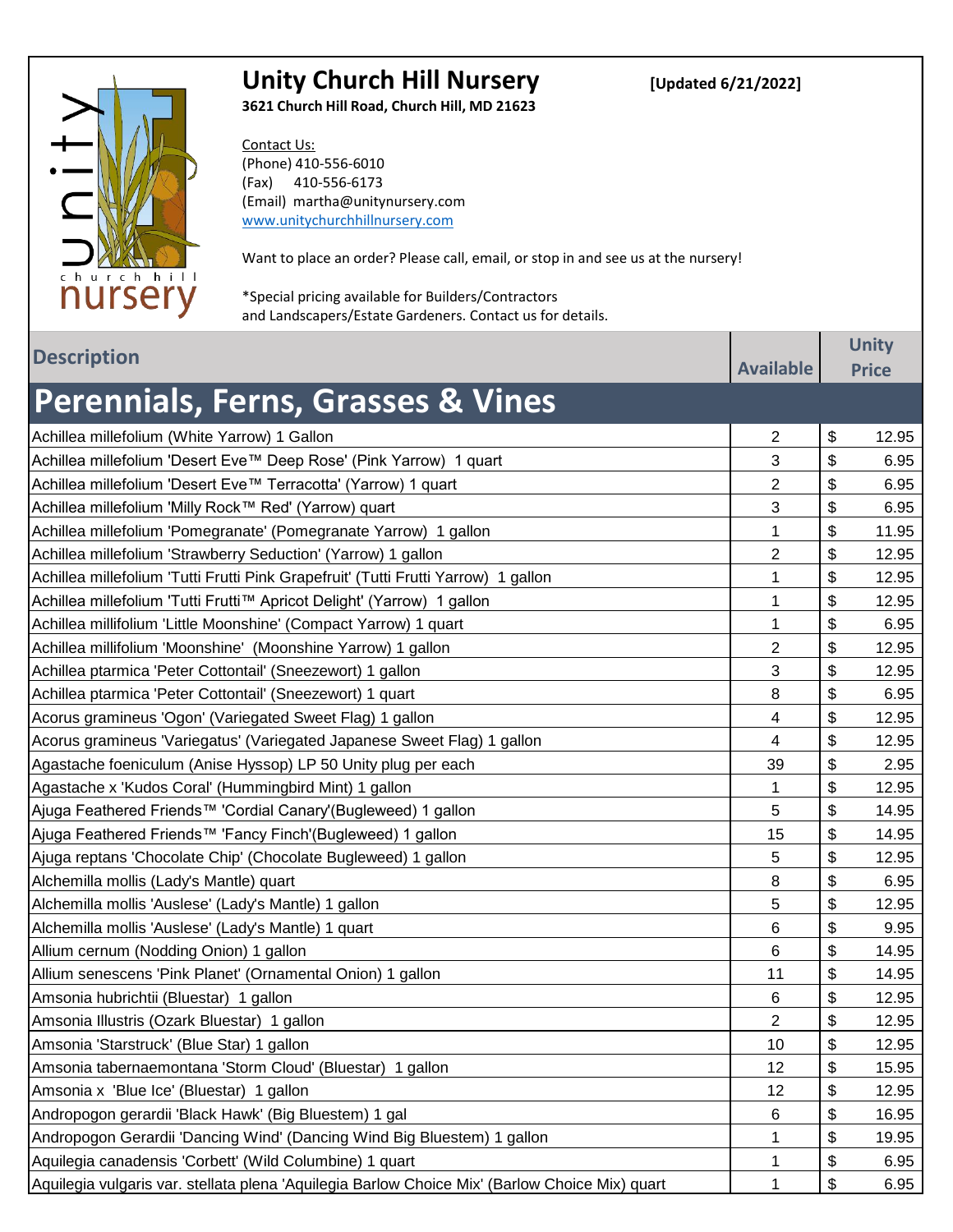

## Unity Church Hill Nursery *[Updated 6/21/2022]*

**3621 Church Hill Road, Church Hill, MD 21623**

Contact Us: (Phone) 410-556-6010 (Fax) 410-556-6173 (Email) martha@unitynursery.com www.unitychurchhillnursery.com

Want to place an order? Please call, email, or stop in and see us at the nursery!

\*Special pricing available for Builders/Contractors and Landscapers/Estate Gardeners. Contact us for details.

| <b>Description</b>                                                                             |                  | <b>Unity</b> |
|------------------------------------------------------------------------------------------------|------------------|--------------|
|                                                                                                | <b>Available</b> | <b>Price</b> |
| <b>Perennials, Ferns, Grasses &amp; Vines</b>                                                  |                  |              |
| Achillea millefolium (White Yarrow) 1 Gallon                                                   | $\overline{2}$   | \$<br>12.95  |
| Achillea millefolium 'Desert Eve™ Deep Rose' (Pink Yarrow) 1 quart                             | 3                | \$<br>6.95   |
| Achillea millefolium 'Desert Eve™ Terracotta' (Yarrow) 1 quart                                 | $\overline{c}$   | \$<br>6.95   |
| Achillea millefolium 'Milly Rock™ Red' (Yarrow) quart                                          | 3                | \$<br>6.95   |
| Achillea millefolium 'Pomegranate' (Pomegranate Yarrow) 1 gallon                               | 1                | \$<br>11.95  |
| Achillea millefolium 'Strawberry Seduction' (Yarrow) 1 gallon                                  | 2                | \$<br>12.95  |
| Achillea millefolium 'Tutti Frutti Pink Grapefruit' (Tutti Frutti Yarrow) 1 gallon             | 1                | \$<br>12.95  |
| Achillea millefolium 'Tutti Frutti™ Apricot Delight' (Yarrow) 1 gallon                         | 1                | \$<br>12.95  |
| Achillea millifolium 'Little Moonshine' (Compact Yarrow) 1 quart                               | 1                | \$<br>6.95   |
| Achillea millifolium 'Moonshine' (Moonshine Yarrow) 1 gallon                                   | 2                | \$<br>12.95  |
| Achillea ptarmica 'Peter Cottontail' (Sneezewort) 1 gallon                                     | 3                | \$<br>12.95  |
| Achillea ptarmica 'Peter Cottontail' (Sneezewort) 1 quart                                      | 8                | \$<br>6.95   |
| Acorus gramineus 'Ogon' (Variegated Sweet Flag) 1 gallon                                       | 4                | \$<br>12.95  |
| Acorus gramineus 'Variegatus' (Variegated Japanese Sweet Flag) 1 gallon                        | 4                | \$<br>12.95  |
| Agastache foeniculum (Anise Hyssop) LP 50 Unity plug per each                                  | 39               | \$<br>2.95   |
| Agastache x 'Kudos Coral' (Hummingbird Mint) 1 gallon                                          | 1                | \$<br>12.95  |
| Ajuga Feathered Friends™ 'Cordial Canary'(Bugleweed) 1 gallon                                  | 5                | \$<br>14.95  |
| Ajuga Feathered Friends™ 'Fancy Finch'(Bugleweed) 1 gallon                                     | 15               | \$<br>14.95  |
| Ajuga reptans 'Chocolate Chip' (Chocolate Bugleweed) 1 gallon                                  | 5                | \$<br>12.95  |
| Alchemilla mollis (Lady's Mantle) quart                                                        | 8                | \$<br>6.95   |
| Alchemilla mollis 'Auslese' (Lady's Mantle) 1 gallon                                           | 5                | \$<br>12.95  |
| Alchemilla mollis 'Auslese' (Lady's Mantle) 1 quart                                            | 6                | \$<br>9.95   |
| Allium cernum (Nodding Onion) 1 gallon                                                         | 6                | \$<br>14.95  |
| Allium senescens 'Pink Planet' (Ornamental Onion) 1 gallon                                     | 11               | \$<br>14.95  |
| Amsonia hubrichtii (Bluestar) 1 gallon                                                         | 6                | \$<br>12.95  |
| Amsonia Illustris (Ozark Bluestar) 1 gallon                                                    | $\overline{2}$   | \$<br>12.95  |
| Amsonia 'Starstruck' (Blue Star) 1 gallon                                                      | 10               | \$<br>12.95  |
| Amsonia tabernaemontana 'Storm Cloud' (Bluestar) 1 gallon                                      | 12               | \$<br>15.95  |
| Amsonia x 'Blue Ice' (Bluestar) 1 gallon                                                       | 12               | \$<br>12.95  |
| Andropogon gerardii 'Black Hawk' (Big Bluestem) 1 gal                                          | 6                | \$<br>16.95  |
| Andropogon Gerardii 'Dancing Wind' (Dancing Wind Big Bluestem) 1 gallon                        | 1                | \$<br>19.95  |
| Aquilegia canadensis 'Corbett' (Wild Columbine) 1 quart                                        | 1                | \$<br>6.95   |
| Aquilegia vulgaris var. stellata plena 'Aquilegia Barlow Choice Mix' (Barlow Choice Mix) quart | 1                | \$<br>6.95   |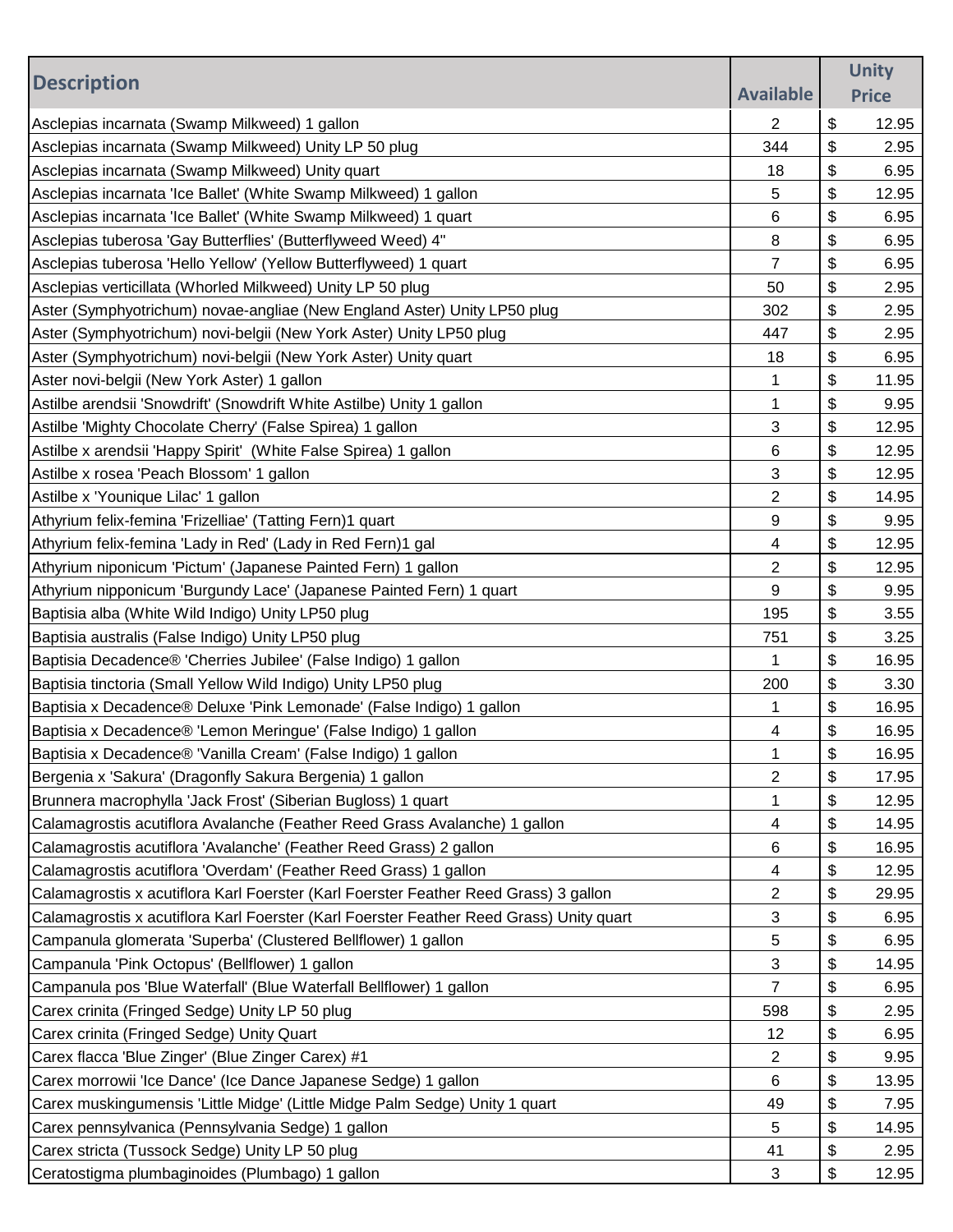|                                                                                         |                  | <b>Unity</b> |
|-----------------------------------------------------------------------------------------|------------------|--------------|
| <b>Description</b>                                                                      | <b>Available</b> | <b>Price</b> |
| Asclepias incarnata (Swamp Milkweed) 1 gallon                                           | 2                | \$<br>12.95  |
| Asclepias incarnata (Swamp Milkweed) Unity LP 50 plug                                   | 344              | \$<br>2.95   |
| Asclepias incarnata (Swamp Milkweed) Unity quart                                        | 18               | \$<br>6.95   |
| Asclepias incarnata 'Ice Ballet' (White Swamp Milkweed) 1 gallon                        | 5                | \$<br>12.95  |
| Asclepias incarnata 'Ice Ballet' (White Swamp Milkweed) 1 quart                         | 6                | \$<br>6.95   |
| Asclepias tuberosa 'Gay Butterflies' (Butterflyweed Weed) 4"                            | 8                | \$<br>6.95   |
| Asclepias tuberosa 'Hello Yellow' (Yellow Butterflyweed) 1 quart                        | $\overline{7}$   | \$<br>6.95   |
| Asclepias verticillata (Whorled Milkweed) Unity LP 50 plug                              | 50               | \$<br>2.95   |
| Aster (Symphyotrichum) novae-angliae (New England Aster) Unity LP50 plug                | 302              | \$<br>2.95   |
| Aster (Symphyotrichum) novi-belgii (New York Aster) Unity LP50 plug                     | 447              | \$<br>2.95   |
| Aster (Symphyotrichum) novi-belgii (New York Aster) Unity quart                         | 18               | \$<br>6.95   |
| Aster novi-belgii (New York Aster) 1 gallon                                             | 1                | \$<br>11.95  |
| Astilbe arendsii 'Snowdrift' (Snowdrift White Astilbe) Unity 1 gallon                   | 1                | \$<br>9.95   |
| Astilbe 'Mighty Chocolate Cherry' (False Spirea) 1 gallon                               | 3                | \$<br>12.95  |
| Astilbe x arendsii 'Happy Spirit' (White False Spirea) 1 gallon                         | 6                | \$<br>12.95  |
| Astilbe x rosea 'Peach Blossom' 1 gallon                                                | 3                | \$<br>12.95  |
| Astilbe x 'Younique Lilac' 1 gallon                                                     | 2                | \$<br>14.95  |
| Athyrium felix-femina 'Frizelliae' (Tatting Fern)1 quart                                | 9                | \$<br>9.95   |
| Athyrium felix-femina 'Lady in Red' (Lady in Red Fern)1 gal                             | 4                | \$<br>12.95  |
| Athyrium niponicum 'Pictum' (Japanese Painted Fern) 1 gallon                            | $\overline{2}$   | \$<br>12.95  |
| Athyrium nipponicum 'Burgundy Lace' (Japanese Painted Fern) 1 quart                     | 9                | \$<br>9.95   |
| Baptisia alba (White Wild Indigo) Unity LP50 plug                                       | 195              | \$<br>3.55   |
| Baptisia australis (False Indigo) Unity LP50 plug                                       | 751              | \$<br>3.25   |
| Baptisia Decadence® 'Cherries Jubilee' (False Indigo) 1 gallon                          | 1                | \$<br>16.95  |
| Baptisia tinctoria (Small Yellow Wild Indigo) Unity LP50 plug                           | 200              | \$<br>3.30   |
| Baptisia x Decadence® Deluxe 'Pink Lemonade' (False Indigo) 1 gallon                    | 1                | \$<br>16.95  |
| Baptisia x Decadence® 'Lemon Meringue' (False Indigo) 1 gallon                          | 4                | \$<br>16.95  |
| Baptisia x Decadence® 'Vanilla Cream' (False Indigo) 1 gallon                           | 1                | \$<br>16.95  |
| Bergenia x 'Sakura' (Dragonfly Sakura Bergenia) 1 gallon                                | 2                | \$<br>17.95  |
| Brunnera macrophylla 'Jack Frost' (Siberian Bugloss) 1 quart                            | 1                | \$<br>12.95  |
| Calamagrostis acutiflora Avalanche (Feather Reed Grass Avalanche) 1 gallon              | 4                | \$<br>14.95  |
| Calamagrostis acutiflora 'Avalanche' (Feather Reed Grass) 2 gallon                      | 6                | \$<br>16.95  |
| Calamagrostis acutiflora 'Overdam' (Feather Reed Grass) 1 gallon                        | 4                | \$<br>12.95  |
| Calamagrostis x acutiflora Karl Foerster (Karl Foerster Feather Reed Grass) 3 gallon    | $\overline{2}$   | \$<br>29.95  |
| Calamagrostis x acutiflora Karl Foerster (Karl Foerster Feather Reed Grass) Unity quart | 3                | \$<br>6.95   |
| Campanula glomerata 'Superba' (Clustered Bellflower) 1 gallon                           | 5                | \$<br>6.95   |
| Campanula 'Pink Octopus' (Bellflower) 1 gallon                                          | 3                | \$<br>14.95  |
| Campanula pos 'Blue Waterfall' (Blue Waterfall Bellflower) 1 gallon                     | $\overline{7}$   | \$<br>6.95   |
| Carex crinita (Fringed Sedge) Unity LP 50 plug                                          | 598              | \$<br>2.95   |
| Carex crinita (Fringed Sedge) Unity Quart                                               | 12               | \$<br>6.95   |
| Carex flacca 'Blue Zinger' (Blue Zinger Carex) #1                                       | 2                | \$<br>9.95   |
| Carex morrowii 'Ice Dance' (Ice Dance Japanese Sedge) 1 gallon                          | 6                | \$<br>13.95  |
| Carex muskingumensis 'Little Midge' (Little Midge Palm Sedge) Unity 1 quart             | 49               | \$<br>7.95   |
| Carex pennsylvanica (Pennsylvania Sedge) 1 gallon                                       | 5                | \$<br>14.95  |
| Carex stricta (Tussock Sedge) Unity LP 50 plug                                          | 41               | \$<br>2.95   |
| Ceratostigma plumbaginoides (Plumbago) 1 gallon                                         | 3                | \$<br>12.95  |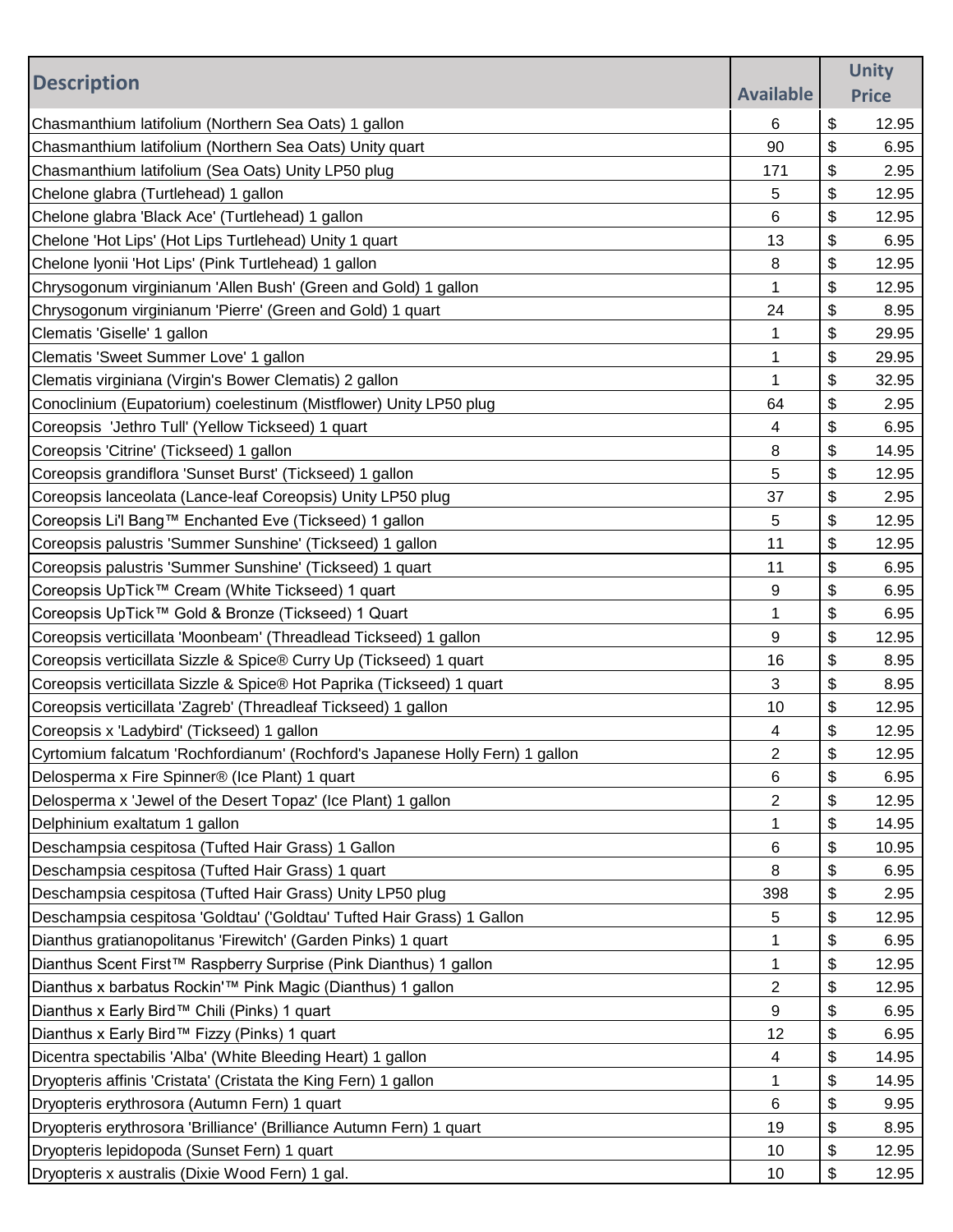| <b>Description</b>                                                           | <b>Available</b> | <b>Unity</b> |
|------------------------------------------------------------------------------|------------------|--------------|
|                                                                              |                  | <b>Price</b> |
| Chasmanthium latifolium (Northern Sea Oats) 1 gallon                         | 6                | \$<br>12.95  |
| Chasmanthium latifolium (Northern Sea Oats) Unity quart                      | 90               | \$<br>6.95   |
| Chasmanthium latifolium (Sea Oats) Unity LP50 plug                           | 171              | \$<br>2.95   |
| Chelone glabra (Turtlehead) 1 gallon                                         | 5                | \$<br>12.95  |
| Chelone glabra 'Black Ace' (Turtlehead) 1 gallon                             | 6                | \$<br>12.95  |
| Chelone 'Hot Lips' (Hot Lips Turtlehead) Unity 1 quart                       | 13               | \$<br>6.95   |
| Chelone Iyonii 'Hot Lips' (Pink Turtlehead) 1 gallon                         | 8                | \$<br>12.95  |
| Chrysogonum virginianum 'Allen Bush' (Green and Gold) 1 gallon               | 1                | \$<br>12.95  |
| Chrysogonum virginianum 'Pierre' (Green and Gold) 1 quart                    | 24               | \$<br>8.95   |
| Clematis 'Giselle' 1 gallon                                                  | 1                | \$<br>29.95  |
| Clematis 'Sweet Summer Love' 1 gallon                                        | 1                | \$<br>29.95  |
| Clematis virginiana (Virgin's Bower Clematis) 2 gallon                       | 1                | \$<br>32.95  |
| Conoclinium (Eupatorium) coelestinum (Mistflower) Unity LP50 plug            | 64               | \$<br>2.95   |
| Coreopsis 'Jethro Tull' (Yellow Tickseed) 1 quart                            | 4                | \$<br>6.95   |
| Coreopsis 'Citrine' (Tickseed) 1 gallon                                      | 8                | \$<br>14.95  |
| Coreopsis grandiflora 'Sunset Burst' (Tickseed) 1 gallon                     | 5                | \$<br>12.95  |
| Coreopsis lanceolata (Lance-leaf Coreopsis) Unity LP50 plug                  | 37               | \$<br>2.95   |
| Coreopsis Li'l Bang™ Enchanted Eve (Tickseed) 1 gallon                       | 5                | \$<br>12.95  |
| Coreopsis palustris 'Summer Sunshine' (Tickseed) 1 gallon                    | 11               | \$<br>12.95  |
| Coreopsis palustris 'Summer Sunshine' (Tickseed) 1 quart                     | 11               | \$<br>6.95   |
| Coreopsis UpTick™ Cream (White Tickseed) 1 quart                             | 9                | \$<br>6.95   |
| Coreopsis UpTick™ Gold & Bronze (Tickseed) 1 Quart                           | 1                | \$<br>6.95   |
| Coreopsis verticillata 'Moonbeam' (Threadlead Tickseed) 1 gallon             | 9                | \$<br>12.95  |
| Coreopsis verticillata Sizzle & Spice® Curry Up (Tickseed) 1 quart           | 16               | \$<br>8.95   |
| Coreopsis verticillata Sizzle & Spice® Hot Paprika (Tickseed) 1 quart        | 3                | \$<br>8.95   |
| Coreopsis verticillata 'Zagreb' (Threadleaf Tickseed) 1 gallon               | 10               | \$<br>12.95  |
| Coreopsis x 'Ladybird' (Tickseed) 1 gallon                                   | 4                | \$<br>12.95  |
| Cyrtomium falcatum 'Rochfordianum' (Rochford's Japanese Holly Fern) 1 gallon | $\overline{c}$   | \$<br>12.95  |
| Delosperma x Fire Spinner® (Ice Plant) 1 quart                               | 6                | \$<br>6.95   |
| Delosperma x 'Jewel of the Desert Topaz' (Ice Plant) 1 gallon                | $\overline{c}$   | \$<br>12.95  |
| Delphinium exaltatum 1 gallon                                                | 1                | \$<br>14.95  |
| Deschampsia cespitosa (Tufted Hair Grass) 1 Gallon                           | 6                | \$<br>10.95  |
| Deschampsia cespitosa (Tufted Hair Grass) 1 quart                            | 8                | \$<br>6.95   |
| Deschampsia cespitosa (Tufted Hair Grass) Unity LP50 plug                    | 398              | \$<br>2.95   |
| Deschampsia cespitosa 'Goldtau' ('Goldtau' Tufted Hair Grass) 1 Gallon       | 5                | \$<br>12.95  |
| Dianthus gratianopolitanus 'Firewitch' (Garden Pinks) 1 quart                | 1                | \$<br>6.95   |
| Dianthus Scent First™ Raspberry Surprise (Pink Dianthus) 1 gallon            | 1                | \$<br>12.95  |
| Dianthus x barbatus Rockin'™ Pink Magic (Dianthus) 1 gallon                  | $\overline{2}$   | \$<br>12.95  |
| Dianthus x Early Bird™ Chili (Pinks) 1 quart                                 | 9                | \$<br>6.95   |
| Dianthus x Early Bird™ Fizzy (Pinks) 1 quart                                 | 12               | \$<br>6.95   |
| Dicentra spectabilis 'Alba' (White Bleeding Heart) 1 gallon                  | 4                | \$<br>14.95  |
| Dryopteris affinis 'Cristata' (Cristata the King Fern) 1 gallon              | 1                | \$<br>14.95  |
| Dryopteris erythrosora (Autumn Fern) 1 quart                                 | 6                | \$<br>9.95   |
| Dryopteris erythrosora 'Brilliance' (Brilliance Autumn Fern) 1 quart         | 19               | \$<br>8.95   |
| Dryopteris lepidopoda (Sunset Fern) 1 quart                                  | 10               | \$<br>12.95  |
| Dryopteris x australis (Dixie Wood Fern) 1 gal.                              | 10               | \$<br>12.95  |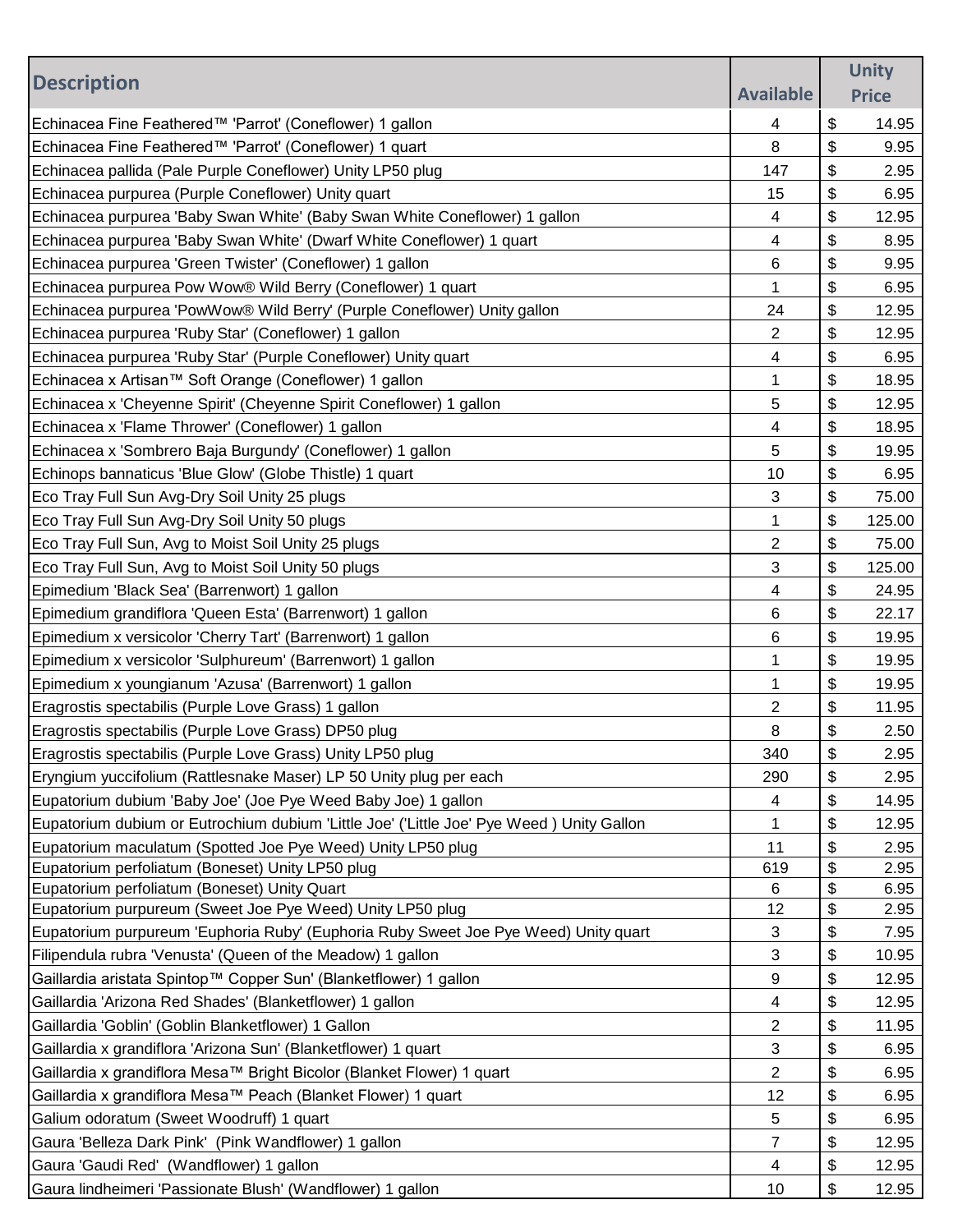|                                                                                           |                         | <b>Unity</b> |
|-------------------------------------------------------------------------------------------|-------------------------|--------------|
| <b>Description</b>                                                                        | <b>Available</b>        | <b>Price</b> |
| Echinacea Fine Feathered™ 'Parrot' (Coneflower) 1 gallon                                  | 4                       | \$<br>14.95  |
| Echinacea Fine Feathered™ 'Parrot' (Coneflower) 1 quart                                   | 8                       | \$<br>9.95   |
| Echinacea pallida (Pale Purple Coneflower) Unity LP50 plug                                | 147                     | \$<br>2.95   |
| Echinacea purpurea (Purple Coneflower) Unity quart                                        | 15                      | \$<br>6.95   |
| Echinacea purpurea 'Baby Swan White' (Baby Swan White Coneflower) 1 gallon                | 4                       | \$<br>12.95  |
| Echinacea purpurea 'Baby Swan White' (Dwarf White Coneflower) 1 quart                     | 4                       | \$<br>8.95   |
| Echinacea purpurea 'Green Twister' (Coneflower) 1 gallon                                  | 6                       | \$<br>9.95   |
| Echinacea purpurea Pow Wow® Wild Berry (Coneflower) 1 quart                               | 1                       | \$<br>6.95   |
| Echinacea purpurea 'PowWow® Wild Berry' (Purple Coneflower) Unity gallon                  | 24                      | \$<br>12.95  |
| Echinacea purpurea 'Ruby Star' (Coneflower) 1 gallon                                      | 2                       | \$<br>12.95  |
| Echinacea purpurea 'Ruby Star' (Purple Coneflower) Unity quart                            | 4                       | \$<br>6.95   |
| Echinacea x Artisan™ Soft Orange (Coneflower) 1 gallon                                    | 1                       | \$<br>18.95  |
| Echinacea x 'Cheyenne Spirit' (Cheyenne Spirit Coneflower) 1 gallon                       | 5                       | \$<br>12.95  |
| Echinacea x 'Flame Thrower' (Coneflower) 1 gallon                                         | 4                       | \$<br>18.95  |
| Echinacea x 'Sombrero Baja Burgundy' (Coneflower) 1 gallon                                | 5                       | \$<br>19.95  |
| Echinops bannaticus 'Blue Glow' (Globe Thistle) 1 quart                                   | 10                      | \$<br>6.95   |
| Eco Tray Full Sun Avg-Dry Soil Unity 25 plugs                                             | 3                       | \$<br>75.00  |
| Eco Tray Full Sun Avg-Dry Soil Unity 50 plugs                                             | 1                       | \$<br>125.00 |
| Eco Tray Full Sun, Avg to Moist Soil Unity 25 plugs                                       | $\overline{2}$          | \$<br>75.00  |
| Eco Tray Full Sun, Avg to Moist Soil Unity 50 plugs                                       | 3                       | \$<br>125.00 |
| Epimedium 'Black Sea' (Barrenwort) 1 gallon                                               | 4                       | \$<br>24.95  |
| Epimedium grandiflora 'Queen Esta' (Barrenwort) 1 gallon                                  | 6                       | \$<br>22.17  |
| Epimedium x versicolor 'Cherry Tart' (Barrenwort) 1 gallon                                | 6                       | \$<br>19.95  |
| Epimedium x versicolor 'Sulphureum' (Barrenwort) 1 gallon                                 | 1                       | \$<br>19.95  |
| Epimedium x youngianum 'Azusa' (Barrenwort) 1 gallon                                      | 1                       | \$<br>19.95  |
| Eragrostis spectabilis (Purple Love Grass) 1 gallon                                       | $\overline{2}$          | \$<br>11.95  |
| Eragrostis spectabilis (Purple Love Grass) DP50 plug                                      | 8                       | \$<br>2.50   |
| Eragrostis spectabilis (Purple Love Grass) Unity LP50 plug                                | 340                     | \$<br>2.95   |
| Eryngium yuccifolium (Rattlesnake Maser) LP 50 Unity plug per each                        | 290                     | \$<br>2.95   |
| Eupatorium dubium 'Baby Joe' (Joe Pye Weed Baby Joe) 1 gallon                             | 4                       | \$<br>14.95  |
| Eupatorium dubium or Eutrochium dubium 'Little Joe' ('Little Joe' Pye Weed ) Unity Gallon | 1                       | \$<br>12.95  |
| Eupatorium maculatum (Spotted Joe Pye Weed) Unity LP50 plug                               | 11                      | \$<br>2.95   |
| Eupatorium perfoliatum (Boneset) Unity LP50 plug                                          | 619                     | \$<br>2.95   |
| Eupatorium perfoliatum (Boneset) Unity Quart                                              | 6                       | \$<br>6.95   |
| Eupatorium purpureum (Sweet Joe Pye Weed) Unity LP50 plug                                 | 12                      | \$<br>2.95   |
| Eupatorium purpureum 'Euphoria Ruby' (Euphoria Ruby Sweet Joe Pye Weed) Unity quart       | 3                       | \$<br>7.95   |
| Filipendula rubra 'Venusta' (Queen of the Meadow) 1 gallon                                | 3                       | \$<br>10.95  |
| Gaillardia aristata Spintop™ Copper Sun' (Blanketflower) 1 gallon                         | 9                       | \$<br>12.95  |
| Gaillardia 'Arizona Red Shades' (Blanketflower) 1 gallon                                  | 4                       | \$<br>12.95  |
| Gaillardia 'Goblin' (Goblin Blanketflower) 1 Gallon                                       | $\overline{\mathbf{c}}$ | \$<br>11.95  |
| Gaillardia x grandiflora 'Arizona Sun' (Blanketflower) 1 quart                            | 3                       | \$<br>6.95   |
| Gaillardia x grandiflora Mesa™ Bright Bicolor (Blanket Flower) 1 quart                    | $\overline{2}$          | \$<br>6.95   |
| Gaillardia x grandiflora Mesa™ Peach (Blanket Flower) 1 quart                             | 12                      | \$<br>6.95   |
| Galium odoratum (Sweet Woodruff) 1 quart                                                  | 5                       | \$<br>6.95   |
| Gaura 'Belleza Dark Pink' (Pink Wandflower) 1 gallon                                      | 7                       | \$<br>12.95  |
| Gaura 'Gaudi Red' (Wandflower) 1 gallon                                                   | 4                       | \$<br>12.95  |
| Gaura lindheimeri 'Passionate Blush' (Wandflower) 1 gallon                                | 10                      | \$<br>12.95  |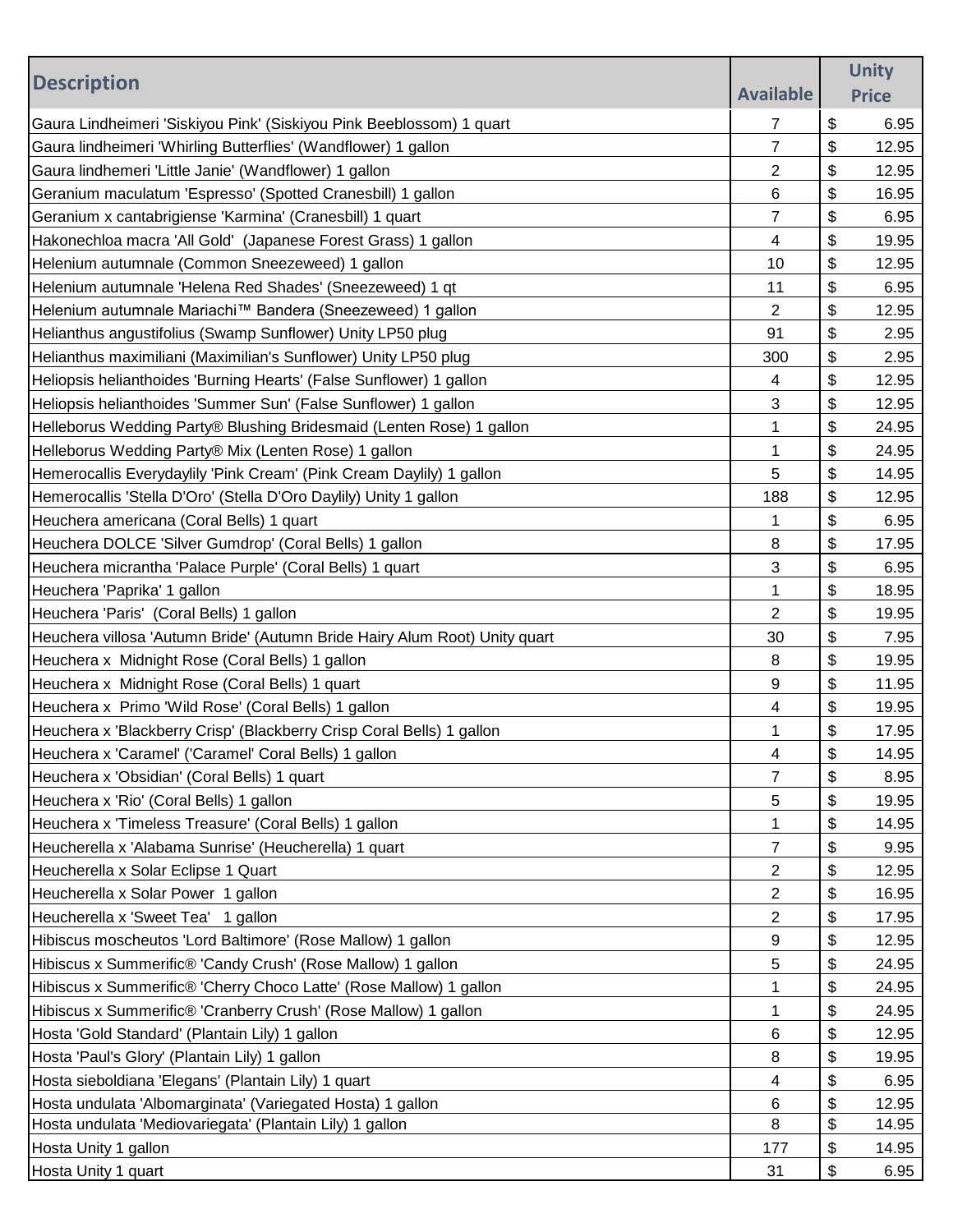| \$<br>6.95<br>7<br>\$<br>7<br>Gaura lindheimeri 'Whirling Butterflies' (Wandflower) 1 gallon<br>12.95<br>\$<br>Gaura lindhemeri 'Little Janie' (Wandflower) 1 gallon<br>2<br>12.95<br>\$<br>6<br>Geranium maculatum 'Espresso' (Spotted Cranesbill) 1 gallon<br>16.95<br>\$<br>7<br>Geranium x cantabrigiense 'Karmina' (Cranesbill) 1 quart<br>6.95<br>\$<br>4<br>19.95<br>\$<br>10<br>12.95<br>\$<br>11<br>6.95<br>\$<br>2<br>12.95<br>\$<br>91<br>2.95<br>\$<br>300<br>2.95<br>\$<br>4<br>12.95<br>\$<br>3<br>12.95<br>\$<br>1<br>24.95<br>\$<br>1<br>24.95<br>\$<br>5<br>14.95<br>\$<br>188<br>12.95<br>\$<br>1<br>6.95<br>Heuchera DOLCE 'Silver Gumdrop' (Coral Bells) 1 gallon<br>\$<br>8<br>17.95<br>\$<br>3<br>Heuchera micrantha 'Palace Purple' (Coral Bells) 1 quart<br>6.95<br>\$<br>Heuchera 'Paprika' 1 gallon<br>18.95<br>1<br>\$<br>2<br>Heuchera 'Paris' (Coral Bells) 1 gallon<br>19.95 | <b>Description</b>                                                         |                  | <b>Unity</b> |
|------------------------------------------------------------------------------------------------------------------------------------------------------------------------------------------------------------------------------------------------------------------------------------------------------------------------------------------------------------------------------------------------------------------------------------------------------------------------------------------------------------------------------------------------------------------------------------------------------------------------------------------------------------------------------------------------------------------------------------------------------------------------------------------------------------------------------------------------------------------------------------------------------------|----------------------------------------------------------------------------|------------------|--------------|
|                                                                                                                                                                                                                                                                                                                                                                                                                                                                                                                                                                                                                                                                                                                                                                                                                                                                                                            |                                                                            | <b>Available</b> | <b>Price</b> |
|                                                                                                                                                                                                                                                                                                                                                                                                                                                                                                                                                                                                                                                                                                                                                                                                                                                                                                            | Gaura Lindheimeri 'Siskiyou Pink' (Siskiyou Pink Beeblossom) 1 quart       |                  |              |
|                                                                                                                                                                                                                                                                                                                                                                                                                                                                                                                                                                                                                                                                                                                                                                                                                                                                                                            |                                                                            |                  |              |
|                                                                                                                                                                                                                                                                                                                                                                                                                                                                                                                                                                                                                                                                                                                                                                                                                                                                                                            |                                                                            |                  |              |
|                                                                                                                                                                                                                                                                                                                                                                                                                                                                                                                                                                                                                                                                                                                                                                                                                                                                                                            |                                                                            |                  |              |
|                                                                                                                                                                                                                                                                                                                                                                                                                                                                                                                                                                                                                                                                                                                                                                                                                                                                                                            |                                                                            |                  |              |
|                                                                                                                                                                                                                                                                                                                                                                                                                                                                                                                                                                                                                                                                                                                                                                                                                                                                                                            | Hakonechloa macra 'All Gold' (Japanese Forest Grass) 1 gallon              |                  |              |
|                                                                                                                                                                                                                                                                                                                                                                                                                                                                                                                                                                                                                                                                                                                                                                                                                                                                                                            | Helenium autumnale (Common Sneezeweed) 1 gallon                            |                  |              |
|                                                                                                                                                                                                                                                                                                                                                                                                                                                                                                                                                                                                                                                                                                                                                                                                                                                                                                            | Helenium autumnale 'Helena Red Shades' (Sneezeweed) 1 qt                   |                  |              |
|                                                                                                                                                                                                                                                                                                                                                                                                                                                                                                                                                                                                                                                                                                                                                                                                                                                                                                            | Helenium autumnale Mariachi™ Bandera (Sneezeweed) 1 gallon                 |                  |              |
|                                                                                                                                                                                                                                                                                                                                                                                                                                                                                                                                                                                                                                                                                                                                                                                                                                                                                                            | Helianthus angustifolius (Swamp Sunflower) Unity LP50 plug                 |                  |              |
|                                                                                                                                                                                                                                                                                                                                                                                                                                                                                                                                                                                                                                                                                                                                                                                                                                                                                                            | Helianthus maximiliani (Maximilian's Sunflower) Unity LP50 plug            |                  |              |
|                                                                                                                                                                                                                                                                                                                                                                                                                                                                                                                                                                                                                                                                                                                                                                                                                                                                                                            | Heliopsis helianthoides 'Burning Hearts' (False Sunflower) 1 gallon        |                  |              |
|                                                                                                                                                                                                                                                                                                                                                                                                                                                                                                                                                                                                                                                                                                                                                                                                                                                                                                            | Heliopsis helianthoides 'Summer Sun' (False Sunflower) 1 gallon            |                  |              |
|                                                                                                                                                                                                                                                                                                                                                                                                                                                                                                                                                                                                                                                                                                                                                                                                                                                                                                            | Helleborus Wedding Party® Blushing Bridesmaid (Lenten Rose) 1 gallon       |                  |              |
|                                                                                                                                                                                                                                                                                                                                                                                                                                                                                                                                                                                                                                                                                                                                                                                                                                                                                                            | Helleborus Wedding Party® Mix (Lenten Rose) 1 gallon                       |                  |              |
|                                                                                                                                                                                                                                                                                                                                                                                                                                                                                                                                                                                                                                                                                                                                                                                                                                                                                                            | Hemerocallis Everydaylily 'Pink Cream' (Pink Cream Daylily) 1 gallon       |                  |              |
|                                                                                                                                                                                                                                                                                                                                                                                                                                                                                                                                                                                                                                                                                                                                                                                                                                                                                                            | Hemerocallis 'Stella D'Oro' (Stella D'Oro Daylily) Unity 1 gallon          |                  |              |
|                                                                                                                                                                                                                                                                                                                                                                                                                                                                                                                                                                                                                                                                                                                                                                                                                                                                                                            | Heuchera americana (Coral Bells) 1 quart                                   |                  |              |
|                                                                                                                                                                                                                                                                                                                                                                                                                                                                                                                                                                                                                                                                                                                                                                                                                                                                                                            |                                                                            |                  |              |
|                                                                                                                                                                                                                                                                                                                                                                                                                                                                                                                                                                                                                                                                                                                                                                                                                                                                                                            |                                                                            |                  |              |
|                                                                                                                                                                                                                                                                                                                                                                                                                                                                                                                                                                                                                                                                                                                                                                                                                                                                                                            |                                                                            |                  |              |
|                                                                                                                                                                                                                                                                                                                                                                                                                                                                                                                                                                                                                                                                                                                                                                                                                                                                                                            |                                                                            |                  |              |
| \$<br>30<br>7.95                                                                                                                                                                                                                                                                                                                                                                                                                                                                                                                                                                                                                                                                                                                                                                                                                                                                                           | Heuchera villosa 'Autumn Bride' (Autumn Bride Hairy Alum Root) Unity quart |                  |              |
| \$<br>8<br>19.95                                                                                                                                                                                                                                                                                                                                                                                                                                                                                                                                                                                                                                                                                                                                                                                                                                                                                           | Heuchera x Midnight Rose (Coral Bells) 1 gallon                            |                  |              |
| \$<br>9<br>11.95                                                                                                                                                                                                                                                                                                                                                                                                                                                                                                                                                                                                                                                                                                                                                                                                                                                                                           | Heuchera x Midnight Rose (Coral Bells) 1 quart                             |                  |              |
| \$<br>4<br>19.95                                                                                                                                                                                                                                                                                                                                                                                                                                                                                                                                                                                                                                                                                                                                                                                                                                                                                           | Heuchera x Primo 'Wild Rose' (Coral Bells) 1 gallon                        |                  |              |
| \$<br>17.95<br>1                                                                                                                                                                                                                                                                                                                                                                                                                                                                                                                                                                                                                                                                                                                                                                                                                                                                                           | Heuchera x 'Blackberry Crisp' (Blackberry Crisp Coral Bells) 1 gallon      |                  |              |
| \$<br>14.95<br>4                                                                                                                                                                                                                                                                                                                                                                                                                                                                                                                                                                                                                                                                                                                                                                                                                                                                                           | Heuchera x 'Caramel' ('Caramel' Coral Bells) 1 gallon                      |                  |              |
| \$<br>7<br>8.95                                                                                                                                                                                                                                                                                                                                                                                                                                                                                                                                                                                                                                                                                                                                                                                                                                                                                            | Heuchera x 'Obsidian' (Coral Bells) 1 quart                                |                  |              |
| \$<br>5<br>19.95                                                                                                                                                                                                                                                                                                                                                                                                                                                                                                                                                                                                                                                                                                                                                                                                                                                                                           | Heuchera x 'Rio' (Coral Bells) 1 gallon                                    |                  |              |
| \$<br>14.95<br>1                                                                                                                                                                                                                                                                                                                                                                                                                                                                                                                                                                                                                                                                                                                                                                                                                                                                                           | Heuchera x 'Timeless Treasure' (Coral Bells) 1 gallon                      |                  |              |
| \$<br>7<br>9.95                                                                                                                                                                                                                                                                                                                                                                                                                                                                                                                                                                                                                                                                                                                                                                                                                                                                                            | Heucherella x 'Alabama Sunrise' (Heucherella) 1 quart                      |                  |              |
| \$<br>2<br>12.95                                                                                                                                                                                                                                                                                                                                                                                                                                                                                                                                                                                                                                                                                                                                                                                                                                                                                           | Heucherella x Solar Eclipse 1 Quart                                        |                  |              |
| \$<br>2<br>16.95                                                                                                                                                                                                                                                                                                                                                                                                                                                                                                                                                                                                                                                                                                                                                                                                                                                                                           | Heucherella x Solar Power 1 gallon                                         |                  |              |
| 2<br>\$<br>17.95                                                                                                                                                                                                                                                                                                                                                                                                                                                                                                                                                                                                                                                                                                                                                                                                                                                                                           | Heucherella x 'Sweet Tea' 1 gallon                                         |                  |              |
| \$<br>9<br>12.95                                                                                                                                                                                                                                                                                                                                                                                                                                                                                                                                                                                                                                                                                                                                                                                                                                                                                           | Hibiscus moscheutos 'Lord Baltimore' (Rose Mallow) 1 gallon                |                  |              |
| \$<br>5<br>24.95                                                                                                                                                                                                                                                                                                                                                                                                                                                                                                                                                                                                                                                                                                                                                                                                                                                                                           | Hibiscus x Summerific® 'Candy Crush' (Rose Mallow) 1 gallon                |                  |              |
| \$<br>1<br>24.95                                                                                                                                                                                                                                                                                                                                                                                                                                                                                                                                                                                                                                                                                                                                                                                                                                                                                           | Hibiscus x Summerific® 'Cherry Choco Latte' (Rose Mallow) 1 gallon         |                  |              |
| \$<br>1<br>24.95                                                                                                                                                                                                                                                                                                                                                                                                                                                                                                                                                                                                                                                                                                                                                                                                                                                                                           | Hibiscus x Summerific® 'Cranberry Crush' (Rose Mallow) 1 gallon            |                  |              |
| \$<br>6<br>12.95                                                                                                                                                                                                                                                                                                                                                                                                                                                                                                                                                                                                                                                                                                                                                                                                                                                                                           | Hosta 'Gold Standard' (Plantain Lily) 1 gallon                             |                  |              |
| \$<br>8<br>19.95                                                                                                                                                                                                                                                                                                                                                                                                                                                                                                                                                                                                                                                                                                                                                                                                                                                                                           | Hosta 'Paul's Glory' (Plantain Lily) 1 gallon                              |                  |              |
| \$<br>4<br>6.95                                                                                                                                                                                                                                                                                                                                                                                                                                                                                                                                                                                                                                                                                                                                                                                                                                                                                            | Hosta sieboldiana 'Elegans' (Plantain Lily) 1 quart                        |                  |              |
| \$<br>12.95<br>6                                                                                                                                                                                                                                                                                                                                                                                                                                                                                                                                                                                                                                                                                                                                                                                                                                                                                           | Hosta undulata 'Albomarginata' (Variegated Hosta) 1 gallon                 |                  |              |
| \$<br>8<br>14.95                                                                                                                                                                                                                                                                                                                                                                                                                                                                                                                                                                                                                                                                                                                                                                                                                                                                                           | Hosta undulata 'Mediovariegata' (Plantain Lily) 1 gallon                   |                  |              |
| \$<br>177<br>14.95                                                                                                                                                                                                                                                                                                                                                                                                                                                                                                                                                                                                                                                                                                                                                                                                                                                                                         | Hosta Unity 1 gallon                                                       |                  |              |
| \$<br>31<br>6.95                                                                                                                                                                                                                                                                                                                                                                                                                                                                                                                                                                                                                                                                                                                                                                                                                                                                                           | Hosta Unity 1 quart                                                        |                  |              |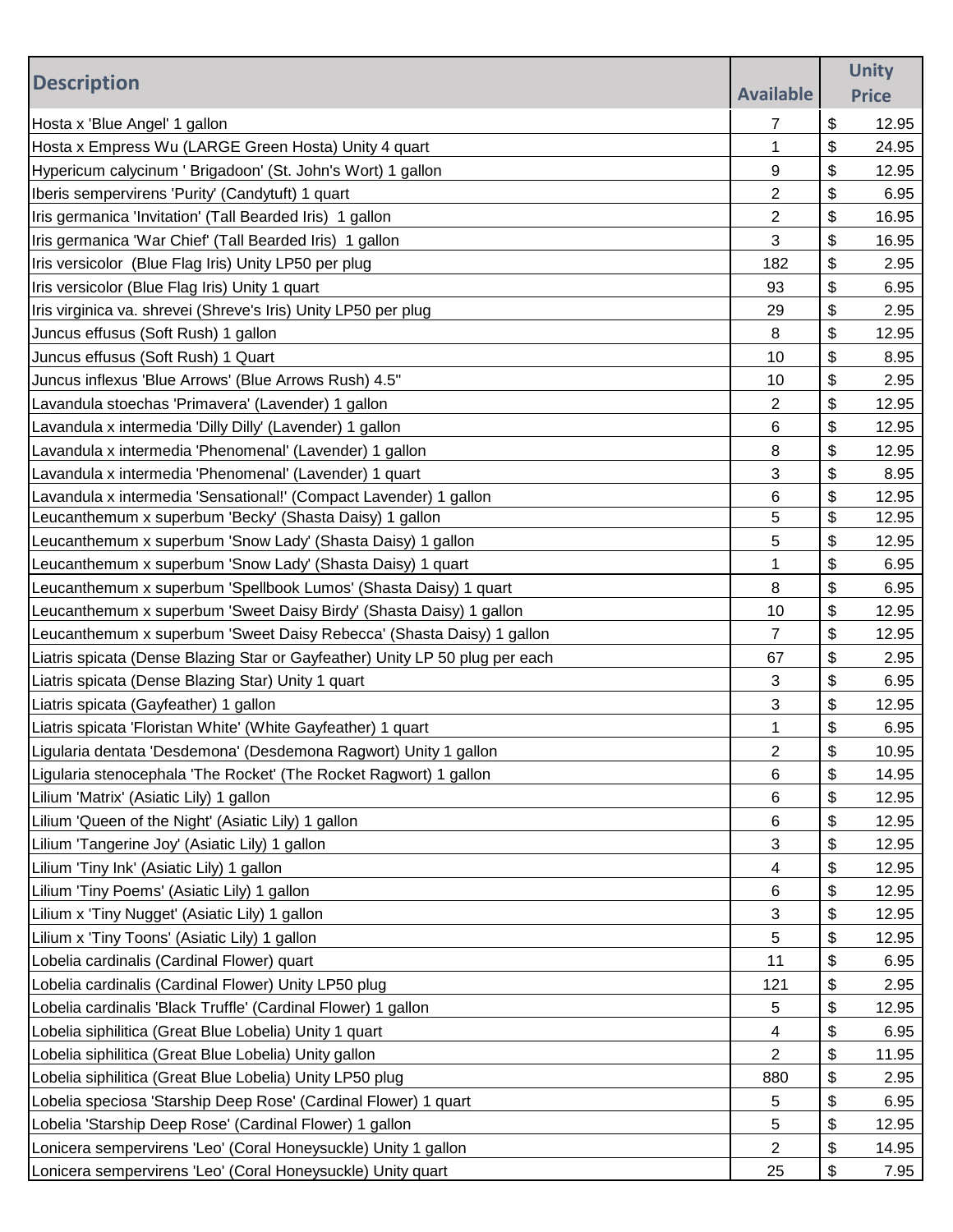|                                                                              |                  | <b>Unity</b> |
|------------------------------------------------------------------------------|------------------|--------------|
| <b>Description</b>                                                           | <b>Available</b> | <b>Price</b> |
| Hosta x 'Blue Angel' 1 gallon                                                | 7                | \$<br>12.95  |
| Hosta x Empress Wu (LARGE Green Hosta) Unity 4 quart                         | 1                | \$<br>24.95  |
| Hypericum calycinum ' Brigadoon' (St. John's Wort) 1 gallon                  | 9                | \$<br>12.95  |
| Iberis sempervirens 'Purity' (Candytuft) 1 quart                             | $\overline{2}$   | \$<br>6.95   |
| Iris germanica 'Invitation' (Tall Bearded Iris) 1 gallon                     | 2                | \$<br>16.95  |
| Iris germanica 'War Chief' (Tall Bearded Iris) 1 gallon                      | 3                | \$<br>16.95  |
| Iris versicolor (Blue Flag Iris) Unity LP50 per plug                         | 182              | \$<br>2.95   |
| Iris versicolor (Blue Flag Iris) Unity 1 quart                               | 93               | \$<br>6.95   |
| Iris virginica va. shrevei (Shreve's Iris) Unity LP50 per plug               | 29               | \$<br>2.95   |
| Juncus effusus (Soft Rush) 1 gallon                                          | 8                | \$<br>12.95  |
| Juncus effusus (Soft Rush) 1 Quart                                           | 10               | \$<br>8.95   |
| Juncus inflexus 'Blue Arrows' (Blue Arrows Rush) 4.5"                        | 10               | \$<br>2.95   |
| Lavandula stoechas 'Primavera' (Lavender) 1 gallon                           | 2                | \$<br>12.95  |
| Lavandula x intermedia 'Dilly Dilly' (Lavender) 1 gallon                     | 6                | \$<br>12.95  |
| Lavandula x intermedia 'Phenomenal' (Lavender) 1 gallon                      | 8                | \$<br>12.95  |
| Lavandula x intermedia 'Phenomenal' (Lavender) 1 quart                       | 3                | \$<br>8.95   |
| Lavandula x intermedia 'Sensational!' (Compact Lavender) 1 gallon            | 6                | \$<br>12.95  |
| Leucanthemum x superbum 'Becky' (Shasta Daisy) 1 gallon                      | 5                | \$<br>12.95  |
| Leucanthemum x superbum 'Snow Lady' (Shasta Daisy) 1 gallon                  | 5                | \$<br>12.95  |
| Leucanthemum x superbum 'Snow Lady' (Shasta Daisy) 1 quart                   | 1                | \$<br>6.95   |
| Leucanthemum x superbum 'Spellbook Lumos' (Shasta Daisy) 1 quart             | 8                | \$<br>6.95   |
| Leucanthemum x superbum 'Sweet Daisy Birdy' (Shasta Daisy) 1 gallon          | 10               | \$<br>12.95  |
| Leucanthemum x superbum 'Sweet Daisy Rebecca' (Shasta Daisy) 1 gallon        | 7                | \$<br>12.95  |
| Liatris spicata (Dense Blazing Star or Gayfeather) Unity LP 50 plug per each | 67               | \$<br>2.95   |
| Liatris spicata (Dense Blazing Star) Unity 1 quart                           | 3                | \$<br>6.95   |
| Liatris spicata (Gayfeather) 1 gallon                                        | 3                | \$<br>12.95  |
| Liatris spicata 'Floristan White' (White Gayfeather) 1 quart                 | 1                | \$<br>6.95   |
| Ligularia dentata 'Desdemona' (Desdemona Ragwort) Unity 1 gallon             | $\overline{c}$   | \$<br>10.95  |
| Ligularia stenocephala 'The Rocket' (The Rocket Ragwort) 1 gallon            | 6                | \$<br>14.95  |
| Lilium 'Matrix' (Asiatic Lily) 1 gallon                                      | 6                | \$<br>12.95  |
| Lilium 'Queen of the Night' (Asiatic Lily) 1 gallon                          | 6                | \$<br>12.95  |
| Lilium 'Tangerine Joy' (Asiatic Lily) 1 gallon                               | 3                | \$<br>12.95  |
| Lilium 'Tiny Ink' (Asiatic Lily) 1 gallon                                    | 4                | \$<br>12.95  |
| Lilium 'Tiny Poems' (Asiatic Lily) 1 gallon                                  | 6                | \$<br>12.95  |
| Lilium x 'Tiny Nugget' (Asiatic Lily) 1 gallon                               | 3                | \$<br>12.95  |
| Lilium x 'Tiny Toons' (Asiatic Lily) 1 gallon                                | 5                | \$<br>12.95  |
| Lobelia cardinalis (Cardinal Flower) quart                                   | 11               | \$<br>6.95   |
| Lobelia cardinalis (Cardinal Flower) Unity LP50 plug                         | 121              | \$<br>2.95   |
| Lobelia cardinalis 'Black Truffle' (Cardinal Flower) 1 gallon                | 5                | \$<br>12.95  |
| Lobelia siphilitica (Great Blue Lobelia) Unity 1 quart                       | 4                | \$<br>6.95   |
| Lobelia siphilitica (Great Blue Lobelia) Unity gallon                        | $\overline{2}$   | \$<br>11.95  |
| Lobelia siphilitica (Great Blue Lobelia) Unity LP50 plug                     | 880              | \$<br>2.95   |
| Lobelia speciosa 'Starship Deep Rose' (Cardinal Flower) 1 quart              | 5                | \$<br>6.95   |
| Lobelia 'Starship Deep Rose' (Cardinal Flower) 1 gallon                      | 5                | \$<br>12.95  |
| Lonicera sempervirens 'Leo' (Coral Honeysuckle) Unity 1 gallon               | $\overline{2}$   | \$<br>14.95  |
| Lonicera sempervirens 'Leo' (Coral Honeysuckle) Unity quart                  | 25               | \$<br>7.95   |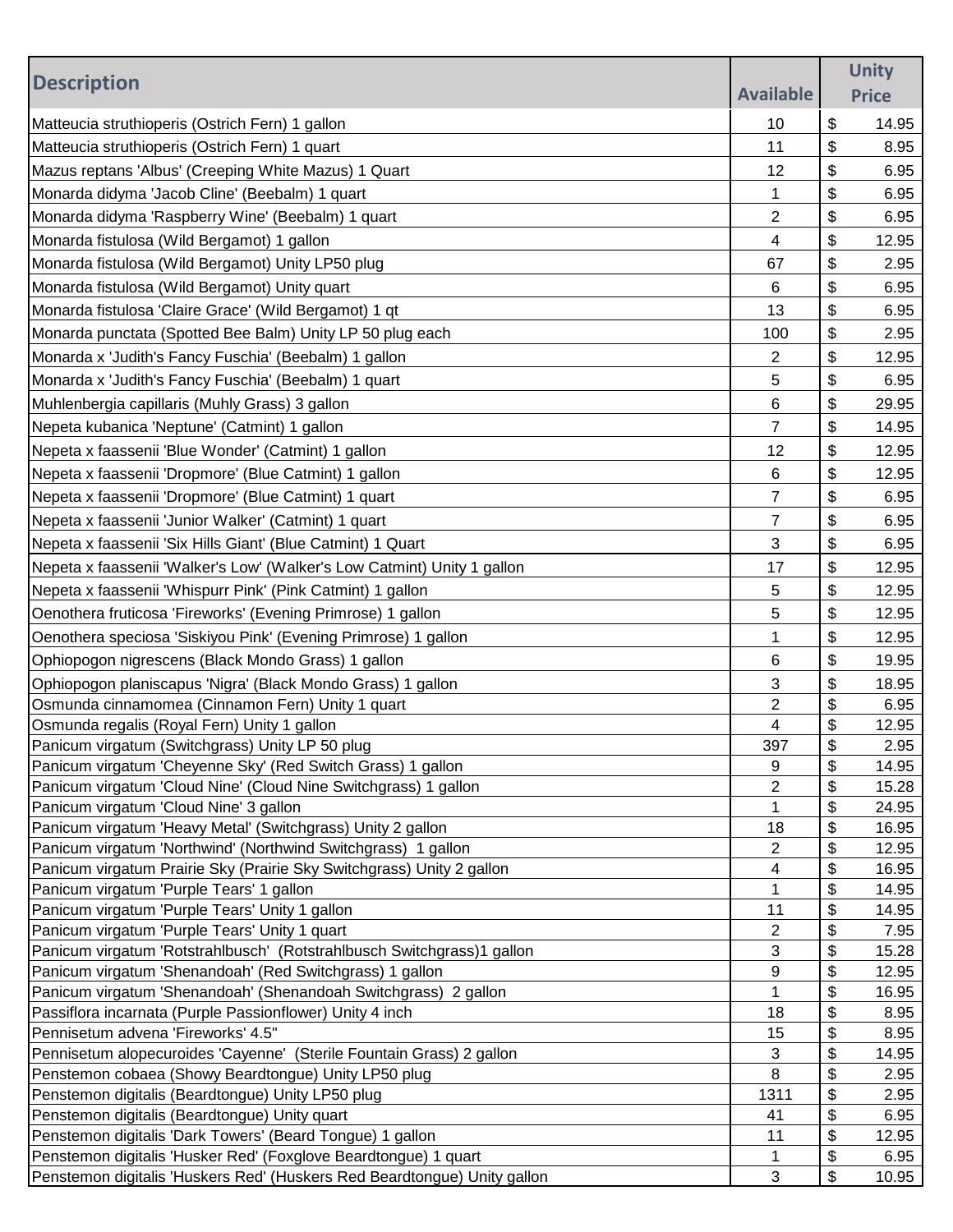|                                                                                            |                  |          | <b>Unity</b>   |
|--------------------------------------------------------------------------------------------|------------------|----------|----------------|
| <b>Description</b>                                                                         | <b>Available</b> |          | <b>Price</b>   |
| Matteucia struthioperis (Ostrich Fern) 1 gallon                                            | 10               | \$       | 14.95          |
| Matteucia struthioperis (Ostrich Fern) 1 quart                                             | 11               | \$       | 8.95           |
| Mazus reptans 'Albus' (Creeping White Mazus) 1 Quart                                       | 12               | \$       | 6.95           |
| Monarda didyma 'Jacob Cline' (Beebalm) 1 quart                                             | 1                | \$       | 6.95           |
|                                                                                            | 2                | \$       | 6.95           |
| Monarda didyma 'Raspberry Wine' (Beebalm) 1 quart                                          |                  |          |                |
| Monarda fistulosa (Wild Bergamot) 1 gallon                                                 | 4                | \$       | 12.95          |
| Monarda fistulosa (Wild Bergamot) Unity LP50 plug                                          | 67               | \$       | 2.95           |
| Monarda fistulosa (Wild Bergamot) Unity quart                                              | 6                | \$       | 6.95           |
| Monarda fistulosa 'Claire Grace' (Wild Bergamot) 1 qt                                      | 13               | \$       | 6.95           |
| Monarda punctata (Spotted Bee Balm) Unity LP 50 plug each                                  | 100              | \$       | 2.95           |
| Monarda x 'Judith's Fancy Fuschia' (Beebalm) 1 gallon                                      | 2                | \$       | 12.95          |
| Monarda x 'Judith's Fancy Fuschia' (Beebalm) 1 quart                                       | 5                | \$       | 6.95           |
| Muhlenbergia capillaris (Muhly Grass) 3 gallon                                             | 6                | \$       | 29.95          |
| Nepeta kubanica 'Neptune' (Catmint) 1 gallon                                               | 7                | \$       | 14.95          |
| Nepeta x faassenii 'Blue Wonder' (Catmint) 1 gallon                                        | 12               | \$       | 12.95          |
| Nepeta x faassenii 'Dropmore' (Blue Catmint) 1 gallon                                      | 6                | \$       | 12.95          |
| Nepeta x faassenii 'Dropmore' (Blue Catmint) 1 quart                                       | 7                | \$       | 6.95           |
|                                                                                            |                  | \$       |                |
| Nepeta x faassenii 'Junior Walker' (Catmint) 1 quart                                       | 7                |          | 6.95           |
| Nepeta x faassenii 'Six Hills Giant' (Blue Catmint) 1 Quart                                | 3                | \$       | 6.95           |
| Nepeta x faassenii 'Walker's Low' (Walker's Low Catmint) Unity 1 gallon                    | 17               | \$       | 12.95          |
| Nepeta x faassenii 'Whispurr Pink' (Pink Catmint) 1 gallon                                 | 5                | \$       | 12.95          |
| Oenothera fruticosa 'Fireworks' (Evening Primrose) 1 gallon                                | 5                | \$       | 12.95          |
| Oenothera speciosa 'Siskiyou Pink' (Evening Primrose) 1 gallon                             | 1                | \$       | 12.95          |
| Ophiopogon nigrescens (Black Mondo Grass) 1 gallon                                         | 6                | \$       | 19.95          |
| Ophiopogon planiscapus 'Nigra' (Black Mondo Grass) 1 gallon                                | 3                | \$       | 18.95          |
| Osmunda cinnamomea (Cinnamon Fern) Unity 1 quart                                           | 2                | \$       | 6.95           |
| Osmunda regalis (Royal Fern) Unity 1 gallon                                                | 4                | \$       | 12.95          |
| Panicum virgatum (Switchgrass) Unity LP 50 plug                                            | 397              | \$       | 2.95           |
| Panicum virgatum 'Cheyenne Sky' (Red Switch Grass) 1 gallon                                | 9                | \$       | 14.95          |
| Panicum virgatum 'Cloud Nine' (Cloud Nine Switchgrass) 1 gallon                            | 2                | \$       | 15.28          |
| Panicum virgatum 'Cloud Nine' 3 gallon                                                     | 1                | \$       | 24.95          |
| Panicum virgatum 'Heavy Metal' (Switchgrass) Unity 2 gallon                                | 18               | \$       | 16.95          |
| Panicum virgatum 'Northwind' (Northwind Switchgrass) 1 gallon                              | 2                | \$       | 12.95          |
| Panicum virgatum Prairie Sky (Prairie Sky Switchgrass) Unity 2 gallon                      | 4                | \$<br>\$ | 16.95<br>14.95 |
| Panicum virgatum 'Purple Tears' 1 gallon<br>Panicum virgatum 'Purple Tears' Unity 1 gallon | 1<br>11          | \$       | 14.95          |
| Panicum virgatum 'Purple Tears' Unity 1 quart                                              | 2                | \$       | 7.95           |
| Panicum virgatum 'Rotstrahlbusch' (Rotstrahlbusch Switchgrass)1 gallon                     | 3                | \$       | 15.28          |
| Panicum virgatum 'Shenandoah' (Red Switchgrass) 1 gallon                                   | 9                | \$       | 12.95          |
| Panicum virgatum 'Shenandoah' (Shenandoah Switchgrass) 2 gallon                            | 1                | \$       | 16.95          |
| Passiflora incarnata (Purple Passionflower) Unity 4 inch                                   | 18               | \$       | 8.95           |
| Pennisetum advena 'Fireworks' 4.5"                                                         | 15               | \$       | 8.95           |
| Pennisetum alopecuroides 'Cayenne' (Sterile Fountain Grass) 2 gallon                       | 3                | \$       | 14.95          |
| Penstemon cobaea (Showy Beardtongue) Unity LP50 plug                                       | 8                | \$       | 2.95           |
| Penstemon digitalis (Beardtongue) Unity LP50 plug                                          | 1311             | \$       | 2.95           |
| Penstemon digitalis (Beardtongue) Unity quart                                              | 41               | \$       | 6.95           |
| Penstemon digitalis 'Dark Towers' (Beard Tongue) 1 gallon                                  | 11               | \$       | 12.95          |
| Penstemon digitalis 'Husker Red' (Foxglove Beardtongue) 1 quart                            | 1                | \$       | 6.95           |
| Penstemon digitalis 'Huskers Red' (Huskers Red Beardtongue) Unity gallon                   | 3                | \$       | 10.95          |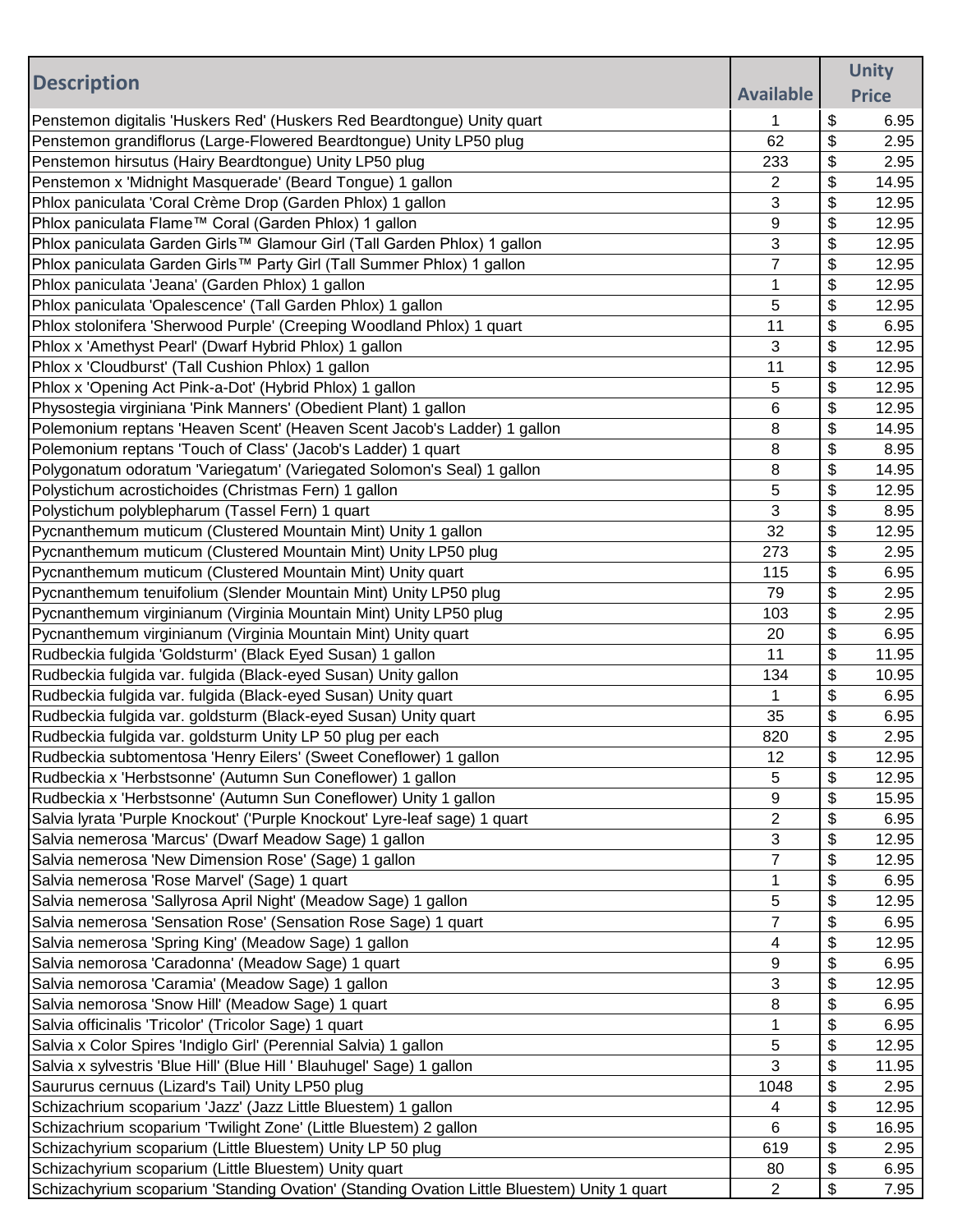|                                                                                             |                  | <b>Unity</b> |
|---------------------------------------------------------------------------------------------|------------------|--------------|
| <b>Description</b>                                                                          | <b>Available</b> | <b>Price</b> |
|                                                                                             |                  |              |
| Penstemon digitalis 'Huskers Red' (Huskers Red Beardtongue) Unity quart                     | 1                | \$<br>6.95   |
| Penstemon grandiflorus (Large-Flowered Beardtongue) Unity LP50 plug                         | 62               | \$<br>2.95   |
| Penstemon hirsutus (Hairy Beardtongue) Unity LP50 plug                                      | 233              | \$<br>2.95   |
| Penstemon x 'Midnight Masquerade' (Beard Tongue) 1 gallon                                   | 2                | \$<br>14.95  |
| Phlox paniculata 'Coral Crème Drop (Garden Phlox) 1 gallon                                  | 3                | \$<br>12.95  |
| Phlox paniculata Flame™ Coral (Garden Phlox) 1 gallon                                       | 9                | \$<br>12.95  |
| Phlox paniculata Garden Girls™ Glamour Girl (Tall Garden Phlox) 1 gallon                    | 3                | \$<br>12.95  |
| Phlox paniculata Garden Girls™ Party Girl (Tall Summer Phlox) 1 gallon                      | $\overline{7}$   | \$<br>12.95  |
| Phlox paniculata 'Jeana' (Garden Phlox) 1 gallon                                            | $\mathbf{1}$     | \$<br>12.95  |
| Phlox paniculata 'Opalescence' (Tall Garden Phlox) 1 gallon                                 | 5                | \$<br>12.95  |
| Phlox stolonifera 'Sherwood Purple' (Creeping Woodland Phlox) 1 quart                       | 11               | \$<br>6.95   |
| Phlox x 'Amethyst Pearl' (Dwarf Hybrid Phlox) 1 gallon                                      | 3                | \$<br>12.95  |
| Phlox x 'Cloudburst' (Tall Cushion Phlox) 1 gallon                                          | 11               | \$<br>12.95  |
| Phlox x 'Opening Act Pink-a-Dot' (Hybrid Phlox) 1 gallon                                    | 5                | \$<br>12.95  |
| Physostegia virginiana 'Pink Manners' (Obedient Plant) 1 gallon                             | 6                | \$<br>12.95  |
| Polemonium reptans 'Heaven Scent' (Heaven Scent Jacob's Ladder) 1 gallon                    | 8                | \$<br>14.95  |
| Polemonium reptans 'Touch of Class' (Jacob's Ladder) 1 quart                                | 8                | \$<br>8.95   |
| Polygonatum odoratum 'Variegatum' (Variegated Solomon's Seal) 1 gallon                      | 8                | \$<br>14.95  |
| Polystichum acrostichoides (Christmas Fern) 1 gallon                                        | 5                | \$<br>12.95  |
| Polystichum polyblepharum (Tassel Fern) 1 quart                                             | 3                | \$<br>8.95   |
| Pycnanthemum muticum (Clustered Mountain Mint) Unity 1 gallon                               | 32               | \$<br>12.95  |
| Pycnanthemum muticum (Clustered Mountain Mint) Unity LP50 plug                              | 273              | \$<br>2.95   |
| Pycnanthemum muticum (Clustered Mountain Mint) Unity quart                                  | 115              | \$<br>6.95   |
| Pycnanthemum tenuifolium (Slender Mountain Mint) Unity LP50 plug                            | 79               | \$<br>2.95   |
| Pycnanthemum virginianum (Virginia Mountain Mint) Unity LP50 plug                           | 103              | \$<br>2.95   |
| Pycnanthemum virginianum (Virginia Mountain Mint) Unity quart                               | 20               | \$<br>6.95   |
| Rudbeckia fulgida 'Goldsturm' (Black Eyed Susan) 1 gallon                                   | 11               | \$<br>11.95  |
| Rudbeckia fulgida var. fulgida (Black-eyed Susan) Unity gallon                              | 134              | \$<br>10.95  |
| Rudbeckia fulgida var. fulgida (Black-eyed Susan) Unity quart                               | 1                | \$<br>6.95   |
| Rudbeckia fulgida var. goldsturm (Black-eyed Susan) Unity quart                             | 35               | \$<br>6.95   |
| Rudbeckia fulgida var. goldsturm Unity LP 50 plug per each                                  | 820              | \$<br>2.95   |
| Rudbeckia subtomentosa 'Henry Eilers' (Sweet Coneflower) 1 gallon                           | 12               | \$<br>12.95  |
| Rudbeckia x 'Herbstsonne' (Autumn Sun Coneflower) 1 gallon                                  | 5                | \$<br>12.95  |
| Rudbeckia x 'Herbstsonne' (Autumn Sun Coneflower) Unity 1 gallon                            | 9                | \$<br>15.95  |
| Salvia lyrata 'Purple Knockout' ('Purple Knockout' Lyre-leaf sage) 1 quart                  | $\overline{2}$   | \$<br>6.95   |
| Salvia nemerosa 'Marcus' (Dwarf Meadow Sage) 1 gallon                                       | 3                | \$<br>12.95  |
| Salvia nemerosa 'New Dimension Rose' (Sage) 1 gallon                                        | 7                | \$<br>12.95  |
| Salvia nemerosa 'Rose Marvel' (Sage) 1 quart                                                | 1                | \$<br>6.95   |
| Salvia nemerosa 'Sallyrosa April Night' (Meadow Sage) 1 gallon                              | 5                | \$<br>12.95  |
| Salvia nemerosa 'Sensation Rose' (Sensation Rose Sage) 1 quart                              | $\overline{7}$   | \$<br>6.95   |
| Salvia nemerosa 'Spring King' (Meadow Sage) 1 gallon                                        | 4                | \$<br>12.95  |
| Salvia nemorosa 'Caradonna' (Meadow Sage) 1 quart                                           | 9                | \$<br>6.95   |
| Salvia nemorosa 'Caramia' (Meadow Sage) 1 gallon                                            | 3                | \$<br>12.95  |
| Salvia nemorosa 'Snow Hill' (Meadow Sage) 1 quart                                           | 8                | \$<br>6.95   |
| Salvia officinalis 'Tricolor' (Tricolor Sage) 1 quart                                       | 1                | \$<br>6.95   |
| Salvia x Color Spires 'Indiglo Girl' (Perennial Salvia) 1 gallon                            | 5                | \$<br>12.95  |
| Salvia x sylvestris 'Blue Hill' (Blue Hill ' Blauhugel' Sage) 1 gallon                      | 3                | \$<br>11.95  |
| Saururus cernuus (Lizard's Tail) Unity LP50 plug                                            | 1048             | \$<br>2.95   |
| Schizachrium scoparium 'Jazz' (Jazz Little Bluestem) 1 gallon                               | 4                | \$<br>12.95  |
| Schizachrium scoparium 'Twilight Zone' (Little Bluestem) 2 gallon                           | 6                | \$<br>16.95  |
| Schizachyrium scoparium (Little Bluestem) Unity LP 50 plug                                  | 619              | \$<br>2.95   |
| Schizachyrium scoparium (Little Bluestem) Unity quart                                       | 80               | \$<br>6.95   |
| Schizachyrium scoparium 'Standing Ovation' (Standing Ovation Little Bluestem) Unity 1 quart | 2                | \$<br>7.95   |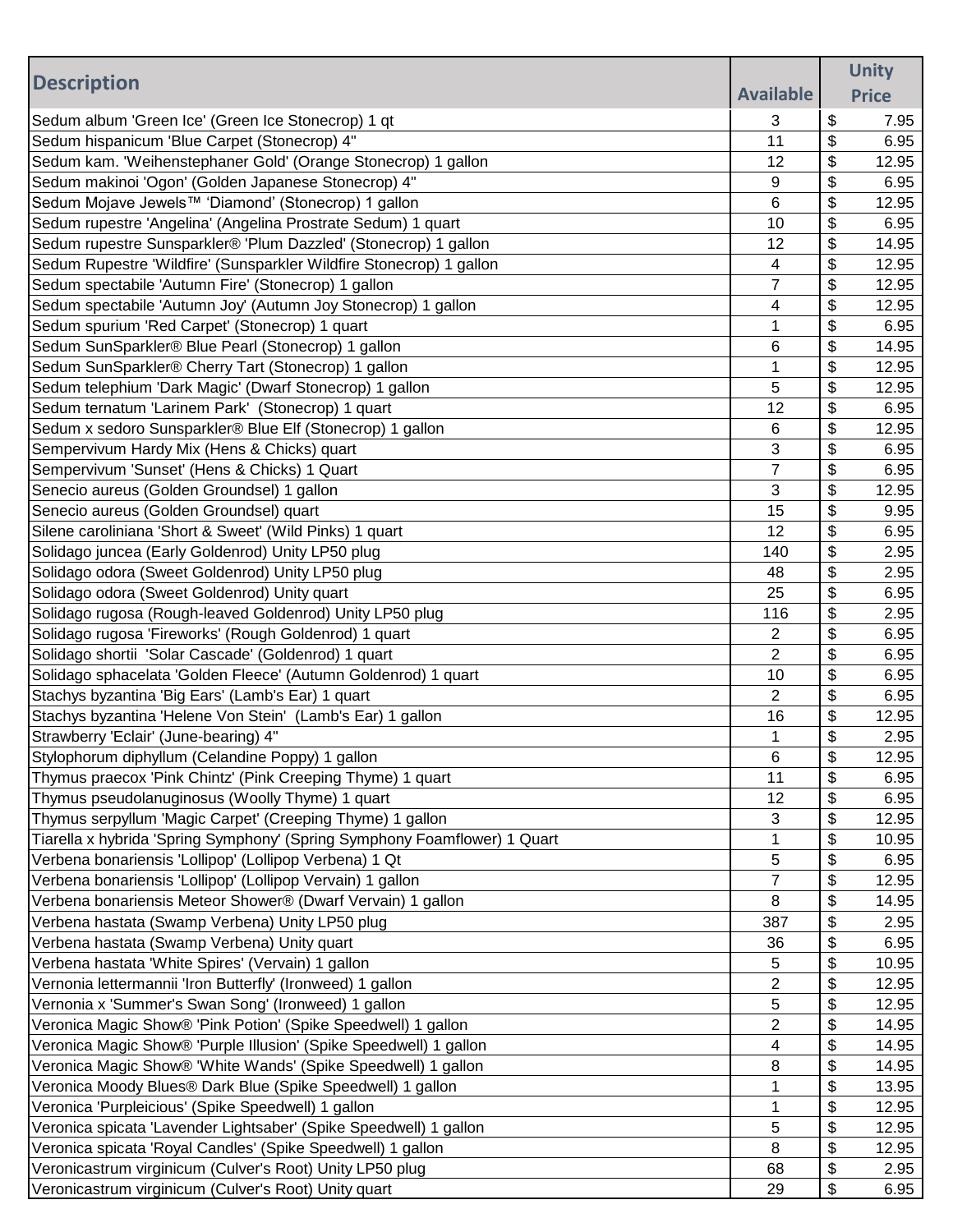|                                                                           |                  | <b>Unity</b>       |
|---------------------------------------------------------------------------|------------------|--------------------|
| <b>Description</b>                                                        | <b>Available</b> |                    |
|                                                                           |                  | <b>Price</b>       |
| Sedum album 'Green Ice' (Green Ice Stonecrop) 1 qt                        | 3                | \$<br>7.95         |
| Sedum hispanicum 'Blue Carpet (Stonecrop) 4"                              | 11               | \$<br>6.95         |
| Sedum kam. 'Weihenstephaner Gold' (Orange Stonecrop) 1 gallon             | 12               | \$<br>12.95        |
| Sedum makinoi 'Ogon' (Golden Japanese Stonecrop) 4"                       | 9                | \$<br>6.95         |
| Sedum Mojave Jewels™ 'Diamond' (Stonecrop) 1 gallon                       | 6                | \$<br>12.95        |
| Sedum rupestre 'Angelina' (Angelina Prostrate Sedum) 1 quart              | 10               | \$<br>6.95         |
| Sedum rupestre Sunsparkler® 'Plum Dazzled' (Stonecrop) 1 gallon           | 12               | \$<br>14.95        |
| Sedum Rupestre 'Wildfire' (Sunsparkler Wildfire Stonecrop) 1 gallon       | 4                | \$<br>12.95        |
| Sedum spectabile 'Autumn Fire' (Stonecrop) 1 gallon                       | $\overline{7}$   | \$<br>12.95        |
| Sedum spectabile 'Autumn Joy' (Autumn Joy Stonecrop) 1 gallon             | 4                | \$<br>12.95        |
| Sedum spurium 'Red Carpet' (Stonecrop) 1 quart                            | 1                | \$<br>6.95         |
| Sedum SunSparkler® Blue Pearl (Stonecrop) 1 gallon                        | 6                | \$<br>14.95        |
| Sedum SunSparkler® Cherry Tart (Stonecrop) 1 gallon                       | 1                | \$<br>12.95        |
| Sedum telephium 'Dark Magic' (Dwarf Stonecrop) 1 gallon                   | 5                | \$<br>12.95        |
| Sedum ternatum 'Larinem Park' (Stonecrop) 1 quart                         | 12               | \$<br>6.95         |
| Sedum x sedoro Sunsparkler® Blue Elf (Stonecrop) 1 gallon                 | 6                | \$<br>12.95        |
| Sempervivum Hardy Mix (Hens & Chicks) quart                               | 3                | \$<br>6.95         |
| Sempervivum 'Sunset' (Hens & Chicks) 1 Quart                              | $\overline{7}$   | \$<br>6.95         |
| Senecio aureus (Golden Groundsel) 1 gallon                                | 3                | \$<br>12.95        |
| Senecio aureus (Golden Groundsel) quart                                   | 15               | \$<br>9.95         |
| Silene caroliniana 'Short & Sweet' (Wild Pinks) 1 quart                   | 12               | \$<br>6.95         |
| Solidago juncea (Early Goldenrod) Unity LP50 plug                         | 140              | \$<br>2.95         |
| Solidago odora (Sweet Goldenrod) Unity LP50 plug                          | 48               | \$<br>2.95         |
| Solidago odora (Sweet Goldenrod) Unity quart                              | 25               | \$<br>6.95         |
| Solidago rugosa (Rough-leaved Goldenrod) Unity LP50 plug                  | 116              | \$<br>2.95         |
| Solidago rugosa 'Fireworks' (Rough Goldenrod) 1 quart                     | 2                | \$<br>6.95         |
| Solidago shortii 'Solar Cascade' (Goldenrod) 1 quart                      | 2                | \$<br>6.95         |
| Solidago sphacelata 'Golden Fleece' (Autumn Goldenrod) 1 quart            | 10               | \$<br>6.95         |
| Stachys byzantina 'Big Ears' (Lamb's Ear) 1 quart                         | $\overline{2}$   | \$<br>6.95         |
| Stachys byzantina 'Helene Von Stein' (Lamb's Ear) 1 gallon                | 16               | \$<br>12.95        |
| Strawberry 'Eclair' (June-bearing) 4"                                     | 1                | \$<br>2.95         |
| Stylophorum diphyllum (Celandine Poppy) 1 gallon                          | 6                | \$<br>12.95        |
| Thymus praecox 'Pink Chintz' (Pink Creeping Thyme) 1 quart                | 11               | \$<br>6.95         |
| Thymus pseudolanuginosus (Woolly Thyme) 1 quart                           | 12               | \$<br>6.95         |
| Thymus serpyllum 'Magic Carpet' (Creeping Thyme) 1 gallon                 | 3                | \$<br>12.95        |
| Tiarella x hybrida 'Spring Symphony' (Spring Symphony Foamflower) 1 Quart | 1                | \$<br>10.95        |
| Verbena bonariensis 'Lollipop' (Lollipop Verbena) 1 Qt                    | 5                | \$<br>6.95         |
| Verbena bonariensis 'Lollipop' (Lollipop Vervain) 1 gallon                | 7                | \$<br>12.95        |
| Verbena bonariensis Meteor Shower® (Dwarf Vervain) 1 gallon               | 8                | \$<br>14.95        |
| Verbena hastata (Swamp Verbena) Unity LP50 plug                           | 387              | \$                 |
| Verbena hastata (Swamp Verbena) Unity quart                               | 36               | \$<br>2.95<br>6.95 |
|                                                                           |                  | \$                 |
| Verbena hastata 'White Spires' (Vervain) 1 gallon                         | 5<br>2           | \$<br>10.95        |
| Vernonia lettermannii 'Iron Butterfly' (Ironweed) 1 gallon                |                  | 12.95              |
| Vernonia x 'Summer's Swan Song' (Ironweed) 1 gallon                       | 5                | \$<br>12.95        |
| Veronica Magic Show® 'Pink Potion' (Spike Speedwell) 1 gallon             | 2                | \$<br>14.95        |
| Veronica Magic Show® 'Purple Illusion' (Spike Speedwell) 1 gallon         | 4                | \$<br>14.95        |
| Veronica Magic Show® 'White Wands' (Spike Speedwell) 1 gallon             | 8                | \$<br>14.95        |
| Veronica Moody Blues® Dark Blue (Spike Speedwell) 1 gallon                | 1                | \$<br>13.95        |
| Veronica 'Purpleicious' (Spike Speedwell) 1 gallon                        | 1                | \$<br>12.95        |
| Veronica spicata 'Lavender Lightsaber' (Spike Speedwell) 1 gallon         | 5                | \$<br>12.95        |
| Veronica spicata 'Royal Candles' (Spike Speedwell) 1 gallon               | 8                | \$<br>12.95        |
| Veronicastrum virginicum (Culver's Root) Unity LP50 plug                  | 68               | \$<br>2.95         |
| Veronicastrum virginicum (Culver's Root) Unity quart                      | 29               | \$<br>6.95         |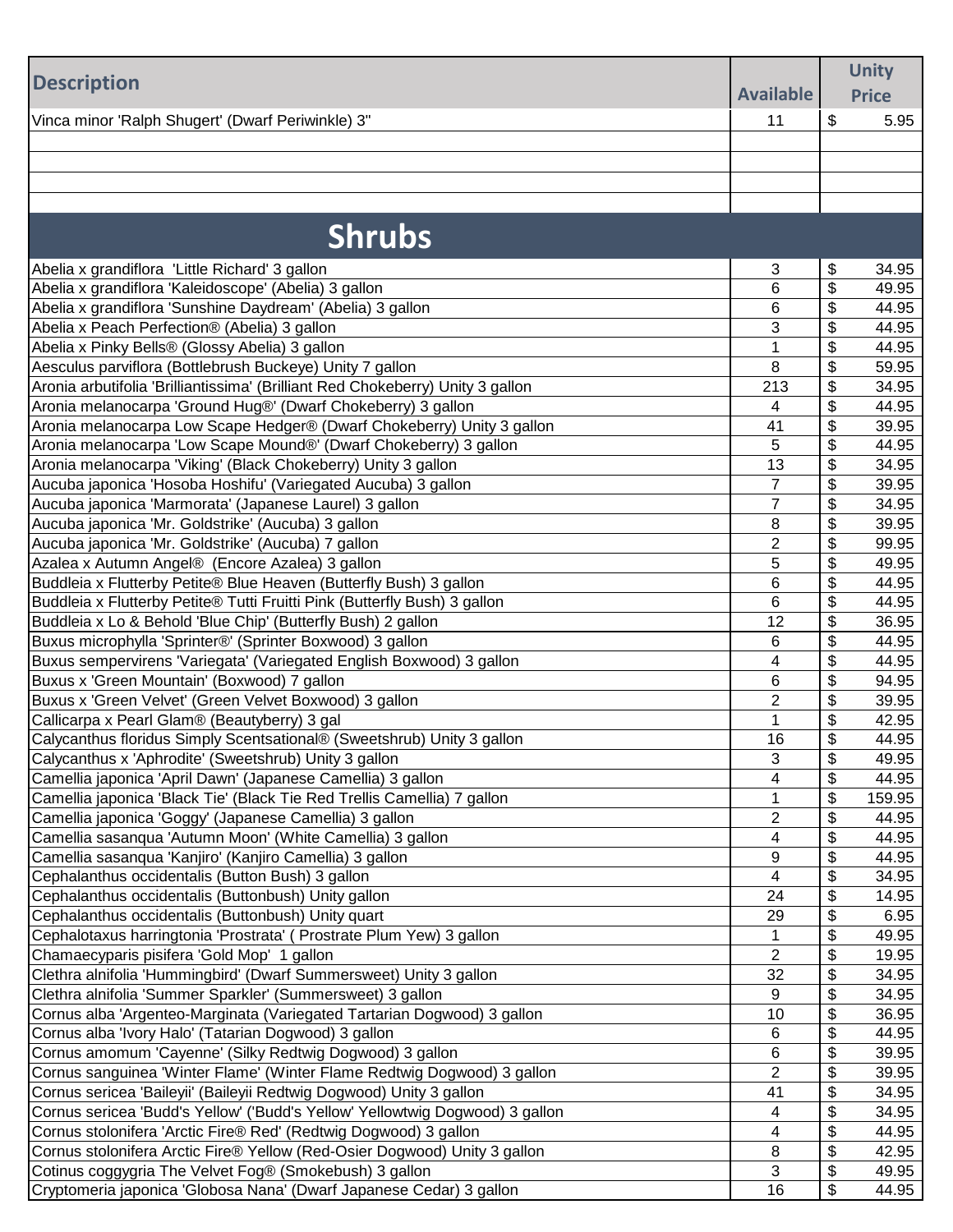| <b>Description</b><br><b>Available</b><br><b>Price</b><br>\$<br>Vinca minor 'Ralph Shugert' (Dwarf Periwinkle) 3"<br>5.95<br>11<br><b>Shrubs</b><br>\$<br>3<br>Abelia x grandiflora 'Little Richard' 3 gallon<br>34.95<br>\$<br>6<br>Abelia x grandiflora 'Kaleidoscope' (Abelia) 3 gallon<br>49.95<br>\$<br>Abelia x grandiflora 'Sunshine Daydream' (Abelia) 3 gallon<br>6<br>44.95<br>3<br>\$<br>Abelia x Peach Perfection® (Abelia) 3 gallon<br>44.95<br>\$<br>Abelia x Pinky Bells® (Glossy Abelia) 3 gallon<br>$\mathbf{1}$<br>44.95<br>\$<br>Aesculus parviflora (Bottlebrush Buckeye) Unity 7 gallon<br>8<br>59.95<br>Aronia arbutifolia 'Brilliantissima' (Brilliant Red Chokeberry) Unity 3 gallon<br>\$<br>213<br>34.95<br>Aronia melanocarpa 'Ground Hug®' (Dwarf Chokeberry) 3 gallon<br>\$<br>44.95<br>4<br>\$<br>39.95<br>Aronia melanocarpa Low Scape Hedger® (Dwarf Chokeberry) Unity 3 gallon<br>41<br>\$<br>5<br>Aronia melanocarpa 'Low Scape Mound®' (Dwarf Chokeberry) 3 gallon<br>44.95<br>\$<br>Aronia melanocarpa 'Viking' (Black Chokeberry) Unity 3 gallon<br>13<br>34.95<br>$\overline{7}$<br>\$<br>Aucuba japonica 'Hosoba Hoshifu' (Variegated Aucuba) 3 gallon<br>39.95<br>$\overline{7}$<br>\$<br>Aucuba japonica 'Marmorata' (Japanese Laurel) 3 gallon<br>34.95<br>\$<br>Aucuba japonica 'Mr. Goldstrike' (Aucuba) 3 gallon<br>8<br>39.95<br>$\overline{2}$<br>\$<br>Aucuba japonica 'Mr. Goldstrike' (Aucuba) 7 gallon<br>99.95<br>\$<br>Azalea x Autumn Angel® (Encore Azalea) 3 gallon<br>5<br>49.95<br>\$<br>Buddleia x Flutterby Petite® Blue Heaven (Butterfly Bush) 3 gallon<br>6<br>44.95<br>Buddleia x Flutterby Petite® Tutti Fruitti Pink (Butterfly Bush) 3 gallon<br>\$<br>6<br>44.95<br>\$<br>12<br>36.95<br>Buddleia x Lo & Behold 'Blue Chip' (Butterfly Bush) 2 gallon<br>\$<br>6<br>44.95<br>Buxus microphylla 'Sprinter®' (Sprinter Boxwood) 3 gallon<br>\$<br>Buxus sempervirens 'Variegata' (Variegated English Boxwood) 3 gallon<br>4<br>44.95<br>\$<br>6<br>Buxus x 'Green Mountain' (Boxwood) 7 gallon<br>94.95<br>$\overline{2}$<br>Buxus x 'Green Velvet' (Green Velvet Boxwood) 3 gallon<br>\$<br>39.95<br>\$<br>Callicarpa x Pearl Glam® (Beautyberry) 3 gal<br>42.95<br>\$<br>Calycanthus floridus Simply Scentsational® (Sweetshrub) Unity 3 gallon<br>16<br>44.95<br>Calycanthus x 'Aphrodite' (Sweetshrub) Unity 3 gallon<br>\$<br>49.95<br>3<br>4<br>\$<br>Camellia japonica 'April Dawn' (Japanese Camellia) 3 gallon<br>44.95<br>\$<br>Camellia japonica 'Black Tie' (Black Tie Red Trellis Camellia) 7 gallon<br>1<br>159.95<br>$\overline{2}$<br>\$<br>Camellia japonica 'Goggy' (Japanese Camellia) 3 gallon<br>44.95<br>\$<br>4<br>Camellia sasanqua 'Autumn Moon' (White Camellia) 3 gallon<br>44.95<br>\$<br>Camellia sasanqua 'Kanjiro' (Kanjiro Camellia) 3 gallon<br>9<br>44.95<br>4<br>\$<br>Cephalanthus occidentalis (Button Bush) 3 gallon<br>34.95<br>\$<br>Cephalanthus occidentalis (Buttonbush) Unity gallon<br>24<br>14.95<br>\$<br>Cephalanthus occidentalis (Buttonbush) Unity quart<br>29<br>6.95<br>\$<br>Cephalotaxus harringtonia 'Prostrata' (Prostrate Plum Yew) 3 gallon<br>49.95<br>1<br>Chamaecyparis pisifera 'Gold Mop' 1 gallon<br>$\overline{2}$<br>\$<br>19.95<br>Clethra alnifolia 'Hummingbird' (Dwarf Summersweet) Unity 3 gallon<br>\$<br>34.95<br>32<br>Clethra alnifolia 'Summer Sparkler' (Summersweet) 3 gallon<br>\$<br>9<br>34.95<br>\$<br>Cornus alba 'Argenteo-Marginata (Variegated Tartarian Dogwood) 3 gallon<br>36.95<br>10<br>\$<br>Cornus alba 'Ivory Halo' (Tatarian Dogwood) 3 gallon<br>44.95<br>6<br>6<br>\$<br>Cornus amomum 'Cayenne' (Silky Redtwig Dogwood) 3 gallon<br>39.95<br>$\overline{2}$<br>\$<br>Cornus sanguinea 'Winter Flame' (Winter Flame Redtwig Dogwood) 3 gallon<br>39.95<br>\$<br>Cornus sericea 'Baileyii' (Baileyii Redtwig Dogwood) Unity 3 gallon<br>41<br>34.95<br>Cornus sericea 'Budd's Yellow' ('Budd's Yellow' Yellowtwig Dogwood) 3 gallon<br>\$<br>34.95<br>4<br>\$<br>Cornus stolonifera 'Arctic Fire® Red' (Redtwig Dogwood) 3 gallon<br>44.95<br>4<br>\$<br>Cornus stolonifera Arctic Fire® Yellow (Red-Osier Dogwood) Unity 3 gallon<br>42.95<br>8<br>Cotinus coggygria The Velvet Fog® (Smokebush) 3 gallon<br>3<br>\$<br>49.95<br>\$<br>Cryptomeria japonica 'Globosa Nana' (Dwarf Japanese Cedar) 3 gallon<br>44.95<br>16 |  | <b>Unity</b> |
|-----------------------------------------------------------------------------------------------------------------------------------------------------------------------------------------------------------------------------------------------------------------------------------------------------------------------------------------------------------------------------------------------------------------------------------------------------------------------------------------------------------------------------------------------------------------------------------------------------------------------------------------------------------------------------------------------------------------------------------------------------------------------------------------------------------------------------------------------------------------------------------------------------------------------------------------------------------------------------------------------------------------------------------------------------------------------------------------------------------------------------------------------------------------------------------------------------------------------------------------------------------------------------------------------------------------------------------------------------------------------------------------------------------------------------------------------------------------------------------------------------------------------------------------------------------------------------------------------------------------------------------------------------------------------------------------------------------------------------------------------------------------------------------------------------------------------------------------------------------------------------------------------------------------------------------------------------------------------------------------------------------------------------------------------------------------------------------------------------------------------------------------------------------------------------------------------------------------------------------------------------------------------------------------------------------------------------------------------------------------------------------------------------------------------------------------------------------------------------------------------------------------------------------------------------------------------------------------------------------------------------------------------------------------------------------------------------------------------------------------------------------------------------------------------------------------------------------------------------------------------------------------------------------------------------------------------------------------------------------------------------------------------------------------------------------------------------------------------------------------------------------------------------------------------------------------------------------------------------------------------------------------------------------------------------------------------------------------------------------------------------------------------------------------------------------------------------------------------------------------------------------------------------------------------------------------------------------------------------------------------------------------------------------------------------------------------------------------------------------------------------------------------------------------------------------------------------------------------------------------------------------------------------------------------------------------------------------------------------------------------------------------------------------------------------------------------------------------------------------------------------------------------------------------------------------------------------------------------------------------------------------------------------------------------------------------------------------------------------------------------------------------------|--|--------------|
|                                                                                                                                                                                                                                                                                                                                                                                                                                                                                                                                                                                                                                                                                                                                                                                                                                                                                                                                                                                                                                                                                                                                                                                                                                                                                                                                                                                                                                                                                                                                                                                                                                                                                                                                                                                                                                                                                                                                                                                                                                                                                                                                                                                                                                                                                                                                                                                                                                                                                                                                                                                                                                                                                                                                                                                                                                                                                                                                                                                                                                                                                                                                                                                                                                                                                                                                                                                                                                                                                                                                                                                                                                                                                                                                                                                                                                                                                                                                                                                                                                                                                                                                                                                                                                                                                                                                                                                               |  |              |
|                                                                                                                                                                                                                                                                                                                                                                                                                                                                                                                                                                                                                                                                                                                                                                                                                                                                                                                                                                                                                                                                                                                                                                                                                                                                                                                                                                                                                                                                                                                                                                                                                                                                                                                                                                                                                                                                                                                                                                                                                                                                                                                                                                                                                                                                                                                                                                                                                                                                                                                                                                                                                                                                                                                                                                                                                                                                                                                                                                                                                                                                                                                                                                                                                                                                                                                                                                                                                                                                                                                                                                                                                                                                                                                                                                                                                                                                                                                                                                                                                                                                                                                                                                                                                                                                                                                                                                                               |  |              |
|                                                                                                                                                                                                                                                                                                                                                                                                                                                                                                                                                                                                                                                                                                                                                                                                                                                                                                                                                                                                                                                                                                                                                                                                                                                                                                                                                                                                                                                                                                                                                                                                                                                                                                                                                                                                                                                                                                                                                                                                                                                                                                                                                                                                                                                                                                                                                                                                                                                                                                                                                                                                                                                                                                                                                                                                                                                                                                                                                                                                                                                                                                                                                                                                                                                                                                                                                                                                                                                                                                                                                                                                                                                                                                                                                                                                                                                                                                                                                                                                                                                                                                                                                                                                                                                                                                                                                                                               |  |              |
|                                                                                                                                                                                                                                                                                                                                                                                                                                                                                                                                                                                                                                                                                                                                                                                                                                                                                                                                                                                                                                                                                                                                                                                                                                                                                                                                                                                                                                                                                                                                                                                                                                                                                                                                                                                                                                                                                                                                                                                                                                                                                                                                                                                                                                                                                                                                                                                                                                                                                                                                                                                                                                                                                                                                                                                                                                                                                                                                                                                                                                                                                                                                                                                                                                                                                                                                                                                                                                                                                                                                                                                                                                                                                                                                                                                                                                                                                                                                                                                                                                                                                                                                                                                                                                                                                                                                                                                               |  |              |
|                                                                                                                                                                                                                                                                                                                                                                                                                                                                                                                                                                                                                                                                                                                                                                                                                                                                                                                                                                                                                                                                                                                                                                                                                                                                                                                                                                                                                                                                                                                                                                                                                                                                                                                                                                                                                                                                                                                                                                                                                                                                                                                                                                                                                                                                                                                                                                                                                                                                                                                                                                                                                                                                                                                                                                                                                                                                                                                                                                                                                                                                                                                                                                                                                                                                                                                                                                                                                                                                                                                                                                                                                                                                                                                                                                                                                                                                                                                                                                                                                                                                                                                                                                                                                                                                                                                                                                                               |  |              |
|                                                                                                                                                                                                                                                                                                                                                                                                                                                                                                                                                                                                                                                                                                                                                                                                                                                                                                                                                                                                                                                                                                                                                                                                                                                                                                                                                                                                                                                                                                                                                                                                                                                                                                                                                                                                                                                                                                                                                                                                                                                                                                                                                                                                                                                                                                                                                                                                                                                                                                                                                                                                                                                                                                                                                                                                                                                                                                                                                                                                                                                                                                                                                                                                                                                                                                                                                                                                                                                                                                                                                                                                                                                                                                                                                                                                                                                                                                                                                                                                                                                                                                                                                                                                                                                                                                                                                                                               |  |              |
|                                                                                                                                                                                                                                                                                                                                                                                                                                                                                                                                                                                                                                                                                                                                                                                                                                                                                                                                                                                                                                                                                                                                                                                                                                                                                                                                                                                                                                                                                                                                                                                                                                                                                                                                                                                                                                                                                                                                                                                                                                                                                                                                                                                                                                                                                                                                                                                                                                                                                                                                                                                                                                                                                                                                                                                                                                                                                                                                                                                                                                                                                                                                                                                                                                                                                                                                                                                                                                                                                                                                                                                                                                                                                                                                                                                                                                                                                                                                                                                                                                                                                                                                                                                                                                                                                                                                                                                               |  |              |
|                                                                                                                                                                                                                                                                                                                                                                                                                                                                                                                                                                                                                                                                                                                                                                                                                                                                                                                                                                                                                                                                                                                                                                                                                                                                                                                                                                                                                                                                                                                                                                                                                                                                                                                                                                                                                                                                                                                                                                                                                                                                                                                                                                                                                                                                                                                                                                                                                                                                                                                                                                                                                                                                                                                                                                                                                                                                                                                                                                                                                                                                                                                                                                                                                                                                                                                                                                                                                                                                                                                                                                                                                                                                                                                                                                                                                                                                                                                                                                                                                                                                                                                                                                                                                                                                                                                                                                                               |  |              |
|                                                                                                                                                                                                                                                                                                                                                                                                                                                                                                                                                                                                                                                                                                                                                                                                                                                                                                                                                                                                                                                                                                                                                                                                                                                                                                                                                                                                                                                                                                                                                                                                                                                                                                                                                                                                                                                                                                                                                                                                                                                                                                                                                                                                                                                                                                                                                                                                                                                                                                                                                                                                                                                                                                                                                                                                                                                                                                                                                                                                                                                                                                                                                                                                                                                                                                                                                                                                                                                                                                                                                                                                                                                                                                                                                                                                                                                                                                                                                                                                                                                                                                                                                                                                                                                                                                                                                                                               |  |              |
|                                                                                                                                                                                                                                                                                                                                                                                                                                                                                                                                                                                                                                                                                                                                                                                                                                                                                                                                                                                                                                                                                                                                                                                                                                                                                                                                                                                                                                                                                                                                                                                                                                                                                                                                                                                                                                                                                                                                                                                                                                                                                                                                                                                                                                                                                                                                                                                                                                                                                                                                                                                                                                                                                                                                                                                                                                                                                                                                                                                                                                                                                                                                                                                                                                                                                                                                                                                                                                                                                                                                                                                                                                                                                                                                                                                                                                                                                                                                                                                                                                                                                                                                                                                                                                                                                                                                                                                               |  |              |
|                                                                                                                                                                                                                                                                                                                                                                                                                                                                                                                                                                                                                                                                                                                                                                                                                                                                                                                                                                                                                                                                                                                                                                                                                                                                                                                                                                                                                                                                                                                                                                                                                                                                                                                                                                                                                                                                                                                                                                                                                                                                                                                                                                                                                                                                                                                                                                                                                                                                                                                                                                                                                                                                                                                                                                                                                                                                                                                                                                                                                                                                                                                                                                                                                                                                                                                                                                                                                                                                                                                                                                                                                                                                                                                                                                                                                                                                                                                                                                                                                                                                                                                                                                                                                                                                                                                                                                                               |  |              |
|                                                                                                                                                                                                                                                                                                                                                                                                                                                                                                                                                                                                                                                                                                                                                                                                                                                                                                                                                                                                                                                                                                                                                                                                                                                                                                                                                                                                                                                                                                                                                                                                                                                                                                                                                                                                                                                                                                                                                                                                                                                                                                                                                                                                                                                                                                                                                                                                                                                                                                                                                                                                                                                                                                                                                                                                                                                                                                                                                                                                                                                                                                                                                                                                                                                                                                                                                                                                                                                                                                                                                                                                                                                                                                                                                                                                                                                                                                                                                                                                                                                                                                                                                                                                                                                                                                                                                                                               |  |              |
|                                                                                                                                                                                                                                                                                                                                                                                                                                                                                                                                                                                                                                                                                                                                                                                                                                                                                                                                                                                                                                                                                                                                                                                                                                                                                                                                                                                                                                                                                                                                                                                                                                                                                                                                                                                                                                                                                                                                                                                                                                                                                                                                                                                                                                                                                                                                                                                                                                                                                                                                                                                                                                                                                                                                                                                                                                                                                                                                                                                                                                                                                                                                                                                                                                                                                                                                                                                                                                                                                                                                                                                                                                                                                                                                                                                                                                                                                                                                                                                                                                                                                                                                                                                                                                                                                                                                                                                               |  |              |
|                                                                                                                                                                                                                                                                                                                                                                                                                                                                                                                                                                                                                                                                                                                                                                                                                                                                                                                                                                                                                                                                                                                                                                                                                                                                                                                                                                                                                                                                                                                                                                                                                                                                                                                                                                                                                                                                                                                                                                                                                                                                                                                                                                                                                                                                                                                                                                                                                                                                                                                                                                                                                                                                                                                                                                                                                                                                                                                                                                                                                                                                                                                                                                                                                                                                                                                                                                                                                                                                                                                                                                                                                                                                                                                                                                                                                                                                                                                                                                                                                                                                                                                                                                                                                                                                                                                                                                                               |  |              |
|                                                                                                                                                                                                                                                                                                                                                                                                                                                                                                                                                                                                                                                                                                                                                                                                                                                                                                                                                                                                                                                                                                                                                                                                                                                                                                                                                                                                                                                                                                                                                                                                                                                                                                                                                                                                                                                                                                                                                                                                                                                                                                                                                                                                                                                                                                                                                                                                                                                                                                                                                                                                                                                                                                                                                                                                                                                                                                                                                                                                                                                                                                                                                                                                                                                                                                                                                                                                                                                                                                                                                                                                                                                                                                                                                                                                                                                                                                                                                                                                                                                                                                                                                                                                                                                                                                                                                                                               |  |              |
|                                                                                                                                                                                                                                                                                                                                                                                                                                                                                                                                                                                                                                                                                                                                                                                                                                                                                                                                                                                                                                                                                                                                                                                                                                                                                                                                                                                                                                                                                                                                                                                                                                                                                                                                                                                                                                                                                                                                                                                                                                                                                                                                                                                                                                                                                                                                                                                                                                                                                                                                                                                                                                                                                                                                                                                                                                                                                                                                                                                                                                                                                                                                                                                                                                                                                                                                                                                                                                                                                                                                                                                                                                                                                                                                                                                                                                                                                                                                                                                                                                                                                                                                                                                                                                                                                                                                                                                               |  |              |
|                                                                                                                                                                                                                                                                                                                                                                                                                                                                                                                                                                                                                                                                                                                                                                                                                                                                                                                                                                                                                                                                                                                                                                                                                                                                                                                                                                                                                                                                                                                                                                                                                                                                                                                                                                                                                                                                                                                                                                                                                                                                                                                                                                                                                                                                                                                                                                                                                                                                                                                                                                                                                                                                                                                                                                                                                                                                                                                                                                                                                                                                                                                                                                                                                                                                                                                                                                                                                                                                                                                                                                                                                                                                                                                                                                                                                                                                                                                                                                                                                                                                                                                                                                                                                                                                                                                                                                                               |  |              |
|                                                                                                                                                                                                                                                                                                                                                                                                                                                                                                                                                                                                                                                                                                                                                                                                                                                                                                                                                                                                                                                                                                                                                                                                                                                                                                                                                                                                                                                                                                                                                                                                                                                                                                                                                                                                                                                                                                                                                                                                                                                                                                                                                                                                                                                                                                                                                                                                                                                                                                                                                                                                                                                                                                                                                                                                                                                                                                                                                                                                                                                                                                                                                                                                                                                                                                                                                                                                                                                                                                                                                                                                                                                                                                                                                                                                                                                                                                                                                                                                                                                                                                                                                                                                                                                                                                                                                                                               |  |              |
|                                                                                                                                                                                                                                                                                                                                                                                                                                                                                                                                                                                                                                                                                                                                                                                                                                                                                                                                                                                                                                                                                                                                                                                                                                                                                                                                                                                                                                                                                                                                                                                                                                                                                                                                                                                                                                                                                                                                                                                                                                                                                                                                                                                                                                                                                                                                                                                                                                                                                                                                                                                                                                                                                                                                                                                                                                                                                                                                                                                                                                                                                                                                                                                                                                                                                                                                                                                                                                                                                                                                                                                                                                                                                                                                                                                                                                                                                                                                                                                                                                                                                                                                                                                                                                                                                                                                                                                               |  |              |
|                                                                                                                                                                                                                                                                                                                                                                                                                                                                                                                                                                                                                                                                                                                                                                                                                                                                                                                                                                                                                                                                                                                                                                                                                                                                                                                                                                                                                                                                                                                                                                                                                                                                                                                                                                                                                                                                                                                                                                                                                                                                                                                                                                                                                                                                                                                                                                                                                                                                                                                                                                                                                                                                                                                                                                                                                                                                                                                                                                                                                                                                                                                                                                                                                                                                                                                                                                                                                                                                                                                                                                                                                                                                                                                                                                                                                                                                                                                                                                                                                                                                                                                                                                                                                                                                                                                                                                                               |  |              |
|                                                                                                                                                                                                                                                                                                                                                                                                                                                                                                                                                                                                                                                                                                                                                                                                                                                                                                                                                                                                                                                                                                                                                                                                                                                                                                                                                                                                                                                                                                                                                                                                                                                                                                                                                                                                                                                                                                                                                                                                                                                                                                                                                                                                                                                                                                                                                                                                                                                                                                                                                                                                                                                                                                                                                                                                                                                                                                                                                                                                                                                                                                                                                                                                                                                                                                                                                                                                                                                                                                                                                                                                                                                                                                                                                                                                                                                                                                                                                                                                                                                                                                                                                                                                                                                                                                                                                                                               |  |              |
|                                                                                                                                                                                                                                                                                                                                                                                                                                                                                                                                                                                                                                                                                                                                                                                                                                                                                                                                                                                                                                                                                                                                                                                                                                                                                                                                                                                                                                                                                                                                                                                                                                                                                                                                                                                                                                                                                                                                                                                                                                                                                                                                                                                                                                                                                                                                                                                                                                                                                                                                                                                                                                                                                                                                                                                                                                                                                                                                                                                                                                                                                                                                                                                                                                                                                                                                                                                                                                                                                                                                                                                                                                                                                                                                                                                                                                                                                                                                                                                                                                                                                                                                                                                                                                                                                                                                                                                               |  |              |
|                                                                                                                                                                                                                                                                                                                                                                                                                                                                                                                                                                                                                                                                                                                                                                                                                                                                                                                                                                                                                                                                                                                                                                                                                                                                                                                                                                                                                                                                                                                                                                                                                                                                                                                                                                                                                                                                                                                                                                                                                                                                                                                                                                                                                                                                                                                                                                                                                                                                                                                                                                                                                                                                                                                                                                                                                                                                                                                                                                                                                                                                                                                                                                                                                                                                                                                                                                                                                                                                                                                                                                                                                                                                                                                                                                                                                                                                                                                                                                                                                                                                                                                                                                                                                                                                                                                                                                                               |  |              |
|                                                                                                                                                                                                                                                                                                                                                                                                                                                                                                                                                                                                                                                                                                                                                                                                                                                                                                                                                                                                                                                                                                                                                                                                                                                                                                                                                                                                                                                                                                                                                                                                                                                                                                                                                                                                                                                                                                                                                                                                                                                                                                                                                                                                                                                                                                                                                                                                                                                                                                                                                                                                                                                                                                                                                                                                                                                                                                                                                                                                                                                                                                                                                                                                                                                                                                                                                                                                                                                                                                                                                                                                                                                                                                                                                                                                                                                                                                                                                                                                                                                                                                                                                                                                                                                                                                                                                                                               |  |              |
|                                                                                                                                                                                                                                                                                                                                                                                                                                                                                                                                                                                                                                                                                                                                                                                                                                                                                                                                                                                                                                                                                                                                                                                                                                                                                                                                                                                                                                                                                                                                                                                                                                                                                                                                                                                                                                                                                                                                                                                                                                                                                                                                                                                                                                                                                                                                                                                                                                                                                                                                                                                                                                                                                                                                                                                                                                                                                                                                                                                                                                                                                                                                                                                                                                                                                                                                                                                                                                                                                                                                                                                                                                                                                                                                                                                                                                                                                                                                                                                                                                                                                                                                                                                                                                                                                                                                                                                               |  |              |
|                                                                                                                                                                                                                                                                                                                                                                                                                                                                                                                                                                                                                                                                                                                                                                                                                                                                                                                                                                                                                                                                                                                                                                                                                                                                                                                                                                                                                                                                                                                                                                                                                                                                                                                                                                                                                                                                                                                                                                                                                                                                                                                                                                                                                                                                                                                                                                                                                                                                                                                                                                                                                                                                                                                                                                                                                                                                                                                                                                                                                                                                                                                                                                                                                                                                                                                                                                                                                                                                                                                                                                                                                                                                                                                                                                                                                                                                                                                                                                                                                                                                                                                                                                                                                                                                                                                                                                                               |  |              |
|                                                                                                                                                                                                                                                                                                                                                                                                                                                                                                                                                                                                                                                                                                                                                                                                                                                                                                                                                                                                                                                                                                                                                                                                                                                                                                                                                                                                                                                                                                                                                                                                                                                                                                                                                                                                                                                                                                                                                                                                                                                                                                                                                                                                                                                                                                                                                                                                                                                                                                                                                                                                                                                                                                                                                                                                                                                                                                                                                                                                                                                                                                                                                                                                                                                                                                                                                                                                                                                                                                                                                                                                                                                                                                                                                                                                                                                                                                                                                                                                                                                                                                                                                                                                                                                                                                                                                                                               |  |              |
|                                                                                                                                                                                                                                                                                                                                                                                                                                                                                                                                                                                                                                                                                                                                                                                                                                                                                                                                                                                                                                                                                                                                                                                                                                                                                                                                                                                                                                                                                                                                                                                                                                                                                                                                                                                                                                                                                                                                                                                                                                                                                                                                                                                                                                                                                                                                                                                                                                                                                                                                                                                                                                                                                                                                                                                                                                                                                                                                                                                                                                                                                                                                                                                                                                                                                                                                                                                                                                                                                                                                                                                                                                                                                                                                                                                                                                                                                                                                                                                                                                                                                                                                                                                                                                                                                                                                                                                               |  |              |
|                                                                                                                                                                                                                                                                                                                                                                                                                                                                                                                                                                                                                                                                                                                                                                                                                                                                                                                                                                                                                                                                                                                                                                                                                                                                                                                                                                                                                                                                                                                                                                                                                                                                                                                                                                                                                                                                                                                                                                                                                                                                                                                                                                                                                                                                                                                                                                                                                                                                                                                                                                                                                                                                                                                                                                                                                                                                                                                                                                                                                                                                                                                                                                                                                                                                                                                                                                                                                                                                                                                                                                                                                                                                                                                                                                                                                                                                                                                                                                                                                                                                                                                                                                                                                                                                                                                                                                                               |  |              |
|                                                                                                                                                                                                                                                                                                                                                                                                                                                                                                                                                                                                                                                                                                                                                                                                                                                                                                                                                                                                                                                                                                                                                                                                                                                                                                                                                                                                                                                                                                                                                                                                                                                                                                                                                                                                                                                                                                                                                                                                                                                                                                                                                                                                                                                                                                                                                                                                                                                                                                                                                                                                                                                                                                                                                                                                                                                                                                                                                                                                                                                                                                                                                                                                                                                                                                                                                                                                                                                                                                                                                                                                                                                                                                                                                                                                                                                                                                                                                                                                                                                                                                                                                                                                                                                                                                                                                                                               |  |              |
|                                                                                                                                                                                                                                                                                                                                                                                                                                                                                                                                                                                                                                                                                                                                                                                                                                                                                                                                                                                                                                                                                                                                                                                                                                                                                                                                                                                                                                                                                                                                                                                                                                                                                                                                                                                                                                                                                                                                                                                                                                                                                                                                                                                                                                                                                                                                                                                                                                                                                                                                                                                                                                                                                                                                                                                                                                                                                                                                                                                                                                                                                                                                                                                                                                                                                                                                                                                                                                                                                                                                                                                                                                                                                                                                                                                                                                                                                                                                                                                                                                                                                                                                                                                                                                                                                                                                                                                               |  |              |
|                                                                                                                                                                                                                                                                                                                                                                                                                                                                                                                                                                                                                                                                                                                                                                                                                                                                                                                                                                                                                                                                                                                                                                                                                                                                                                                                                                                                                                                                                                                                                                                                                                                                                                                                                                                                                                                                                                                                                                                                                                                                                                                                                                                                                                                                                                                                                                                                                                                                                                                                                                                                                                                                                                                                                                                                                                                                                                                                                                                                                                                                                                                                                                                                                                                                                                                                                                                                                                                                                                                                                                                                                                                                                                                                                                                                                                                                                                                                                                                                                                                                                                                                                                                                                                                                                                                                                                                               |  |              |
|                                                                                                                                                                                                                                                                                                                                                                                                                                                                                                                                                                                                                                                                                                                                                                                                                                                                                                                                                                                                                                                                                                                                                                                                                                                                                                                                                                                                                                                                                                                                                                                                                                                                                                                                                                                                                                                                                                                                                                                                                                                                                                                                                                                                                                                                                                                                                                                                                                                                                                                                                                                                                                                                                                                                                                                                                                                                                                                                                                                                                                                                                                                                                                                                                                                                                                                                                                                                                                                                                                                                                                                                                                                                                                                                                                                                                                                                                                                                                                                                                                                                                                                                                                                                                                                                                                                                                                                               |  |              |
|                                                                                                                                                                                                                                                                                                                                                                                                                                                                                                                                                                                                                                                                                                                                                                                                                                                                                                                                                                                                                                                                                                                                                                                                                                                                                                                                                                                                                                                                                                                                                                                                                                                                                                                                                                                                                                                                                                                                                                                                                                                                                                                                                                                                                                                                                                                                                                                                                                                                                                                                                                                                                                                                                                                                                                                                                                                                                                                                                                                                                                                                                                                                                                                                                                                                                                                                                                                                                                                                                                                                                                                                                                                                                                                                                                                                                                                                                                                                                                                                                                                                                                                                                                                                                                                                                                                                                                                               |  |              |
|                                                                                                                                                                                                                                                                                                                                                                                                                                                                                                                                                                                                                                                                                                                                                                                                                                                                                                                                                                                                                                                                                                                                                                                                                                                                                                                                                                                                                                                                                                                                                                                                                                                                                                                                                                                                                                                                                                                                                                                                                                                                                                                                                                                                                                                                                                                                                                                                                                                                                                                                                                                                                                                                                                                                                                                                                                                                                                                                                                                                                                                                                                                                                                                                                                                                                                                                                                                                                                                                                                                                                                                                                                                                                                                                                                                                                                                                                                                                                                                                                                                                                                                                                                                                                                                                                                                                                                                               |  |              |
|                                                                                                                                                                                                                                                                                                                                                                                                                                                                                                                                                                                                                                                                                                                                                                                                                                                                                                                                                                                                                                                                                                                                                                                                                                                                                                                                                                                                                                                                                                                                                                                                                                                                                                                                                                                                                                                                                                                                                                                                                                                                                                                                                                                                                                                                                                                                                                                                                                                                                                                                                                                                                                                                                                                                                                                                                                                                                                                                                                                                                                                                                                                                                                                                                                                                                                                                                                                                                                                                                                                                                                                                                                                                                                                                                                                                                                                                                                                                                                                                                                                                                                                                                                                                                                                                                                                                                                                               |  |              |
|                                                                                                                                                                                                                                                                                                                                                                                                                                                                                                                                                                                                                                                                                                                                                                                                                                                                                                                                                                                                                                                                                                                                                                                                                                                                                                                                                                                                                                                                                                                                                                                                                                                                                                                                                                                                                                                                                                                                                                                                                                                                                                                                                                                                                                                                                                                                                                                                                                                                                                                                                                                                                                                                                                                                                                                                                                                                                                                                                                                                                                                                                                                                                                                                                                                                                                                                                                                                                                                                                                                                                                                                                                                                                                                                                                                                                                                                                                                                                                                                                                                                                                                                                                                                                                                                                                                                                                                               |  |              |
|                                                                                                                                                                                                                                                                                                                                                                                                                                                                                                                                                                                                                                                                                                                                                                                                                                                                                                                                                                                                                                                                                                                                                                                                                                                                                                                                                                                                                                                                                                                                                                                                                                                                                                                                                                                                                                                                                                                                                                                                                                                                                                                                                                                                                                                                                                                                                                                                                                                                                                                                                                                                                                                                                                                                                                                                                                                                                                                                                                                                                                                                                                                                                                                                                                                                                                                                                                                                                                                                                                                                                                                                                                                                                                                                                                                                                                                                                                                                                                                                                                                                                                                                                                                                                                                                                                                                                                                               |  |              |
|                                                                                                                                                                                                                                                                                                                                                                                                                                                                                                                                                                                                                                                                                                                                                                                                                                                                                                                                                                                                                                                                                                                                                                                                                                                                                                                                                                                                                                                                                                                                                                                                                                                                                                                                                                                                                                                                                                                                                                                                                                                                                                                                                                                                                                                                                                                                                                                                                                                                                                                                                                                                                                                                                                                                                                                                                                                                                                                                                                                                                                                                                                                                                                                                                                                                                                                                                                                                                                                                                                                                                                                                                                                                                                                                                                                                                                                                                                                                                                                                                                                                                                                                                                                                                                                                                                                                                                                               |  |              |
|                                                                                                                                                                                                                                                                                                                                                                                                                                                                                                                                                                                                                                                                                                                                                                                                                                                                                                                                                                                                                                                                                                                                                                                                                                                                                                                                                                                                                                                                                                                                                                                                                                                                                                                                                                                                                                                                                                                                                                                                                                                                                                                                                                                                                                                                                                                                                                                                                                                                                                                                                                                                                                                                                                                                                                                                                                                                                                                                                                                                                                                                                                                                                                                                                                                                                                                                                                                                                                                                                                                                                                                                                                                                                                                                                                                                                                                                                                                                                                                                                                                                                                                                                                                                                                                                                                                                                                                               |  |              |
|                                                                                                                                                                                                                                                                                                                                                                                                                                                                                                                                                                                                                                                                                                                                                                                                                                                                                                                                                                                                                                                                                                                                                                                                                                                                                                                                                                                                                                                                                                                                                                                                                                                                                                                                                                                                                                                                                                                                                                                                                                                                                                                                                                                                                                                                                                                                                                                                                                                                                                                                                                                                                                                                                                                                                                                                                                                                                                                                                                                                                                                                                                                                                                                                                                                                                                                                                                                                                                                                                                                                                                                                                                                                                                                                                                                                                                                                                                                                                                                                                                                                                                                                                                                                                                                                                                                                                                                               |  |              |
|                                                                                                                                                                                                                                                                                                                                                                                                                                                                                                                                                                                                                                                                                                                                                                                                                                                                                                                                                                                                                                                                                                                                                                                                                                                                                                                                                                                                                                                                                                                                                                                                                                                                                                                                                                                                                                                                                                                                                                                                                                                                                                                                                                                                                                                                                                                                                                                                                                                                                                                                                                                                                                                                                                                                                                                                                                                                                                                                                                                                                                                                                                                                                                                                                                                                                                                                                                                                                                                                                                                                                                                                                                                                                                                                                                                                                                                                                                                                                                                                                                                                                                                                                                                                                                                                                                                                                                                               |  |              |
|                                                                                                                                                                                                                                                                                                                                                                                                                                                                                                                                                                                                                                                                                                                                                                                                                                                                                                                                                                                                                                                                                                                                                                                                                                                                                                                                                                                                                                                                                                                                                                                                                                                                                                                                                                                                                                                                                                                                                                                                                                                                                                                                                                                                                                                                                                                                                                                                                                                                                                                                                                                                                                                                                                                                                                                                                                                                                                                                                                                                                                                                                                                                                                                                                                                                                                                                                                                                                                                                                                                                                                                                                                                                                                                                                                                                                                                                                                                                                                                                                                                                                                                                                                                                                                                                                                                                                                                               |  |              |
|                                                                                                                                                                                                                                                                                                                                                                                                                                                                                                                                                                                                                                                                                                                                                                                                                                                                                                                                                                                                                                                                                                                                                                                                                                                                                                                                                                                                                                                                                                                                                                                                                                                                                                                                                                                                                                                                                                                                                                                                                                                                                                                                                                                                                                                                                                                                                                                                                                                                                                                                                                                                                                                                                                                                                                                                                                                                                                                                                                                                                                                                                                                                                                                                                                                                                                                                                                                                                                                                                                                                                                                                                                                                                                                                                                                                                                                                                                                                                                                                                                                                                                                                                                                                                                                                                                                                                                                               |  |              |
|                                                                                                                                                                                                                                                                                                                                                                                                                                                                                                                                                                                                                                                                                                                                                                                                                                                                                                                                                                                                                                                                                                                                                                                                                                                                                                                                                                                                                                                                                                                                                                                                                                                                                                                                                                                                                                                                                                                                                                                                                                                                                                                                                                                                                                                                                                                                                                                                                                                                                                                                                                                                                                                                                                                                                                                                                                                                                                                                                                                                                                                                                                                                                                                                                                                                                                                                                                                                                                                                                                                                                                                                                                                                                                                                                                                                                                                                                                                                                                                                                                                                                                                                                                                                                                                                                                                                                                                               |  |              |
|                                                                                                                                                                                                                                                                                                                                                                                                                                                                                                                                                                                                                                                                                                                                                                                                                                                                                                                                                                                                                                                                                                                                                                                                                                                                                                                                                                                                                                                                                                                                                                                                                                                                                                                                                                                                                                                                                                                                                                                                                                                                                                                                                                                                                                                                                                                                                                                                                                                                                                                                                                                                                                                                                                                                                                                                                                                                                                                                                                                                                                                                                                                                                                                                                                                                                                                                                                                                                                                                                                                                                                                                                                                                                                                                                                                                                                                                                                                                                                                                                                                                                                                                                                                                                                                                                                                                                                                               |  |              |
|                                                                                                                                                                                                                                                                                                                                                                                                                                                                                                                                                                                                                                                                                                                                                                                                                                                                                                                                                                                                                                                                                                                                                                                                                                                                                                                                                                                                                                                                                                                                                                                                                                                                                                                                                                                                                                                                                                                                                                                                                                                                                                                                                                                                                                                                                                                                                                                                                                                                                                                                                                                                                                                                                                                                                                                                                                                                                                                                                                                                                                                                                                                                                                                                                                                                                                                                                                                                                                                                                                                                                                                                                                                                                                                                                                                                                                                                                                                                                                                                                                                                                                                                                                                                                                                                                                                                                                                               |  |              |
|                                                                                                                                                                                                                                                                                                                                                                                                                                                                                                                                                                                                                                                                                                                                                                                                                                                                                                                                                                                                                                                                                                                                                                                                                                                                                                                                                                                                                                                                                                                                                                                                                                                                                                                                                                                                                                                                                                                                                                                                                                                                                                                                                                                                                                                                                                                                                                                                                                                                                                                                                                                                                                                                                                                                                                                                                                                                                                                                                                                                                                                                                                                                                                                                                                                                                                                                                                                                                                                                                                                                                                                                                                                                                                                                                                                                                                                                                                                                                                                                                                                                                                                                                                                                                                                                                                                                                                                               |  |              |
|                                                                                                                                                                                                                                                                                                                                                                                                                                                                                                                                                                                                                                                                                                                                                                                                                                                                                                                                                                                                                                                                                                                                                                                                                                                                                                                                                                                                                                                                                                                                                                                                                                                                                                                                                                                                                                                                                                                                                                                                                                                                                                                                                                                                                                                                                                                                                                                                                                                                                                                                                                                                                                                                                                                                                                                                                                                                                                                                                                                                                                                                                                                                                                                                                                                                                                                                                                                                                                                                                                                                                                                                                                                                                                                                                                                                                                                                                                                                                                                                                                                                                                                                                                                                                                                                                                                                                                                               |  |              |
|                                                                                                                                                                                                                                                                                                                                                                                                                                                                                                                                                                                                                                                                                                                                                                                                                                                                                                                                                                                                                                                                                                                                                                                                                                                                                                                                                                                                                                                                                                                                                                                                                                                                                                                                                                                                                                                                                                                                                                                                                                                                                                                                                                                                                                                                                                                                                                                                                                                                                                                                                                                                                                                                                                                                                                                                                                                                                                                                                                                                                                                                                                                                                                                                                                                                                                                                                                                                                                                                                                                                                                                                                                                                                                                                                                                                                                                                                                                                                                                                                                                                                                                                                                                                                                                                                                                                                                                               |  |              |
|                                                                                                                                                                                                                                                                                                                                                                                                                                                                                                                                                                                                                                                                                                                                                                                                                                                                                                                                                                                                                                                                                                                                                                                                                                                                                                                                                                                                                                                                                                                                                                                                                                                                                                                                                                                                                                                                                                                                                                                                                                                                                                                                                                                                                                                                                                                                                                                                                                                                                                                                                                                                                                                                                                                                                                                                                                                                                                                                                                                                                                                                                                                                                                                                                                                                                                                                                                                                                                                                                                                                                                                                                                                                                                                                                                                                                                                                                                                                                                                                                                                                                                                                                                                                                                                                                                                                                                                               |  |              |
|                                                                                                                                                                                                                                                                                                                                                                                                                                                                                                                                                                                                                                                                                                                                                                                                                                                                                                                                                                                                                                                                                                                                                                                                                                                                                                                                                                                                                                                                                                                                                                                                                                                                                                                                                                                                                                                                                                                                                                                                                                                                                                                                                                                                                                                                                                                                                                                                                                                                                                                                                                                                                                                                                                                                                                                                                                                                                                                                                                                                                                                                                                                                                                                                                                                                                                                                                                                                                                                                                                                                                                                                                                                                                                                                                                                                                                                                                                                                                                                                                                                                                                                                                                                                                                                                                                                                                                                               |  |              |
|                                                                                                                                                                                                                                                                                                                                                                                                                                                                                                                                                                                                                                                                                                                                                                                                                                                                                                                                                                                                                                                                                                                                                                                                                                                                                                                                                                                                                                                                                                                                                                                                                                                                                                                                                                                                                                                                                                                                                                                                                                                                                                                                                                                                                                                                                                                                                                                                                                                                                                                                                                                                                                                                                                                                                                                                                                                                                                                                                                                                                                                                                                                                                                                                                                                                                                                                                                                                                                                                                                                                                                                                                                                                                                                                                                                                                                                                                                                                                                                                                                                                                                                                                                                                                                                                                                                                                                                               |  |              |
|                                                                                                                                                                                                                                                                                                                                                                                                                                                                                                                                                                                                                                                                                                                                                                                                                                                                                                                                                                                                                                                                                                                                                                                                                                                                                                                                                                                                                                                                                                                                                                                                                                                                                                                                                                                                                                                                                                                                                                                                                                                                                                                                                                                                                                                                                                                                                                                                                                                                                                                                                                                                                                                                                                                                                                                                                                                                                                                                                                                                                                                                                                                                                                                                                                                                                                                                                                                                                                                                                                                                                                                                                                                                                                                                                                                                                                                                                                                                                                                                                                                                                                                                                                                                                                                                                                                                                                                               |  |              |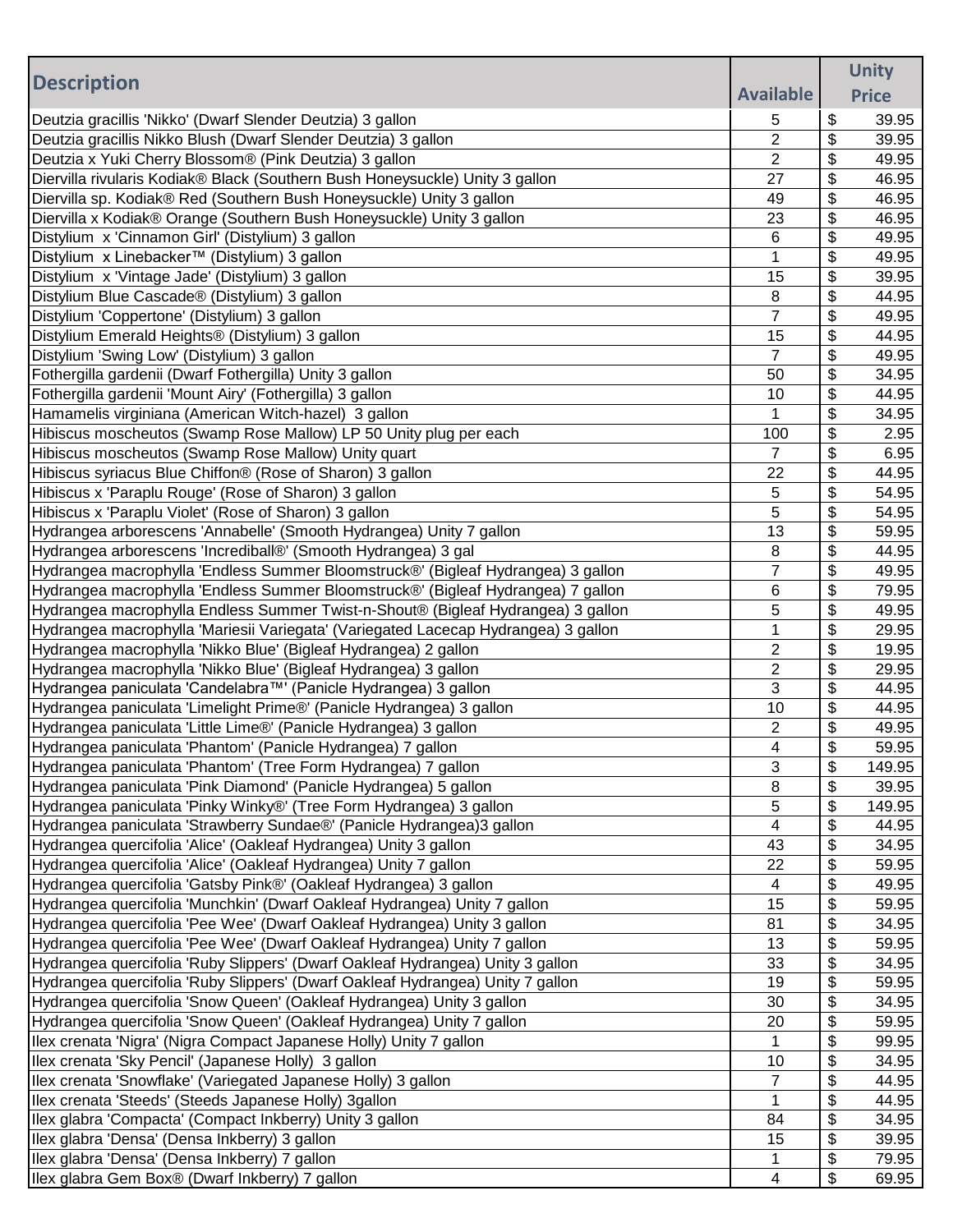|                                                                                                                                       |                              |          | <b>Unity</b>   |
|---------------------------------------------------------------------------------------------------------------------------------------|------------------------------|----------|----------------|
| <b>Description</b>                                                                                                                    | <b>Available</b>             |          | <b>Price</b>   |
| Deutzia gracillis 'Nikko' (Dwarf Slender Deutzia) 3 gallon                                                                            | 5                            | \$       | 39.95          |
| Deutzia gracillis Nikko Blush (Dwarf Slender Deutzia) 3 gallon                                                                        | $\overline{2}$               | \$       | 39.95          |
| Deutzia x Yuki Cherry Blossom® (Pink Deutzia) 3 gallon                                                                                | 2                            | \$       | 49.95          |
| Diervilla rivularis Kodiak® Black (Southern Bush Honeysuckle) Unity 3 gallon                                                          | 27                           | \$       | 46.95          |
| Diervilla sp. Kodiak® Red (Southern Bush Honeysuckle) Unity 3 gallon                                                                  | 49                           | \$       | 46.95          |
| Diervilla x Kodiak® Orange (Southern Bush Honeysuckle) Unity 3 gallon                                                                 | 23                           | \$       | 46.95          |
| Distylium x 'Cinnamon Girl' (Distylium) 3 gallon                                                                                      | 6                            | \$       | 49.95          |
| Distylium x Linebacker™ (Distylium) 3 gallon                                                                                          | 1                            | \$       | 49.95          |
| Distylium x 'Vintage Jade' (Distylium) 3 gallon                                                                                       | 15                           | \$       | 39.95          |
| Distylium Blue Cascade® (Distylium) 3 gallon                                                                                          | 8                            | \$       | 44.95          |
| Distylium 'Coppertone' (Distylium) 3 gallon                                                                                           | $\overline{7}$               | \$       | 49.95          |
| Distylium Emerald Heights® (Distylium) 3 gallon                                                                                       | 15                           | \$       | 44.95          |
| Distylium 'Swing Low' (Distylium) 3 gallon                                                                                            | 7                            | \$       | 49.95          |
| Fothergilla gardenii (Dwarf Fothergilla) Unity 3 gallon                                                                               | 50                           | \$       | 34.95          |
| Fothergilla gardenii 'Mount Airy' (Fothergilla) 3 gallon                                                                              | 10                           | \$       | 44.95          |
| Hamamelis virginiana (American Witch-hazel) 3 gallon                                                                                  | 1                            | \$       | 34.95          |
| Hibiscus moscheutos (Swamp Rose Mallow) LP 50 Unity plug per each                                                                     | 100                          | \$       | 2.95           |
| Hibiscus moscheutos (Swamp Rose Mallow) Unity quart                                                                                   | $\overline{7}$               | \$       | 6.95           |
| Hibiscus syriacus Blue Chiffon® (Rose of Sharon) 3 gallon                                                                             | 22                           | \$       | 44.95          |
| Hibiscus x 'Paraplu Rouge' (Rose of Sharon) 3 gallon                                                                                  | 5                            | \$       | 54.95          |
| Hibiscus x 'Paraplu Violet' (Rose of Sharon) 3 gallon                                                                                 | 5                            | \$       | 54.95          |
| Hydrangea arborescens 'Annabelle' (Smooth Hydrangea) Unity 7 gallon                                                                   | 13                           | \$       | 59.95          |
| Hydrangea arborescens 'Incrediball®' (Smooth Hydrangea) 3 gal                                                                         | 8                            | \$       | 44.95          |
| Hydrangea macrophylla 'Endless Summer Bloomstruck®' (Bigleaf Hydrangea) 3 gallon                                                      | $\overline{7}$               | \$       | 49.95          |
| Hydrangea macrophylla 'Endless Summer Bloomstruck®' (Bigleaf Hydrangea) 7 gallon                                                      | 6                            | \$       | 79.95          |
| Hydrangea macrophylla Endless Summer Twist-n-Shout® (Bigleaf Hydrangea) 3 gallon                                                      | 5                            | \$       | 49.95          |
| Hydrangea macrophylla 'Mariesii Variegata' (Variegated Lacecap Hydrangea) 3 gallon                                                    | 1                            | \$       | 29.95          |
| Hydrangea macrophylla 'Nikko Blue' (Bigleaf Hydrangea) 2 gallon                                                                       | 2                            | \$       | 19.95          |
| Hydrangea macrophylla 'Nikko Blue' (Bigleaf Hydrangea) 3 gallon                                                                       | $\overline{2}$               | \$       | 29.95          |
| Hydrangea paniculata 'Candelabra™' (Panicle Hydrangea) 3 gallon                                                                       | 3                            | \$       | 44.95          |
| Hydrangea paniculata 'Limelight Prime®' (Panicle Hydrangea) 3 gallon                                                                  | 10                           | \$       | 44.95          |
| Hydrangea paniculata 'Little Lime®' (Panicle Hydrangea) 3 gallon                                                                      | 2<br>$\overline{\mathbf{A}}$ | \$       | 49.95          |
| Hydrangea paniculata 'Phantom' (Panicle Hydrangea) 7 gallon                                                                           |                              | \$       | 59.95          |
| Hydrangea paniculata 'Phantom' (Tree Form Hydrangea) 7 gallon                                                                         | 3                            | \$       | 149.95         |
| Hydrangea paniculata 'Pink Diamond' (Panicle Hydrangea) 5 gallon                                                                      | 8                            | \$       | 39.95          |
| Hydrangea paniculata 'Pinky Winky®' (Tree Form Hydrangea) 3 gallon                                                                    | 5                            | \$       | 149.95         |
| Hydrangea paniculata 'Strawberry Sundae®' (Panicle Hydrangea)3 gallon                                                                 | 4<br>43                      | \$<br>\$ | 44.95<br>34.95 |
| Hydrangea quercifolia 'Alice' (Oakleaf Hydrangea) Unity 3 gallon                                                                      | 22                           | \$       | 59.95          |
| Hydrangea quercifolia 'Alice' (Oakleaf Hydrangea) Unity 7 gallon<br>Hydrangea quercifolia 'Gatsby Pink®' (Oakleaf Hydrangea) 3 gallon | 4                            | \$       | 49.95          |
| Hydrangea quercifolia 'Munchkin' (Dwarf Oakleaf Hydrangea) Unity 7 gallon                                                             | 15                           | \$       | 59.95          |
| Hydrangea quercifolia 'Pee Wee' (Dwarf Oakleaf Hydrangea) Unity 3 gallon                                                              | 81                           | \$       | 34.95          |
| Hydrangea quercifolia 'Pee Wee' (Dwarf Oakleaf Hydrangea) Unity 7 gallon                                                              | 13                           | \$       | 59.95          |
| Hydrangea quercifolia 'Ruby Slippers' (Dwarf Oakleaf Hydrangea) Unity 3 gallon                                                        | 33                           | \$       | 34.95          |
| Hydrangea quercifolia 'Ruby Slippers' (Dwarf Oakleaf Hydrangea) Unity 7 gallon                                                        | 19                           | \$       | 59.95          |
| Hydrangea quercifolia 'Snow Queen' (Oakleaf Hydrangea) Unity 3 gallon                                                                 | 30                           | \$       | 34.95          |
| Hydrangea quercifolia 'Snow Queen' (Oakleaf Hydrangea) Unity 7 gallon                                                                 | 20                           | \$       | 59.95          |
| Ilex crenata 'Nigra' (Nigra Compact Japanese Holly) Unity 7 gallon                                                                    | 1                            | \$       | 99.95          |
| Ilex crenata 'Sky Pencil' (Japanese Holly) 3 gallon                                                                                   | 10                           | \$       | 34.95          |
| Ilex crenata 'Snowflake' (Variegated Japanese Holly) 3 gallon                                                                         | 7                            | \$       | 44.95          |
| Ilex crenata 'Steeds' (Steeds Japanese Holly) 3gallon                                                                                 | 1                            | \$       | 44.95          |
| Ilex glabra 'Compacta' (Compact Inkberry) Unity 3 gallon                                                                              | 84                           | \$       | 34.95          |
| Ilex glabra 'Densa' (Densa Inkberry) 3 gallon                                                                                         | 15                           | \$       | 39.95          |
| Ilex glabra 'Densa' (Densa Inkberry) 7 gallon                                                                                         | 1                            | \$       | 79.95          |
| Ilex glabra Gem Box® (Dwarf Inkberry) 7 gallon                                                                                        | 4                            | \$       | 69.95          |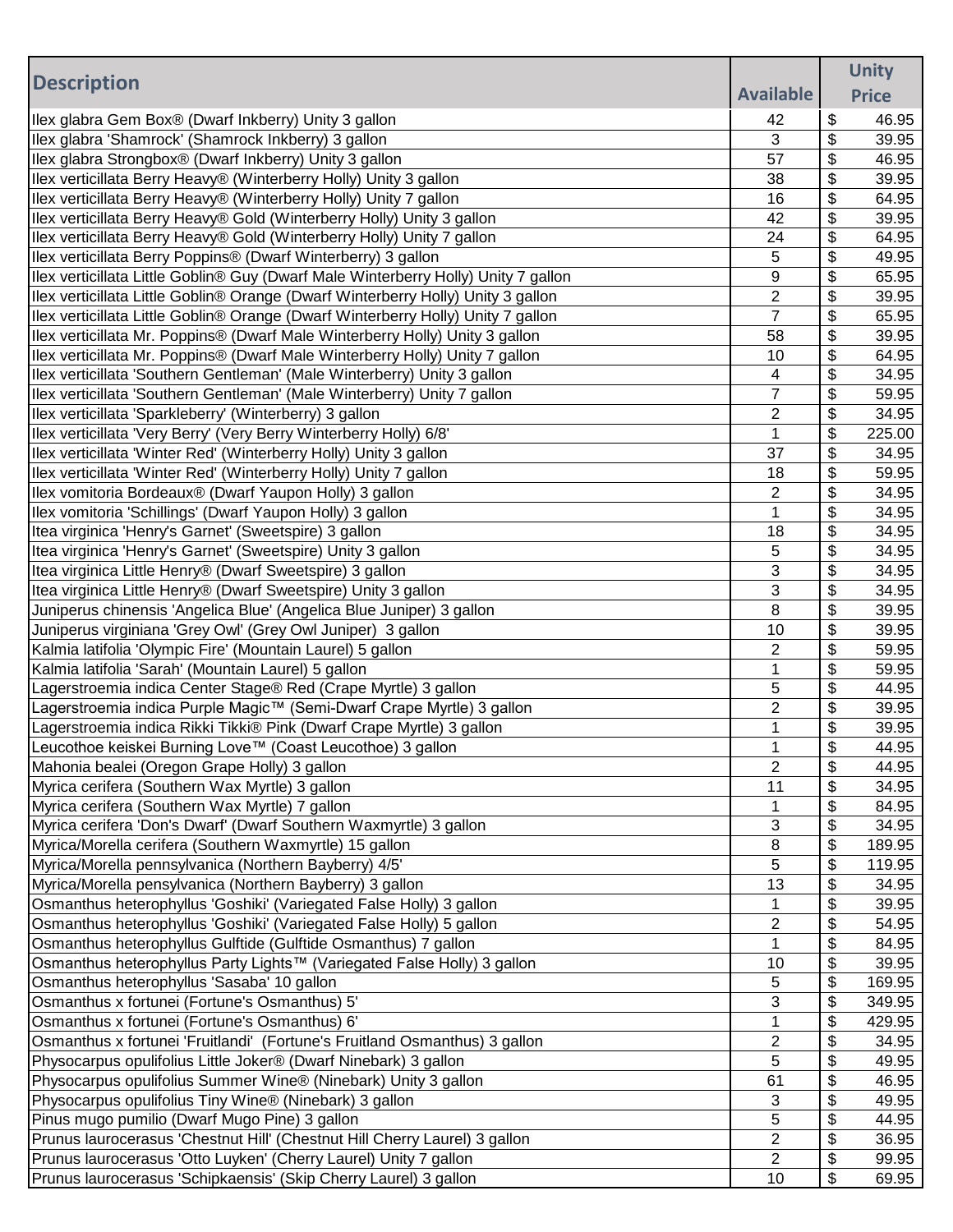|                                                                                                            |                  |          | <b>Unity</b>   |
|------------------------------------------------------------------------------------------------------------|------------------|----------|----------------|
| <b>Description</b>                                                                                         | <b>Available</b> |          | <b>Price</b>   |
| Ilex glabra Gem Box® (Dwarf Inkberry) Unity 3 gallon                                                       | 42               | \$       | 46.95          |
| Ilex glabra 'Shamrock' (Shamrock Inkberry) 3 gallon                                                        | 3                | \$       | 39.95          |
| Ilex glabra Strongbox® (Dwarf Inkberry) Unity 3 gallon                                                     | 57               | \$       | 46.95          |
| Ilex verticillata Berry Heavy® (Winterberry Holly) Unity 3 gallon                                          | 38               | \$       | 39.95          |
| Ilex verticillata Berry Heavy® (Winterberry Holly) Unity 7 gallon                                          | 16               | \$       | 64.95          |
| Ilex verticillata Berry Heavy® Gold (Winterberry Holly) Unity 3 gallon                                     | 42               | \$       | 39.95          |
| Ilex verticillata Berry Heavy® Gold (Winterberry Holly) Unity 7 gallon                                     | 24               | \$       | 64.95          |
| Ilex verticillata Berry Poppins® (Dwarf Winterberry) 3 gallon                                              | 5                | \$       | 49.95          |
| Ilex verticillata Little Goblin® Guy (Dwarf Male Winterberry Holly) Unity 7 gallon                         | 9                | \$       | 65.95          |
| Ilex verticillata Little Goblin® Orange (Dwarf Winterberry Holly) Unity 3 gallon                           | $\overline{2}$   | \$       | 39.95          |
| Ilex verticillata Little Goblin® Orange (Dwarf Winterberry Holly) Unity 7 gallon                           | $\overline{7}$   | \$       | 65.95          |
| Ilex verticillata Mr. Poppins® (Dwarf Male Winterberry Holly) Unity 3 gallon                               | 58               | \$       | 39.95          |
| Ilex verticillata Mr. Poppins® (Dwarf Male Winterberry Holly) Unity 7 gallon                               | 10               | \$       | 64.95          |
| Ilex verticillata 'Southern Gentleman' (Male Winterberry) Unity 3 gallon                                   | 4                | \$       | 34.95          |
| Ilex verticillata 'Southern Gentleman' (Male Winterberry) Unity 7 gallon                                   | 7                | \$       | 59.95          |
| Ilex verticillata 'Sparkleberry' (Winterberry) 3 gallon                                                    | 2                | \$       | 34.95          |
| Ilex verticillata 'Very Berry' (Very Berry Winterberry Holly) 6/8'                                         | 1                | \$       | 225.00         |
| Ilex verticillata 'Winter Red' (Winterberry Holly) Unity 3 gallon                                          | 37               | \$       | 34.95          |
| Ilex verticillata 'Winter Red' (Winterberry Holly) Unity 7 gallon                                          | 18               | \$       | 59.95          |
| Ilex vomitoria Bordeaux® (Dwarf Yaupon Holly) 3 gallon                                                     | $\overline{2}$   | \$       | 34.95          |
| Ilex vomitoria 'Schillings' (Dwarf Yaupon Holly) 3 gallon                                                  | 1                | \$       | 34.95          |
| Itea virginica 'Henry's Garnet' (Sweetspire) 3 gallon                                                      | 18               | \$       | 34.95          |
| Itea virginica 'Henry's Garnet' (Sweetspire) Unity 3 gallon                                                | 5                | \$       | 34.95          |
| Itea virginica Little Henry® (Dwarf Sweetspire) 3 gallon                                                   | 3                | \$       | 34.95          |
| Itea virginica Little Henry® (Dwarf Sweetspire) Unity 3 gallon                                             | 3                | \$       | 34.95          |
| Juniperus chinensis 'Angelica Blue' (Angelica Blue Juniper) 3 gallon                                       | 8                | \$       | 39.95          |
| Juniperus virginiana 'Grey Owl' (Grey Owl Juniper) 3 gallon                                                | 10               | \$       | 39.95          |
| Kalmia latifolia 'Olympic Fire' (Mountain Laurel) 5 gallon                                                 | $\overline{2}$   | \$       | 59.95          |
| Kalmia latifolia 'Sarah' (Mountain Laurel) 5 gallon                                                        | 1                | \$       | 59.95          |
| Lagerstroemia indica Center Stage® Red (Crape Myrtle) 3 gallon                                             | 5                | \$<br>\$ | 44.95          |
| Lagerstroemia indica Purple Magic™ (Semi-Dwarf Crape Myrtle) 3 gallon                                      | 2                |          | 39.95<br>39.95 |
| Lagerstroemia indica Rikki Tikki® Pink (Dwarf Crape Myrtle) 3 gallon                                       | 1                | \$<br>\$ | 44.95          |
| Leucothoe keiskei Burning Love™ (Coast Leucothoe) 3 gallon<br>Mahonia bealei (Oregon Grape Holly) 3 gallon | $\overline{2}$   | \$       | 44.95          |
| Myrica cerifera (Southern Wax Myrtle) 3 gallon                                                             | 11               | \$       | 34.95          |
| Myrica cerifera (Southern Wax Myrtle) 7 gallon                                                             | 1                | \$       | 84.95          |
| Myrica cerifera 'Don's Dwarf' (Dwarf Southern Waxmyrtle) 3 gallon                                          | 3                | \$       | 34.95          |
| Myrica/Morella cerifera (Southern Waxmyrtle) 15 gallon                                                     | 8                | \$       | 189.95         |
| Myrica/Morella pennsylvanica (Northern Bayberry) 4/5'                                                      | 5                | \$       | 119.95         |
| Myrica/Morella pensylvanica (Northern Bayberry) 3 gallon                                                   | 13               | \$       | 34.95          |
| Osmanthus heterophyllus 'Goshiki' (Variegated False Holly) 3 gallon                                        | 1                | \$       | 39.95          |
| Osmanthus heterophyllus 'Goshiki' (Variegated False Holly) 5 gallon                                        | 2                | \$       | 54.95          |
| Osmanthus heterophyllus Gulftide (Gulftide Osmanthus) 7 gallon                                             | 1                | \$       | 84.95          |
| Osmanthus heterophyllus Party Lights™ (Variegated False Holly) 3 gallon                                    | 10               | \$       | 39.95          |
| Osmanthus heterophyllus 'Sasaba' 10 gallon                                                                 | 5                | \$       | 169.95         |
| Osmanthus x fortunei (Fortune's Osmanthus) 5'                                                              | 3                | \$       | 349.95         |
| Osmanthus x fortunei (Fortune's Osmanthus) 6'                                                              | 1                | \$       | 429.95         |
| Osmanthus x fortunei 'Fruitlandi' (Fortune's Fruitland Osmanthus) 3 gallon                                 | 2                | \$       | 34.95          |
| Physocarpus opulifolius Little Joker® (Dwarf Ninebark) 3 gallon                                            | 5                | \$       | 49.95          |
| Physocarpus opulifolius Summer Wine® (Ninebark) Unity 3 gallon                                             | 61               | \$       | 46.95          |
| Physocarpus opulifolius Tiny Wine® (Ninebark) 3 gallon                                                     | 3                | \$       | 49.95          |
| Pinus mugo pumilio (Dwarf Mugo Pine) 3 gallon                                                              | 5                | \$       | 44.95          |
| Prunus laurocerasus 'Chestnut Hill' (Chestnut Hill Cherry Laurel) 3 gallon                                 | 2                | \$       | 36.95          |
| Prunus laurocerasus 'Otto Luyken' (Cherry Laurel) Unity 7 gallon                                           | $\overline{2}$   | \$       | 99.95          |
| Prunus laurocerasus 'Schipkaensis' (Skip Cherry Laurel) 3 gallon                                           | 10               | \$       | 69.95          |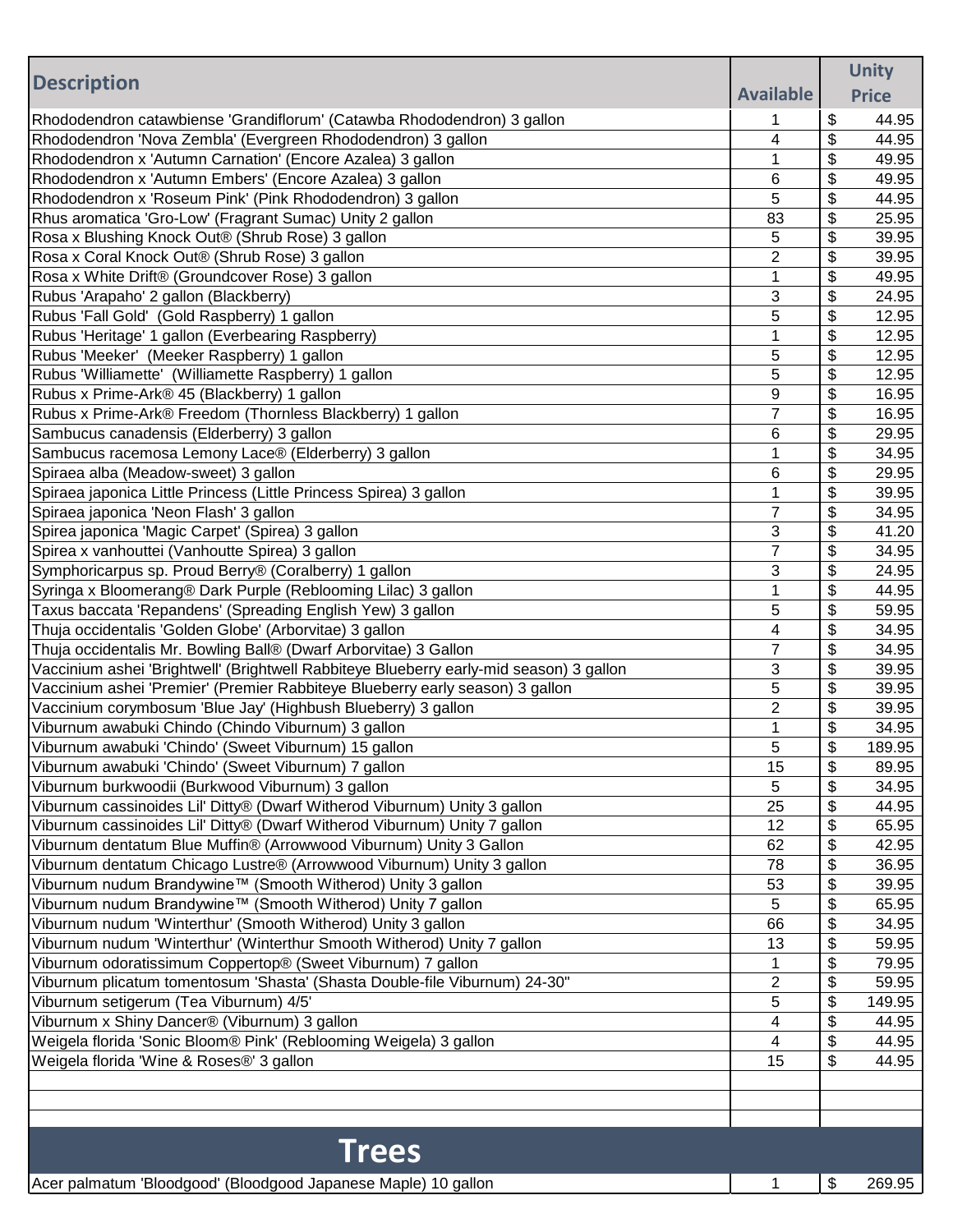|                                                                                         |                  | <b>Unity</b> |
|-----------------------------------------------------------------------------------------|------------------|--------------|
| <b>Description</b>                                                                      | <b>Available</b> | <b>Price</b> |
| Rhododendron catawbiense 'Grandiflorum' (Catawba Rhododendron) 3 gallon                 | 1                | \$<br>44.95  |
| Rhododendron 'Nova Zembla' (Evergreen Rhododendron) 3 gallon                            | 4                | \$<br>44.95  |
| Rhododendron x 'Autumn Carnation' (Encore Azalea) 3 gallon                              | 1                | \$<br>49.95  |
| Rhododendron x 'Autumn Embers' (Encore Azalea) 3 gallon                                 | 6                | \$<br>49.95  |
| Rhododendron x 'Roseum Pink' (Pink Rhododendron) 3 gallon                               | 5                | \$<br>44.95  |
| Rhus aromatica 'Gro-Low' (Fragrant Sumac) Unity 2 gallon                                | 83               | \$<br>25.95  |
| Rosa x Blushing Knock Out® (Shrub Rose) 3 gallon                                        | 5                | \$<br>39.95  |
| Rosa x Coral Knock Out® (Shrub Rose) 3 gallon                                           | $\overline{2}$   | \$<br>39.95  |
| Rosa x White Drift® (Groundcover Rose) 3 gallon                                         | 1                | \$<br>49.95  |
| Rubus 'Arapaho' 2 gallon (Blackberry)                                                   | 3                | \$<br>24.95  |
| Rubus 'Fall Gold' (Gold Raspberry) 1 gallon                                             | 5                | \$<br>12.95  |
| Rubus 'Heritage' 1 gallon (Everbearing Raspberry)                                       | 1                | \$<br>12.95  |
| Rubus 'Meeker' (Meeker Raspberry) 1 gallon                                              | 5                | \$<br>12.95  |
| Rubus 'Williamette' (Williamette Raspberry) 1 gallon                                    | 5                | \$<br>12.95  |
| Rubus x Prime-Ark® 45 (Blackberry) 1 gallon                                             | 9                | \$<br>16.95  |
| Rubus x Prime-Ark® Freedom (Thornless Blackberry) 1 gallon                              | $\overline{7}$   | \$<br>16.95  |
| Sambucus canadensis (Elderberry) 3 gallon                                               | 6                | \$<br>29.95  |
| Sambucus racemosa Lemony Lace® (Elderberry) 3 gallon                                    | 1                | \$<br>34.95  |
| Spiraea alba (Meadow-sweet) 3 gallon                                                    | 6                | \$<br>29.95  |
| Spiraea japonica Little Princess (Little Princess Spirea) 3 gallon                      | 1                | \$<br>39.95  |
| Spiraea japonica 'Neon Flash' 3 gallon                                                  | $\overline{7}$   | \$<br>34.95  |
| Spirea japonica 'Magic Carpet' (Spirea) 3 gallon                                        | 3                | \$<br>41.20  |
| Spirea x vanhouttei (Vanhoutte Spirea) 3 gallon                                         | $\overline{7}$   | \$<br>34.95  |
| Symphoricarpus sp. Proud Berry® (Coralberry) 1 gallon                                   | 3                | \$<br>24.95  |
| Syringa x Bloomerang® Dark Purple (Reblooming Lilac) 3 gallon                           | 1                | \$<br>44.95  |
| Taxus baccata 'Repandens' (Spreading English Yew) 3 gallon                              | 5                | \$<br>59.95  |
| Thuja occidentalis 'Golden Globe' (Arborvitae) 3 gallon                                 | 4                | \$<br>34.95  |
| Thuja occidentalis Mr. Bowling Ball® (Dwarf Arborvitae) 3 Gallon                        | 7                | \$<br>34.95  |
| Vaccinium ashei 'Brightwell' (Brightwell Rabbiteye Blueberry early-mid season) 3 gallon | 3                | \$<br>39.95  |
| Vaccinium ashei 'Premier' (Premier Rabbiteye Blueberry early season) 3 gallon           | 5                | \$<br>39.95  |
| Vaccinium corymbosum 'Blue Jay' (Highbush Blueberry) 3 gallon                           | $\overline{2}$   | \$<br>39.95  |
| Viburnum awabuki Chindo (Chindo Viburnum) 3 gallon                                      | 1                | \$<br>34.95  |
| Viburnum awabuki 'Chindo' (Sweet Viburnum) 15 gallon                                    | 5                | \$<br>189.95 |
| Viburnum awabuki 'Chindo' (Sweet Viburnum) 7 gallon                                     | 15               | \$<br>89.95  |
| Viburnum burkwoodii (Burkwood Viburnum) 3 gallon                                        | 5                | \$<br>34.95  |
| Viburnum cassinoides Lil' Ditty® (Dwarf Witherod Viburnum) Unity 3 gallon               | 25               | \$<br>44.95  |
| Viburnum cassinoides Lil' Ditty® (Dwarf Witherod Viburnum) Unity 7 gallon               | 12               | \$<br>65.95  |
| Viburnum dentatum Blue Muffin® (Arrowwood Viburnum) Unity 3 Gallon                      | 62               | \$<br>42.95  |
| Viburnum dentatum Chicago Lustre® (Arrowwood Viburnum) Unity 3 gallon                   | 78               | \$<br>36.95  |
| Viburnum nudum Brandywine™ (Smooth Witherod) Unity 3 gallon                             | 53               | \$<br>39.95  |
| Viburnum nudum Brandywine™ (Smooth Witherod) Unity 7 gallon                             | 5                | \$<br>65.95  |
| Viburnum nudum 'Winterthur' (Smooth Witherod) Unity 3 gallon                            | 66               | \$<br>34.95  |
| Viburnum nudum 'Winterthur' (Winterthur Smooth Witherod) Unity 7 gallon                 | 13               | \$<br>59.95  |
| Viburnum odoratissimum Coppertop® (Sweet Viburnum) 7 gallon                             | 1                | \$<br>79.95  |
| Viburnum plicatum tomentosum 'Shasta' (Shasta Double-file Viburnum) 24-30"              | $\overline{c}$   | \$<br>59.95  |
| Viburnum setigerum (Tea Viburnum) 4/5'                                                  | 5                | \$<br>149.95 |
| Viburnum x Shiny Dancer® (Viburnum) 3 gallon                                            | 4                | \$<br>44.95  |
| Weigela florida 'Sonic Bloom® Pink' (Reblooming Weigela) 3 gallon                       | 4                | \$<br>44.95  |
| Weigela florida 'Wine & Roses®' 3 gallon                                                | 15               | \$<br>44.95  |
|                                                                                         |                  |              |
|                                                                                         |                  |              |
|                                                                                         |                  |              |
| <b>Trees</b>                                                                            |                  |              |
| Acer palmatum 'Bloodgood' (Bloodgood Japanese Maple) 10 gallon                          | 1                | \$<br>269.95 |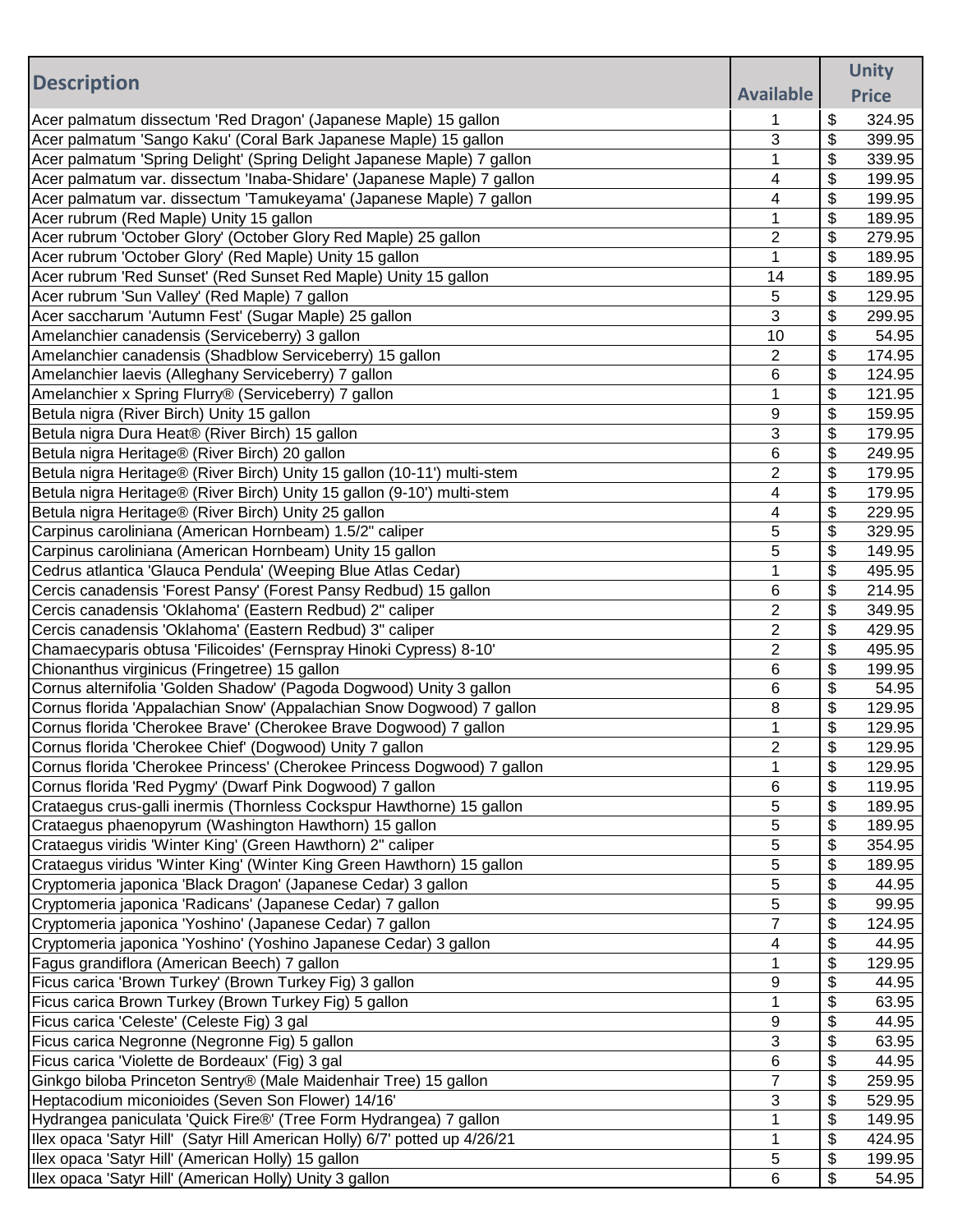|                                                                                                                                       |                  |          | <b>Unity</b>     |
|---------------------------------------------------------------------------------------------------------------------------------------|------------------|----------|------------------|
| <b>Description</b>                                                                                                                    | <b>Available</b> |          | <b>Price</b>     |
| Acer palmatum dissectum 'Red Dragon' (Japanese Maple) 15 gallon                                                                       | 1                | \$       | 324.95           |
| Acer palmatum 'Sango Kaku' (Coral Bark Japanese Maple) 15 gallon                                                                      | 3                | \$       | 399.95           |
| Acer palmatum 'Spring Delight' (Spring Delight Japanese Maple) 7 gallon                                                               | 1                | \$       | 339.95           |
| Acer palmatum var. dissectum 'Inaba-Shidare' (Japanese Maple) 7 gallon                                                                | 4                | \$       | 199.95           |
| Acer palmatum var. dissectum 'Tamukeyama' (Japanese Maple) 7 gallon                                                                   | 4                | \$       | 199.95           |
| Acer rubrum (Red Maple) Unity 15 gallon                                                                                               | 1                | \$       | 189.95           |
| Acer rubrum 'October Glory' (October Glory Red Maple) 25 gallon                                                                       | 2                | \$       | 279.95           |
| Acer rubrum 'October Glory' (Red Maple) Unity 15 gallon                                                                               | 1                | \$       | 189.95           |
| Acer rubrum 'Red Sunset' (Red Sunset Red Maple) Unity 15 gallon                                                                       | 14               | \$       | 189.95           |
| Acer rubrum 'Sun Valley' (Red Maple) 7 gallon                                                                                         | 5                | \$       | 129.95           |
| Acer saccharum 'Autumn Fest' (Sugar Maple) 25 gallon                                                                                  | 3                | \$       | 299.95           |
| Amelanchier canadensis (Serviceberry) 3 gallon                                                                                        | 10               | \$       | 54.95            |
| Amelanchier canadensis (Shadblow Serviceberry) 15 gallon                                                                              | $\overline{2}$   | \$       | 174.95           |
| Amelanchier laevis (Alleghany Serviceberry) 7 gallon                                                                                  | 6                | \$       | 124.95           |
| Amelanchier x Spring Flurry® (Serviceberry) 7 gallon                                                                                  | 1                | \$       | 121.95           |
| Betula nigra (River Birch) Unity 15 gallon                                                                                            | 9                | \$       | 159.95           |
| Betula nigra Dura Heat® (River Birch) 15 gallon                                                                                       | 3                | \$       | 179.95           |
| Betula nigra Heritage® (River Birch) 20 gallon                                                                                        | 6                | \$       | 249.95           |
| Betula nigra Heritage® (River Birch) Unity 15 gallon (10-11') multi-stem                                                              | $\overline{2}$   | \$       | 179.95           |
| Betula nigra Heritage® (River Birch) Unity 15 gallon (9-10') multi-stem                                                               | 4                | \$       | 179.95           |
| Betula nigra Heritage® (River Birch) Unity 25 gallon                                                                                  | 4                | \$       | 229.95           |
| Carpinus caroliniana (American Hornbeam) 1.5/2" caliper                                                                               | 5                | \$       | 329.95           |
| Carpinus caroliniana (American Hornbeam) Unity 15 gallon                                                                              | 5                | \$       | 149.95           |
| Cedrus atlantica 'Glauca Pendula' (Weeping Blue Atlas Cedar)                                                                          | 1                | \$       | 495.95           |
| Cercis canadensis 'Forest Pansy' (Forest Pansy Redbud) 15 gallon                                                                      | 6                | \$       | 214.95           |
| Cercis canadensis 'Oklahoma' (Eastern Redbud) 2" caliper                                                                              | 2                | \$       | 349.95           |
| Cercis canadensis 'Oklahoma' (Eastern Redbud) 3" caliper                                                                              | 2                | \$       | 429.95           |
| Chamaecyparis obtusa 'Filicoides' (Fernspray Hinoki Cypress) 8-10'                                                                    | 2                | \$       | 495.95           |
| Chionanthus virginicus (Fringetree) 15 gallon                                                                                         | 6                | \$       | 199.95           |
| Cornus alternifolia 'Golden Shadow' (Pagoda Dogwood) Unity 3 gallon                                                                   | 6                | \$       | 54.95            |
| Cornus florida 'Appalachian Snow' (Appalachian Snow Dogwood) 7 gallon                                                                 | 8                | \$       | 129.95           |
| Cornus florida 'Cherokee Brave' (Cherokee Brave Dogwood) 7 gallon                                                                     | 1                | \$       | 129.95           |
| Cornus florida 'Cherokee Chief' (Dogwood) Unity 7 gallon                                                                              | $\overline{2}$   | \$       | 129.95           |
| Cornus florida 'Cherokee Princess' (Cherokee Princess Dogwood) 7 gallon                                                               | 1                | \$       | 129.95           |
| Cornus florida 'Red Pygmy' (Dwarf Pink Dogwood) 7 gallon<br>Crataegus crus-galli inermis (Thornless Cockspur Hawthorne) 15 gallon     | 6                | \$       | 119.95           |
|                                                                                                                                       | 5                | \$       | 189.95           |
| Crataegus phaenopyrum (Washington Hawthorn) 15 gallon                                                                                 | 5<br>5           | \$<br>\$ | 189.95<br>354.95 |
| Crataegus viridis 'Winter King' (Green Hawthorn) 2" caliper<br>Crataegus viridus 'Winter King' (Winter King Green Hawthorn) 15 gallon | 5                | \$       | 189.95           |
| Cryptomeria japonica 'Black Dragon' (Japanese Cedar) 3 gallon                                                                         | 5                | \$       | 44.95            |
| Cryptomeria japonica 'Radicans' (Japanese Cedar) 7 gallon                                                                             | 5                | \$       | 99.95            |
| Cryptomeria japonica 'Yoshino' (Japanese Cedar) 7 gallon                                                                              | 7                | \$       | 124.95           |
| Cryptomeria japonica 'Yoshino' (Yoshino Japanese Cedar) 3 gallon                                                                      | 4                | \$       | 44.95            |
| Fagus grandiflora (American Beech) 7 gallon                                                                                           | 1                | \$       | 129.95           |
| Ficus carica 'Brown Turkey' (Brown Turkey Fig) 3 gallon                                                                               | 9                | \$       | 44.95            |
| Ficus carica Brown Turkey (Brown Turkey Fig) 5 gallon                                                                                 | 1                | \$       | 63.95            |
| Ficus carica 'Celeste' (Celeste Fig) 3 gal                                                                                            | 9                | \$       | 44.95            |
| Ficus carica Negronne (Negronne Fig) 5 gallon                                                                                         | 3                | \$       | 63.95            |
| Ficus carica 'Violette de Bordeaux' (Fig) 3 gal                                                                                       | 6                | \$       | 44.95            |
| Ginkgo biloba Princeton Sentry® (Male Maidenhair Tree) 15 gallon                                                                      | $\overline{7}$   | \$       | 259.95           |
| Heptacodium miconioides (Seven Son Flower) 14/16'                                                                                     | 3                | \$       | 529.95           |
| Hydrangea paniculata 'Quick Fire®' (Tree Form Hydrangea) 7 gallon                                                                     | 1                | \$       | 149.95           |
| Ilex opaca 'Satyr Hill' (Satyr Hill American Holly) 6/7' potted up 4/26/21                                                            | 1                | \$       | 424.95           |
| Ilex opaca 'Satyr Hill' (American Holly) 15 gallon                                                                                    | 5                | \$       | 199.95           |
| Ilex opaca 'Satyr Hill' (American Holly) Unity 3 gallon                                                                               | 6                | \$       | 54.95            |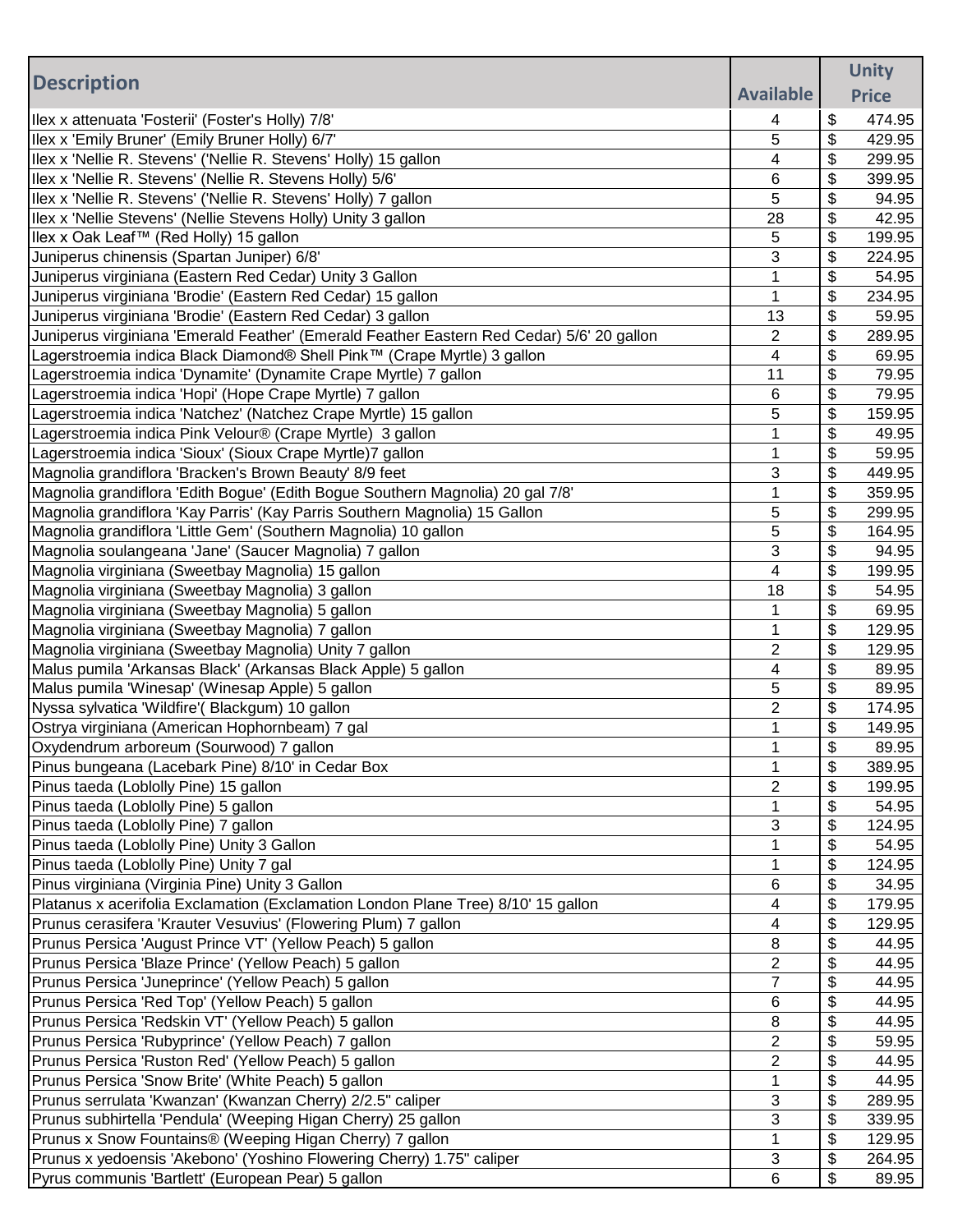|                                                                                           |                  | <b>Unity</b> |
|-------------------------------------------------------------------------------------------|------------------|--------------|
| <b>Description</b>                                                                        | <b>Available</b> | <b>Price</b> |
| Ilex x attenuata 'Fosterii' (Foster's Holly) 7/8'                                         | 4                | \$<br>474.95 |
| Ilex x 'Emily Bruner' (Emily Bruner Holly) 6/7'                                           | 5                | \$<br>429.95 |
| Ilex x 'Nellie R. Stevens' ('Nellie R. Stevens' Holly) 15 gallon                          | 4                | \$<br>299.95 |
| Ilex x 'Nellie R. Stevens' (Nellie R. Stevens Holly) 5/6'                                 | 6                | \$<br>399.95 |
| Ilex x 'Nellie R. Stevens' ('Nellie R. Stevens' Holly) 7 gallon                           | 5                | \$<br>94.95  |
| Ilex x 'Nellie Stevens' (Nellie Stevens Holly) Unity 3 gallon                             | 28               | \$<br>42.95  |
| Ilex x Oak Leaf™ (Red Holly) 15 gallon                                                    | 5                | \$<br>199.95 |
| Juniperus chinensis (Spartan Juniper) 6/8'                                                | 3                | \$<br>224.95 |
| Juniperus virginiana (Eastern Red Cedar) Unity 3 Gallon                                   | 1                | \$<br>54.95  |
| Juniperus virginiana 'Brodie' (Eastern Red Cedar) 15 gallon                               | 1                | \$<br>234.95 |
| Juniperus virginiana 'Brodie' (Eastern Red Cedar) 3 gallon                                | 13               | \$<br>59.95  |
| Juniperus virginiana 'Emerald Feather' (Emerald Feather Eastern Red Cedar) 5/6' 20 gallon | $\overline{2}$   | \$<br>289.95 |
| Lagerstroemia indica Black Diamond® Shell Pink™ (Crape Myrtle) 3 gallon                   | 4                | \$<br>69.95  |
| Lagerstroemia indica 'Dynamite' (Dynamite Crape Myrtle) 7 gallon                          | 11               | \$<br>79.95  |
| Lagerstroemia indica 'Hopi' (Hope Crape Myrtle) 7 gallon                                  | 6                | \$<br>79.95  |
| Lagerstroemia indica 'Natchez' (Natchez Crape Myrtle) 15 gallon                           | 5                | \$<br>159.95 |
| Lagerstroemia indica Pink Velour® (Crape Myrtle) 3 gallon                                 | 1                | \$<br>49.95  |
| Lagerstroemia indica 'Sioux' (Sioux Crape Myrtle)7 gallon                                 | 1                | \$<br>59.95  |
| Magnolia grandiflora 'Bracken's Brown Beauty' 8/9 feet                                    | 3                | \$<br>449.95 |
| Magnolia grandiflora 'Edith Bogue' (Edith Bogue Southern Magnolia) 20 gal 7/8'            | $\mathbf 1$      | \$<br>359.95 |
| Magnolia grandiflora 'Kay Parris' (Kay Parris Southern Magnolia) 15 Gallon                | 5                | \$<br>299.95 |
| Magnolia grandiflora 'Little Gem' (Southern Magnolia) 10 gallon                           | 5                | \$<br>164.95 |
| Magnolia soulangeana 'Jane' (Saucer Magnolia) 7 gallon                                    | 3                | \$<br>94.95  |
| Magnolia virginiana (Sweetbay Magnolia) 15 gallon                                         | 4                | \$<br>199.95 |
| Magnolia virginiana (Sweetbay Magnolia) 3 gallon                                          | 18               | \$<br>54.95  |
| Magnolia virginiana (Sweetbay Magnolia) 5 gallon                                          | 1                | \$<br>69.95  |
| Magnolia virginiana (Sweetbay Magnolia) 7 gallon                                          | 1                | \$<br>129.95 |
| Magnolia virginiana (Sweetbay Magnolia) Unity 7 gallon                                    | 2                | \$<br>129.95 |
| Malus pumila 'Arkansas Black' (Arkansas Black Apple) 5 gallon                             | 4                | \$<br>89.95  |
| Malus pumila 'Winesap' (Winesap Apple) 5 gallon                                           | 5                | \$<br>89.95  |
| Nyssa sylvatica 'Wildfire'( Blackgum) 10 gallon                                           | 2                | \$<br>174.95 |
| Ostrya virginiana (American Hophornbeam) 7 gal                                            | 1                | \$<br>149.95 |
| Oxydendrum arboreum (Sourwood) 7 gallon                                                   |                  | \$<br>89.95  |
| Pinus bungeana (Lacebark Pine) 8/10' in Cedar Box                                         | 1                | \$<br>389.95 |
| Pinus taeda (Loblolly Pine) 15 gallon                                                     | 2                | \$<br>199.95 |
| Pinus taeda (Loblolly Pine) 5 gallon                                                      | 1                | \$<br>54.95  |
| Pinus taeda (Loblolly Pine) 7 gallon                                                      | 3                | \$<br>124.95 |
| Pinus taeda (Loblolly Pine) Unity 3 Gallon                                                |                  | \$<br>54.95  |
| Pinus taeda (Loblolly Pine) Unity 7 gal                                                   | 1                | \$<br>124.95 |
| Pinus virginiana (Virginia Pine) Unity 3 Gallon                                           | 6                | \$<br>34.95  |
| Platanus x acerifolia Exclamation (Exclamation London Plane Tree) 8/10' 15 gallon         | 4                | \$<br>179.95 |
| Prunus cerasifera 'Krauter Vesuvius' (Flowering Plum) 7 gallon                            | 4                | \$<br>129.95 |
| Prunus Persica 'August Prince VT' (Yellow Peach) 5 gallon                                 | 8                | \$<br>44.95  |
| Prunus Persica 'Blaze Prince' (Yellow Peach) 5 gallon                                     | $\overline{2}$   | \$<br>44.95  |
| Prunus Persica 'Juneprince' (Yellow Peach) 5 gallon                                       | 7                | \$<br>44.95  |
| Prunus Persica 'Red Top' (Yellow Peach) 5 gallon                                          | 6                | \$<br>44.95  |
| Prunus Persica 'Redskin VT' (Yellow Peach) 5 gallon                                       | 8                | \$<br>44.95  |
| Prunus Persica 'Rubyprince' (Yellow Peach) 7 gallon                                       | 2                | \$<br>59.95  |
| Prunus Persica 'Ruston Red' (Yellow Peach) 5 gallon                                       | $\overline{2}$   | \$<br>44.95  |
| Prunus Persica 'Snow Brite' (White Peach) 5 gallon                                        | 1                | \$<br>44.95  |
| Prunus serrulata 'Kwanzan' (Kwanzan Cherry) 2/2.5" caliper                                | 3                | \$<br>289.95 |
| Prunus subhirtella 'Pendula' (Weeping Higan Cherry) 25 gallon                             | 3                | \$<br>339.95 |
| Prunus x Snow Fountains® (Weeping Higan Cherry) 7 gallon                                  | 1                | \$<br>129.95 |
| Prunus x yedoensis 'Akebono' (Yoshino Flowering Cherry) 1.75" caliper                     | 3                | \$<br>264.95 |
| Pyrus communis 'Bartlett' (European Pear) 5 gallon                                        | 6                | \$<br>89.95  |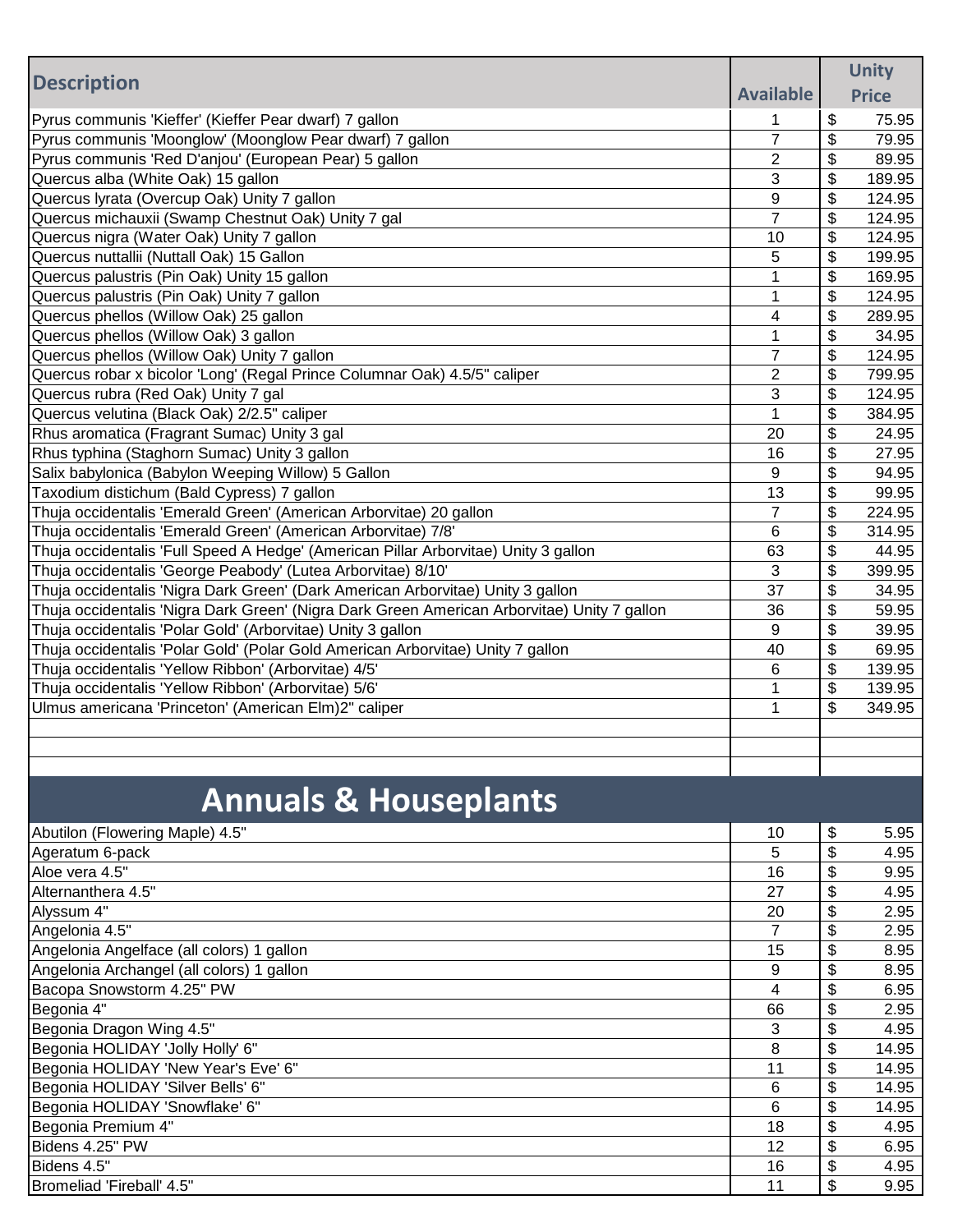|                                                                                             | <b>Unity</b>     |    |              |
|---------------------------------------------------------------------------------------------|------------------|----|--------------|
| <b>Description</b>                                                                          | <b>Available</b> |    | <b>Price</b> |
| Pyrus communis 'Kieffer' (Kieffer Pear dwarf) 7 gallon                                      |                  | \$ | 75.95        |
| Pyrus communis 'Moonglow' (Moonglow Pear dwarf) 7 gallon                                    | $\overline{7}$   | \$ | 79.95        |
| Pyrus communis 'Red D'anjou' (European Pear) 5 gallon                                       | $\overline{2}$   | \$ | 89.95        |
| Quercus alba (White Oak) 15 gallon                                                          | 3                | \$ | 189.95       |
| Quercus lyrata (Overcup Oak) Unity 7 gallon                                                 | 9                | \$ | 124.95       |
| Quercus michauxii (Swamp Chestnut Oak) Unity 7 gal                                          | $\overline{7}$   | \$ | 124.95       |
| Quercus nigra (Water Oak) Unity 7 gallon                                                    | 10               | \$ | 124.95       |
| Quercus nuttallii (Nuttall Oak) 15 Gallon                                                   | 5                | \$ | 199.95       |
| Quercus palustris (Pin Oak) Unity 15 gallon                                                 | 1                | \$ | 169.95       |
| Quercus palustris (Pin Oak) Unity 7 gallon                                                  | 1                | \$ | 124.95       |
| Quercus phellos (Willow Oak) 25 gallon                                                      | 4                | \$ | 289.95       |
| Quercus phellos (Willow Oak) 3 gallon                                                       | 1                | \$ | 34.95        |
| Quercus phellos (Willow Oak) Unity 7 gallon                                                 | $\overline{7}$   | \$ | 124.95       |
| Quercus robar x bicolor 'Long' (Regal Prince Columnar Oak) 4.5/5" caliper                   | $\overline{2}$   | \$ | 799.95       |
| Quercus rubra (Red Oak) Unity 7 gal                                                         | 3                | \$ | 124.95       |
| Quercus velutina (Black Oak) 2/2.5" caliper                                                 | 1                | \$ | 384.95       |
| Rhus aromatica (Fragrant Sumac) Unity 3 gal                                                 | 20               | \$ | 24.95        |
| Rhus typhina (Staghorn Sumac) Unity 3 gallon                                                | 16               | \$ | 27.95        |
| Salix babylonica (Babylon Weeping Willow) 5 Gallon                                          | 9                | \$ | 94.95        |
| Taxodium distichum (Bald Cypress) 7 gallon                                                  | 13               | \$ | 99.95        |
| Thuja occidentalis 'Emerald Green' (American Arborvitae) 20 gallon                          | $\overline{7}$   | \$ | 224.95       |
| Thuja occidentalis 'Emerald Green' (American Arborvitae) 7/8'                               | 6                | \$ | 314.95       |
| Thuja occidentalis 'Full Speed A Hedge' (American Pillar Arborvitae) Unity 3 gallon         | 63               | \$ | 44.95        |
| Thuja occidentalis 'George Peabody' (Lutea Arborvitae) 8/10'                                | 3                | \$ | 399.95       |
| Thuja occidentalis 'Nigra Dark Green' (Dark American Arborvitae) Unity 3 gallon             | 37               | \$ | 34.95        |
| Thuja occidentalis 'Nigra Dark Green' (Nigra Dark Green American Arborvitae) Unity 7 gallon | 36               | \$ | 59.95        |
| Thuja occidentalis 'Polar Gold' (Arborvitae) Unity 3 gallon                                 | 9                | \$ | 39.95        |
| Thuja occidentalis 'Polar Gold' (Polar Gold American Arborvitae) Unity 7 gallon             | 40               | \$ | 69.95        |
| Thuja occidentalis 'Yellow Ribbon' (Arborvitae) 4/5'                                        | 6                | \$ | 139.95       |
| Thuja occidentalis 'Yellow Ribbon' (Arborvitae) 5/6'                                        | 1                | \$ | 139.95       |
| Ulmus americana 'Princeton' (American Elm)2" caliper                                        | 1                | \$ | 349.95       |
|                                                                                             |                  |    |              |
|                                                                                             |                  |    |              |
|                                                                                             |                  |    |              |
| <b>Annuals &amp; Houseplants</b>                                                            |                  |    |              |
| Abutilon (Flowering Maple) 4.5"                                                             | 10               | \$ | 5.95         |
| Ageratum 6-pack                                                                             | 5                | \$ | 4.95         |
| Aloe vera 4.5"                                                                              | 16               | \$ | 9.95         |
| Alternanthera 4.5"                                                                          | 27               | \$ | 4.95         |
| Alyssum 4"                                                                                  | 20               | \$ | 2.95         |
| Angelonia 4.5"                                                                              | $\overline{7}$   | \$ | 2.95         |
| Angelonia Angelface (all colors) 1 gallon                                                   | 15               | \$ | 8.95         |
| Angelonia Archangel (all colors) 1 gallon                                                   | 9                | \$ | 8.95         |
| Bacopa Snowstorm 4.25" PW                                                                   | 4                | \$ | 6.95         |
| Begonia 4"                                                                                  | 66               | \$ | 2.95         |
| Begonia Dragon Wing 4.5"                                                                    | 3                | \$ | 4.95         |
| Begonia HOLIDAY 'Jolly Holly' 6"                                                            | 8                | \$ | 14.95        |
| Begonia HOLIDAY 'New Year's Eve' 6"                                                         | 11               | \$ | 14.95        |
| Begonia HOLIDAY 'Silver Bells' 6"                                                           | 6                | \$ | 14.95        |
| Begonia HOLIDAY 'Snowflake' 6"                                                              | 6                | \$ | 14.95        |
| Begonia Premium 4"                                                                          | 18               | \$ | 4.95         |
| Bidens 4.25" PW                                                                             | 12               | \$ | 6.95         |
| Bidens 4.5"                                                                                 | 16               | \$ | 4.95         |
| Bromeliad 'Fireball' 4.5"                                                                   | 11               | \$ | 9.95         |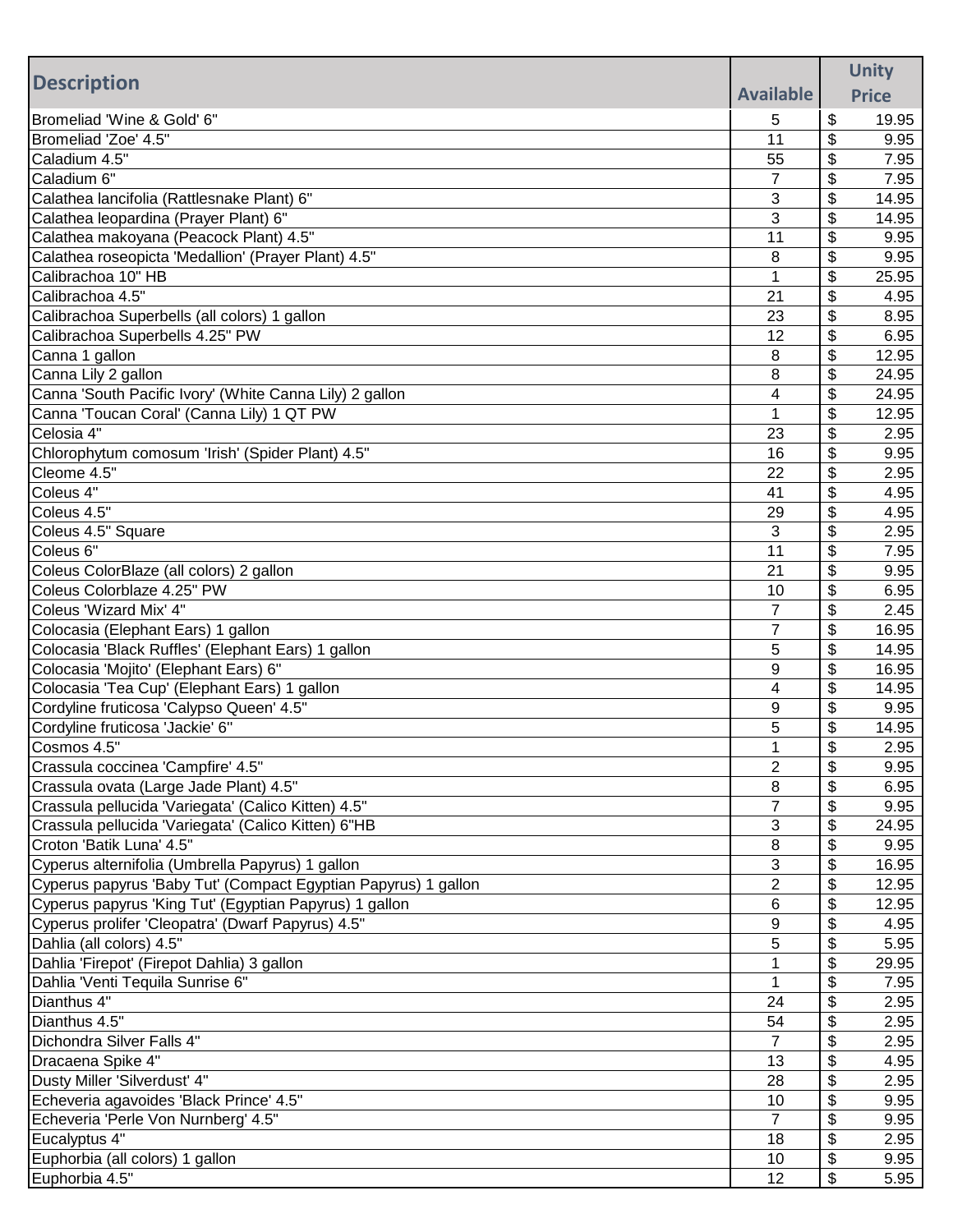|                                                                                               |                  |          | <b>Unity</b>  |
|-----------------------------------------------------------------------------------------------|------------------|----------|---------------|
| <b>Description</b>                                                                            | <b>Available</b> |          | <b>Price</b>  |
| Bromeliad 'Wine & Gold' 6"                                                                    | 5                | \$       | 19.95         |
| Bromeliad 'Zoe' 4.5"                                                                          | 11               | \$       | 9.95          |
| Caladium 4.5"                                                                                 | 55               | \$       | 7.95          |
| Caladium 6"                                                                                   | $\overline{7}$   | \$       | 7.95          |
| Calathea lancifolia (Rattlesnake Plant) 6"                                                    | 3                | \$       | 14.95         |
| Calathea leopardina (Prayer Plant) 6"                                                         | 3                | \$       | 14.95         |
| Calathea makoyana (Peacock Plant) 4.5"                                                        | 11               | \$       | 9.95          |
| Calathea roseopicta 'Medallion' (Prayer Plant) 4.5"                                           | 8                | \$       | 9.95          |
| Calibrachoa 10" HB                                                                            |                  | \$       | 25.95         |
| Calibrachoa 4.5"                                                                              | 21               | \$       | 4.95          |
| Calibrachoa Superbells (all colors) 1 gallon                                                  | 23               | \$       | 8.95          |
| Calibrachoa Superbells 4.25" PW                                                               | 12               | \$       | 6.95          |
| Canna 1 gallon                                                                                | 8                | \$       | 12.95         |
| Canna Lily 2 gallon                                                                           | 8                | \$       | 24.95         |
| Canna 'South Pacific Ivory' (White Canna Lily) 2 gallon                                       | 4                | \$       | 24.95         |
| Canna 'Toucan Coral' (Canna Lily) 1 QT PW                                                     | 1                | \$       | 12.95         |
| Celosia 4"                                                                                    | 23               | \$       | 2.95          |
| Chlorophytum comosum 'Irish' (Spider Plant) 4.5"                                              | 16               | \$       | 9.95          |
| Cleome 4.5"                                                                                   | 22               | \$       | 2.95          |
| Coleus 4"                                                                                     | 41               | \$       | 4.95          |
| Coleus 4.5"                                                                                   | 29               | \$       | 4.95          |
| Coleus 4.5" Square                                                                            | 3                | \$       | 2.95          |
| Coleus 6"                                                                                     | 11               | \$       | 7.95          |
| Coleus ColorBlaze (all colors) 2 gallon                                                       | 21               | \$       | 9.95          |
| Coleus Colorblaze 4.25" PW                                                                    | 10               | \$       | 6.95          |
| Coleus 'Wizard Mix' 4"                                                                        | 7                | \$       | 2.45          |
|                                                                                               | $\overline{7}$   | \$       | 16.95         |
| Colocasia (Elephant Ears) 1 gallon                                                            |                  | \$       | 14.95         |
| Colocasia 'Black Ruffles' (Elephant Ears) 1 gallon                                            | 5<br>9           | \$       |               |
| Colocasia 'Mojito' (Elephant Ears) 6"                                                         | 4                | \$       | 16.95         |
| Colocasia 'Tea Cup' (Elephant Ears) 1 gallon<br>Cordyline fruticosa 'Calypso Queen' 4.5"      | 9                | \$       | 14.95<br>9.95 |
| Cordyline fruticosa 'Jackie' 6"                                                               | 5                |          | 14.95         |
| Cosmos 4.5"                                                                                   | 1                | \$<br>\$ | 2.95          |
|                                                                                               | 2                | \$       | 9.95          |
| Crassula coccinea 'Campfire' 4.5"                                                             |                  | \$       | 6.95          |
| Crassula ovata (Large Jade Plant) 4.5"<br>Crassula pellucida 'Variegata' (Calico Kitten) 4.5" | 8<br>7           | \$       | 9.95          |
| Crassula pellucida 'Variegata' (Calico Kitten) 6"HB                                           | 3                | \$       | 24.95         |
| Croton 'Batik Luna' 4.5"                                                                      | 8                | \$       | 9.95          |
| Cyperus alternifolia (Umbrella Papyrus) 1 gallon                                              | 3                | \$       | 16.95         |
| Cyperus papyrus 'Baby Tut' (Compact Egyptian Papyrus) 1 gallon                                | $\overline{2}$   | \$       | 12.95         |
| Cyperus papyrus 'King Tut' (Egyptian Papyrus) 1 gallon                                        | 6                | \$       | 12.95         |
| Cyperus prolifer 'Cleopatra' (Dwarf Papyrus) 4.5"                                             | 9                | \$       | 4.95          |
| Dahlia (all colors) 4.5"                                                                      | 5                | \$       | 5.95          |
| Dahlia 'Firepot' (Firepot Dahlia) 3 gallon                                                    | 1                | \$       | 29.95         |
| Dahlia 'Venti Tequila Sunrise 6"                                                              | 1                | \$       | 7.95          |
| Dianthus 4"                                                                                   | 24               | \$       | 2.95          |
| Dianthus 4.5"                                                                                 | 54               | \$       | 2.95          |
| Dichondra Silver Falls 4"                                                                     | 7                | \$       | 2.95          |
| Dracaena Spike 4"                                                                             | 13               | \$       | 4.95          |
| Dusty Miller 'Silverdust' 4"                                                                  | 28               | \$       |               |
| Echeveria agavoides 'Black Prince' 4.5"                                                       | 10               | \$       | 2.95<br>9.95  |
| Echeveria 'Perle Von Nurnberg' 4.5"                                                           | $\overline{7}$   | \$       | 9.95          |
| Eucalyptus 4"                                                                                 | 18               | \$       | 2.95          |
|                                                                                               | 10               | \$       | 9.95          |
| Euphorbia (all colors) 1 gallon<br>Euphorbia 4.5"                                             |                  |          |               |
|                                                                                               | 12               | \$       | 5.95          |